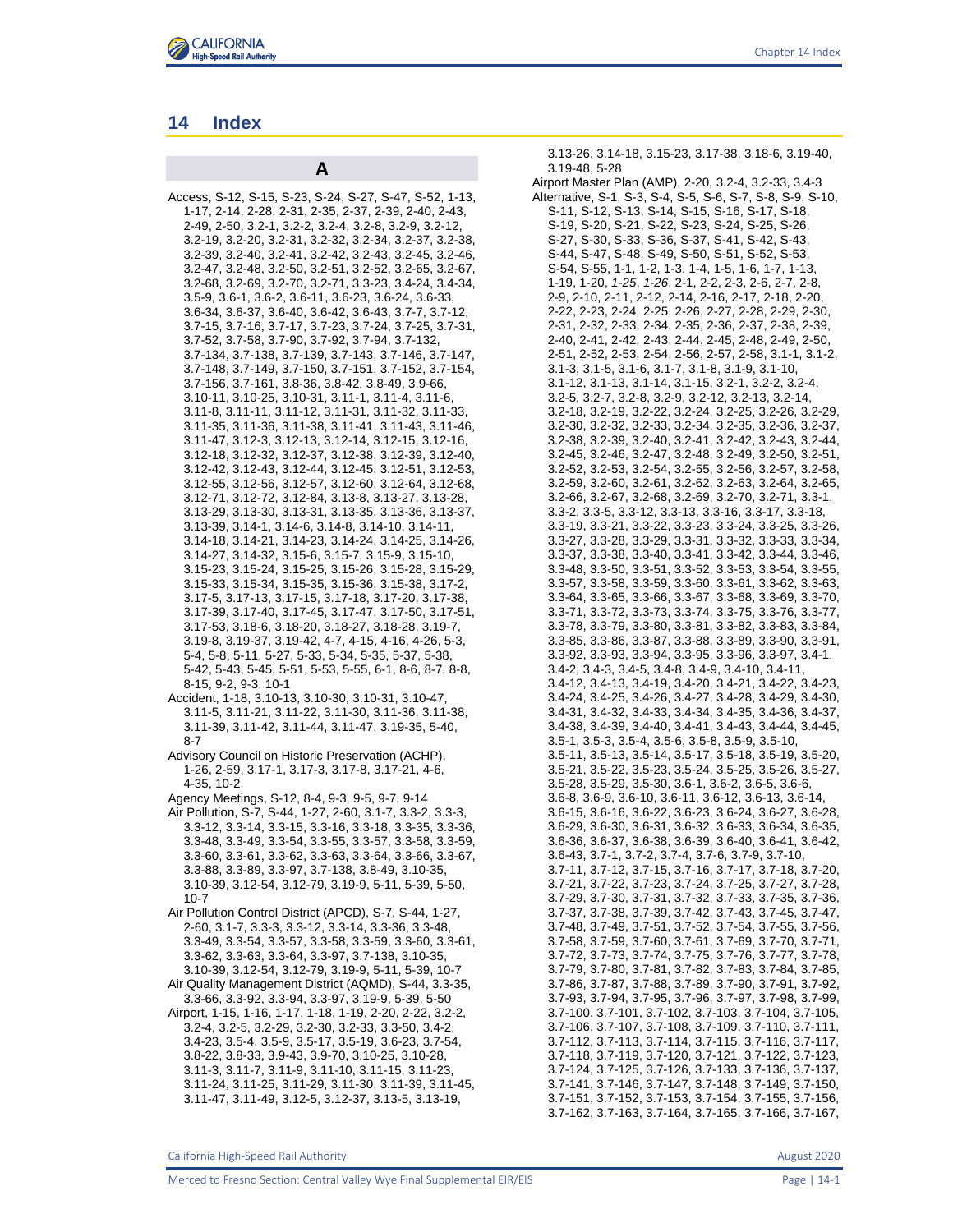

# **14 Index**

Access, S-12, S-15, S-23, S-24, S-27, S-47, S-52, 1-13, 1-17, 2-14, 2-28, 2-31, 2-35, 2-37, 2-39, 2-40, 2-43, 2-49, 2-50, 3.2-1, 3.2-2, 3.2-4, 3.2-8, 3.2-9, 3.2-12, 3.2-19, 3.2-20, 3.2-31, 3.2-32, 3.2-34, 3.2-37, 3.2-38, 3.2-39, 3.2-40, 3.2-41, 3.2-42, 3.2-43, 3.2-45, 3.2-46, 3.2-47, 3.2-48, 3.2-50, 3.2-51, 3.2-52, 3.2-65, 3.2-67, 3.2-68, 3.2-69, 3.2-70, 3.2-71, 3.3-23, 3.4-24, 3.4-34, 3.5-9, 3.6-1, 3.6-2, 3.6-11, 3.6-23, 3.6-24, 3.6-33, 3.6-34, 3.6-37, 3.6-40, 3.6-42, 3.6-43, 3.7-7, 3.7-12, 3.7-15, 3.7-16, 3.7-17, 3.7-23, 3.7-24, 3.7-25, 3.7-31, 3.7-52, 3.7-58, 3.7-90, 3.7-92, 3.7-94, 3.7-132, 3.7-134, 3.7-138, 3.7-139, 3.7-143, 3.7-146, 3.7-147, 3.7-148, 3.7-149, 3.7-150, 3.7-151, 3.7-152, 3.7-154, 3.7-156, 3.7-161, 3.8-36, 3.8-42, 3.8-49, 3.9-66, 3.10-11, 3.10-25, 3.10-31, 3.11-1, 3.11-4, 3.11-6, 3.11-8, 3.11-11, 3.11-12, 3.11-31, 3.11-32, 3.11-33, 3.11-35, 3.11-36, 3.11-38, 3.11-41, 3.11-43, 3.11-46, 3.11-47, 3.12-3, 3.12-13, 3.12-14, 3.12-15, 3.12-16, 3.12-18, 3.12-32, 3.12-37, 3.12-38, 3.12-39, 3.12-40, 3.12-42, 3.12-43, 3.12-44, 3.12-45, 3.12-51, 3.12-53, 3.12-55, 3.12-56, 3.12-57, 3.12-60, 3.12-64, 3.12-68, 3.12-71, 3.12-72, 3.12-84, 3.13-8, 3.13-27, 3.13-28, 3.13-29, 3.13-30, 3.13-31, 3.13-35, 3.13-36, 3.13-37, 3.13-39, 3.14-1, 3.14-6, 3.14-8, 3.14-10, 3.14-11, 3.14-18, 3.14-21, 3.14-23, 3.14-24, 3.14-25, 3.14-26, 3.14-27, 3.14-32, 3.15-6, 3.15-7, 3.15-9, 3.15-10, 3.15-23, 3.15-24, 3.15-25, 3.15-26, 3.15-28, 3.15-29, 3.15-33, 3.15-34, 3.15-35, 3.15-36, 3.15-38, 3.17-2, 3.17-5, 3.17-13, 3.17-15, 3.17-18, 3.17-20, 3.17-38, 3.17-39, 3.17-40, 3.17-45, 3.17-47, 3.17-50, 3.17-51, 3.17-53, 3.18-6, 3.18-20, 3.18-27, 3.18-28, 3.19-7, 3.19-8, 3.19-37, 3.19-42, 4-7, 4-15, 4-16, 4-26, 5-3, 5-4, 5-8, 5-11, 5-27, 5-33, 5-34, 5-35, 5-37, 5-38, 5-42, 5-43, 5-45, 5-51, 5-53, 5-55, 6-1, 8-6, 8-7, 8-8, 8-15, 9-2, 9-3, 10-1

**A**

- Accident, 1-18, 3.10-13, 3.10-30, 3.10-31, 3.10-47, 3.11-5, 3.11-21, 3.11-22, 3.11-30, 3.11-36, 3.11-38, 3.11-39, 3.11-42, 3.11-44, 3.11-47, 3.19-35, 5-40, 8-7
- Advisory Council on Historic Preservation (ACHP), 1-26, 2-59, 3.17-1, 3.17-3, 3.17-8, 3.17-21, 4-6, 4-35, 10-2
- Agency Meetings, S-12, 8-4, 9-3, 9-5, 9-7, 9-14 Air Pollution, S-7, S-44, 1-27, 2-60, 3.1-7, 3.3-2, 3.3-3, 3.3-12, 3.3-14, 3.3-15, 3.3-16, 3.3-18, 3.3-35, 3.3-36, 3.3-48, 3.3-49, 3.3-54, 3.3-55, 3.3-57, 3.3-58, 3.3-59, 3.3-60, 3.3-61, 3.3-62, 3.3-63, 3.3-64, 3.3-66, 3.3-67, 3.3-88, 3.3-89, 3.3-97, 3.7-138, 3.8-49, 3.10-35, 3.10-39, 3.12-54, 3.12-79, 3.19-9, 5-11, 5-39, 5-50, 10-7
- Air Pollution Control District (APCD), S-7, S-44, 1-27, 2-60, 3.1-7, 3.3-3, 3.3-12, 3.3-14, 3.3-36, 3.3-48, 3.3-49, 3.3-54, 3.3-57, 3.3-58, 3.3-59, 3.3-60, 3.3-61, 3.3-62, 3.3-63, 3.3-64, 3.3-97, 3.7-138, 3.10-35, 3.10-39, 3.12-54, 3.12-79, 3.19-9, 5-11, 5-39, 10-7
- Air Quality Management District (AQMD), S-44, 3.3-35, 3.3-66, 3.3-92, 3.3-94, 3.3-97, 3.19-9, 5-39, 5-50
- Airport, 1-15, 1-16, 1-17, 1-18, 1-19, 2-20, 2-22, 3.2-2, 3.2-4, 3.2-5, 3.2-29, 3.2-30, 3.2-33, 3.3-50, 3.4-2, 3.4-23, 3.5-4, 3.5-9, 3.5-17, 3.5-19, 3.6-23, 3.7-54, 3.8-22, 3.8-33, 3.9-43, 3.9-70, 3.10-25, 3.10-28, 3.11-3, 3.11-7, 3.11-9, 3.11-10, 3.11-15, 3.11-23, 3.11-24, 3.11-25, 3.11-29, 3.11-30, 3.11-39, 3.11-45, 3.11-47, 3.11-49, 3.12-5, 3.12-37, 3.13-5, 3.13-19,

3.13-26, 3.14-18, 3.15-23, 3.17-38, 3.18-6, 3.19-40, 3.19-48, 5-28 Airport Master Plan (AMP), 2-20, 3.2-4, 3.2-33, 3.4-3 Alternative, S-1, S-3, S-4, S-5, S-6, S-7, S-8, S-9, S-10, S-11, S-12, S-13, S-14, S-15, S-16, S-17, S-18, S-19, S-20, S-21, S-22, S-23, S-24, S-25, S-26, S-27, S-30, S-33, S-36, S-37, S-41, S-42, S-43, S-44, S-47, S-48, S-49, S-50, S-51, S-52, S-53, S-54, S-55, 1-1, 1-2, 1-3, 1-4, 1-5, 1-6, 1-7, 1-13, 1-19, 1-20, *1-25*, *1-26*, 2-1, 2-2, 2-3, 2-6, 2-7, 2-8, 2-9, 2-10, 2-11, 2-12, 2-14, 2-16, 2-17, 2-18, 2-20, 2-22, 2-23, 2-24, 2-25, 2-26, 2-27, 2-28, 2-29, 2-30, 2-31, 2-32, 2-33, 2-34, 2-35, 2-36, 2-37, 2-38, 2-39, 2-40, 2-41, 2-42, 2-43, 2-44, 2-45, 2-48, 2-49, 2-50, 2-51, 2-52, 2-53, 2-54, 2-56, 2-57, 2-58, 3.1-1, 3.1-2, 3.1-3, 3.1-5, 3.1-6, 3.1-7, 3.1-8, 3.1-9, 3.1-10, 3.1-12, 3.1-13, 3.1-14, 3.1-15, 3.2-1, 3.2-2, 3.2-4, 3.2-5, 3.2-7, 3.2-8, 3.2-9, 3.2-12, 3.2-13, 3.2-14, 3.2-18, 3.2-19, 3.2-22, 3.2-24, 3.2-25, 3.2-26, 3.2-29, 3.2-30, 3.2-32, 3.2-33, 3.2-34, 3.2-35, 3.2-36, 3.2-37, 3.2-38, 3.2-39, 3.2-40, 3.2-41, 3.2-42, 3.2-43, 3.2-44, 3.2-45, 3.2-46, 3.2-47, 3.2-48, 3.2-49, 3.2-50, 3.2-51, 3.2-52, 3.2-53, 3.2-54, 3.2-55, 3.2-56, 3.2-57, 3.2-58, 3.2-59, 3.2-60, 3.2-61, 3.2-62, 3.2-63, 3.2-64, 3.2-65, 3.2-66, 3.2-67, 3.2-68, 3.2-69, 3.2-70, 3.2-71, 3.3-1, 3.3-2, 3.3-5, 3.3-12, 3.3-13, 3.3-16, 3.3-17, 3.3-18, 3.3-19, 3.3-21, 3.3-22, 3.3-23, 3.3-24, 3.3-25, 3.3-26, 3.3-27, 3.3-28, 3.3-29, 3.3-31, 3.3-32, 3.3-33, 3.3-34, 3.3-37, 3.3-38, 3.3-40, 3.3-41, 3.3-42, 3.3-44, 3.3-46, 3.3-48, 3.3-50, 3.3-51, 3.3-52, 3.3-53, 3.3-54, 3.3-55, 3.3-57, 3.3-58, 3.3-59, 3.3-60, 3.3-61, 3.3-62, 3.3-63, 3.3-64, 3.3-65, 3.3-66, 3.3-67, 3.3-68, 3.3-69, 3.3-70, 3.3-71, 3.3-72, 3.3-73, 3.3-74, 3.3-75, 3.3-76, 3.3-77, 3.3-78, 3.3-79, 3.3-80, 3.3-81, 3.3-82, 3.3-83, 3.3-84, 3.3-85, 3.3-86, 3.3-87, 3.3-88, 3.3-89, 3.3-90, 3.3-91, 3.3-92, 3.3-93, 3.3-94, 3.3-95, 3.3-96, 3.3-97, 3.4-1, 3.4-2, 3.4-3, 3.4-5, 3.4-8, 3.4-9, 3.4-10, 3.4-11, 3.4-12, 3.4-13, 3.4-19, 3.4-20, 3.4-21, 3.4-22, 3.4-23, 3.4-24, 3.4-25, 3.4-26, 3.4-27, 3.4-28, 3.4-29, 3.4-30, 3.4-31, 3.4-32, 3.4-33, 3.4-34, 3.4-35, 3.4-36, 3.4-37, 3.4-38, 3.4-39, 3.4-40, 3.4-41, 3.4-43, 3.4-44, 3.4-45, 3.5-1, 3.5-3, 3.5-4, 3.5-6, 3.5-8, 3.5-9, 3.5-10, 3.5-11, 3.5-13, 3.5-14, 3.5-17, 3.5-18, 3.5-19, 3.5-20, 3.5-21, 3.5-22, 3.5-23, 3.5-24, 3.5-25, 3.5-26, 3.5-27, 3.5-28, 3.5-29, 3.5-30, 3.6-1, 3.6-2, 3.6-5, 3.6-6, 3.6-8, 3.6-9, 3.6-10, 3.6-11, 3.6-12, 3.6-13, 3.6-14, 3.6-15, 3.6-16, 3.6-22, 3.6-23, 3.6-24, 3.6-27, 3.6-28, 3.6-29, 3.6-30, 3.6-31, 3.6-32, 3.6-33, 3.6-34, 3.6-35, 3.6-36, 3.6-37, 3.6-38, 3.6-39, 3.6-40, 3.6-41, 3.6-42, 3.6-43, 3.7-1, 3.7-2, 3.7-4, 3.7-6, 3.7-9, 3.7-10, 3.7-11, 3.7-12, 3.7-15, 3.7-16, 3.7-17, 3.7-18, 3.7-20, 3.7-21, 3.7-22, 3.7-23, 3.7-24, 3.7-25, 3.7-27, 3.7-28, 3.7-29, 3.7-30, 3.7-31, 3.7-32, 3.7-33, 3.7-35, 3.7-36, 3.7-37, 3.7-38, 3.7-39, 3.7-42, 3.7-43, 3.7-45, 3.7-47, 3.7-48, 3.7-49, 3.7-51, 3.7-52, 3.7-54, 3.7-55, 3.7-56, 3.7-58, 3.7-59, 3.7-60, 3.7-61, 3.7-69, 3.7-70, 3.7-71, 3.7-72, 3.7-73, 3.7-74, 3.7-75, 3.7-76, 3.7-77, 3.7-78, 3.7-79, 3.7-80, 3.7-81, 3.7-82, 3.7-83, 3.7-84, 3.7-85, 3.7-86, 3.7-87, 3.7-88, 3.7-89, 3.7-90, 3.7-91, 3.7-92, 3.7-93, 3.7-94, 3.7-95, 3.7-96, 3.7-97, 3.7-98, 3.7-99, 3.7-100, 3.7-101, 3.7-102, 3.7-103, 3.7-104, 3.7-105, 3.7-106, 3.7-107, 3.7-108, 3.7-109, 3.7-110, 3.7-111, 3.7-112, 3.7-113, 3.7-114, 3.7-115, 3.7-116, 3.7-117, 3.7-118, 3.7-119, 3.7-120, 3.7-121, 3.7-122, 3.7-123, 3.7-124, 3.7-125, 3.7-126, 3.7-133, 3.7-136, 3.7-137, 3.7-141, 3.7-146, 3.7-147, 3.7-148, 3.7-149, 3.7-150, 3.7-151, 3.7-152, 3.7-153, 3.7-154, 3.7-155, 3.7-156, 3.7-162, 3.7-163, 3.7-164, 3.7-165, 3.7-166, 3.7-167,

California High-Speed Rail Authority August 2020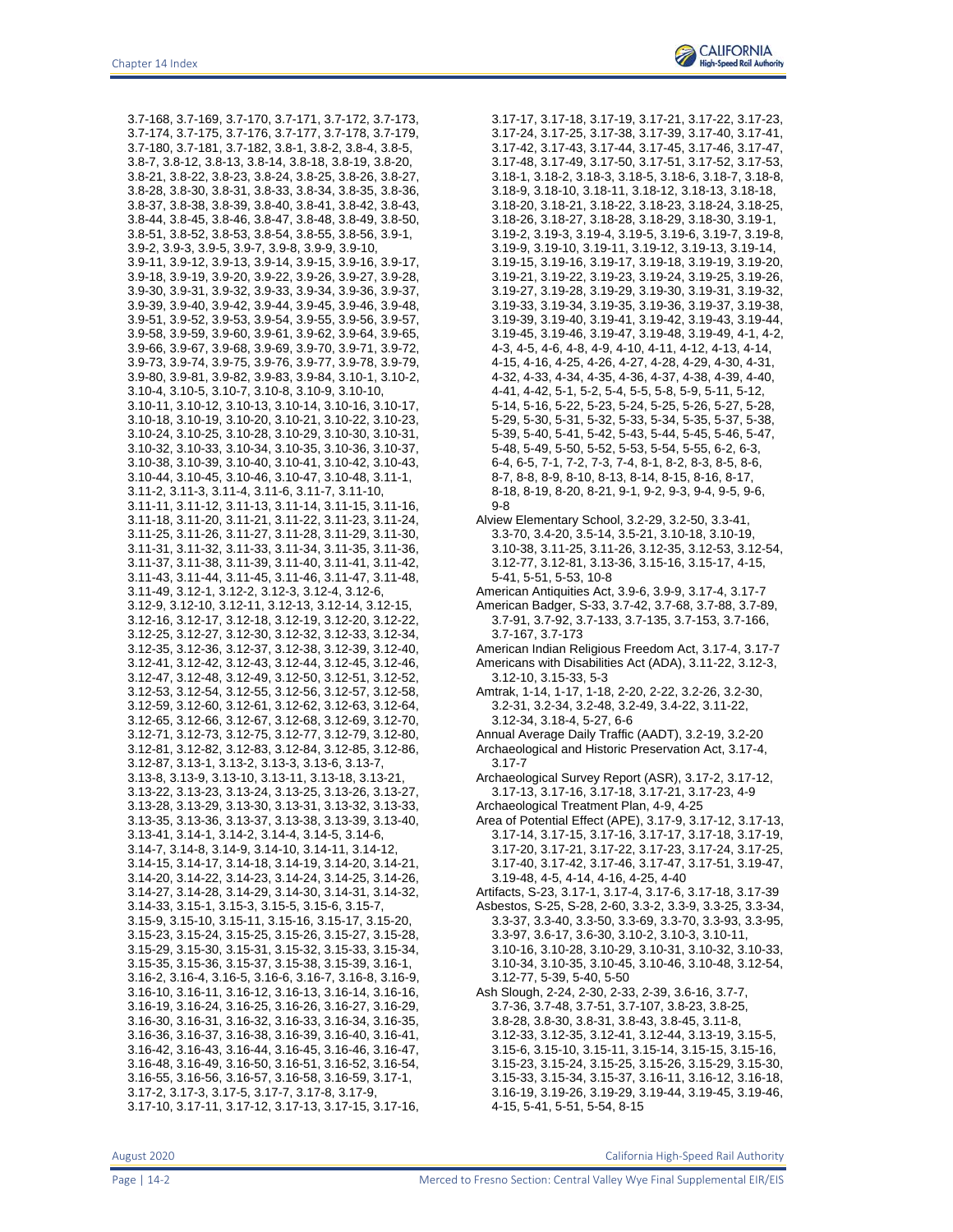3.7-168, 3.7-169, 3.7-170, 3.7-171, 3.7-172, 3.7-173, 3.7-174, 3.7-175, 3.7-176, 3.7-177, 3.7-178, 3.7-179, 3.7-180, 3.7-181, 3.7-182, 3.8-1, 3.8-2, 3.8-4, 3.8-5, 3.8-7, 3.8-12, 3.8-13, 3.8-14, 3.8-18, 3.8-19, 3.8-20, 3.8-21, 3.8-22, 3.8-23, 3.8-24, 3.8-25, 3.8-26, 3.8-27, 3.8-28, 3.8-30, 3.8-31, 3.8-33, 3.8-34, 3.8-35, 3.8-36, 3.8-37, 3.8-38, 3.8-39, 3.8-40, 3.8-41, 3.8-42, 3.8-43, 3.8-44, 3.8-45, 3.8-46, 3.8-47, 3.8-48, 3.8-49, 3.8-50, 3.8-51, 3.8-52, 3.8-53, 3.8-54, 3.8-55, 3.8-56, 3.9-1, 3.9-2, 3.9-3, 3.9-5, 3.9-7, 3.9-8, 3.9-9, 3.9-10, 3.9-11, 3.9-12, 3.9-13, 3.9-14, 3.9-15, 3.9-16, 3.9-17, 3.9-18, 3.9-19, 3.9-20, 3.9-22, 3.9-26, 3.9-27, 3.9-28, 3.9-30, 3.9-31, 3.9-32, 3.9-33, 3.9-34, 3.9-36, 3.9-37, 3.9-39, 3.9-40, 3.9-42, 3.9-44, 3.9-45, 3.9-46, 3.9-48, 3.9-51, 3.9-52, 3.9-53, 3.9-54, 3.9-55, 3.9-56, 3.9-57, 3.9-58, 3.9-59, 3.9-60, 3.9-61, 3.9-62, 3.9-64, 3.9-65, 3.9-66, 3.9-67, 3.9-68, 3.9-69, 3.9-70, 3.9-71, 3.9-72, 3.9-73, 3.9-74, 3.9-75, 3.9-76, 3.9-77, 3.9-78, 3.9-79, 3.9-80, 3.9-81, 3.9-82, 3.9-83, 3.9-84, 3.10-1, 3.10-2, 3.10-4, 3.10-5, 3.10-7, 3.10-8, 3.10-9, 3.10-10, 3.10-11, 3.10-12, 3.10-13, 3.10-14, 3.10-16, 3.10-17, 3.10-18, 3.10-19, 3.10-20, 3.10-21, 3.10-22, 3.10-23, 3.10-24, 3.10-25, 3.10-28, 3.10-29, 3.10-30, 3.10-31, 3.10-32, 3.10-33, 3.10-34, 3.10-35, 3.10-36, 3.10-37, 3.10-38, 3.10-39, 3.10-40, 3.10-41, 3.10-42, 3.10-43, 3.10-44, 3.10-45, 3.10-46, 3.10-47, 3.10-48, 3.11-1, 3.11-2, 3.11-3, 3.11-4, 3.11-6, 3.11-7, 3.11-10, 3.11-11, 3.11-12, 3.11-13, 3.11-14, 3.11-15, 3.11-16, 3.11-18, 3.11-20, 3.11-21, 3.11-22, 3.11-23, 3.11-24, 3.11-25, 3.11-26, 3.11-27, 3.11-28, 3.11-29, 3.11-30, 3.11-31, 3.11-32, 3.11-33, 3.11-34, 3.11-35, 3.11-36, 3.11-37, 3.11-38, 3.11-39, 3.11-40, 3.11-41, 3.11-42, 3.11-43, 3.11-44, 3.11-45, 3.11-46, 3.11-47, 3.11-48, 3.11-49, 3.12-1, 3.12-2, 3.12-3, 3.12-4, 3.12-6, 3.12-9, 3.12-10, 3.12-11, 3.12-13, 3.12-14, 3.12-15, 3.12-16, 3.12-17, 3.12-18, 3.12-19, 3.12-20, 3.12-22, 3.12-25, 3.12-27, 3.12-30, 3.12-32, 3.12-33, 3.12-34, 3.12-35, 3.12-36, 3.12-37, 3.12-38, 3.12-39, 3.12-40, 3.12-41, 3.12-42, 3.12-43, 3.12-44, 3.12-45, 3.12-46, 3.12-47, 3.12-48, 3.12-49, 3.12-50, 3.12-51, 3.12-52, 3.12-53, 3.12-54, 3.12-55, 3.12-56, 3.12-57, 3.12-58, 3.12-59, 3.12-60, 3.12-61, 3.12-62, 3.12-63, 3.12-64, 3.12-65, 3.12-66, 3.12-67, 3.12-68, 3.12-69, 3.12-70, 3.12-71, 3.12-73, 3.12-75, 3.12-77, 3.12-79, 3.12-80, 3.12-81, 3.12-82, 3.12-83, 3.12-84, 3.12-85, 3.12-86, 3.12-87, 3.13-1, 3.13-2, 3.13-3, 3.13-6, 3.13-7, 3.13-8, 3.13-9, 3.13-10, 3.13-11, 3.13-18, 3.13-21, 3.13-22, 3.13-23, 3.13-24, 3.13-25, 3.13-26, 3.13-27, 3.13-28, 3.13-29, 3.13-30, 3.13-31, 3.13-32, 3.13-33, 3.13-35, 3.13-36, 3.13-37, 3.13-38, 3.13-39, 3.13-40, 3.13-41, 3.14-1, 3.14-2, 3.14-4, 3.14-5, 3.14-6, 3.14-7, 3.14-8, 3.14-9, 3.14-10, 3.14-11, 3.14-12, 3.14-15, 3.14-17, 3.14-18, 3.14-19, 3.14-20, 3.14-21, 3.14-20, 3.14-22, 3.14-23, 3.14-24, 3.14-25, 3.14-26, 3.14-27, 3.14-28, 3.14-29, 3.14-30, 3.14-31, 3.14-32, 3.14-33, 3.15-1, 3.15-3, 3.15-5, 3.15-6, 3.15-7, 3.15-9, 3.15-10, 3.15-11, 3.15-16, 3.15-17, 3.15-20, 3.15-23, 3.15-24, 3.15-25, 3.15-26, 3.15-27, 3.15-28, 3.15-29, 3.15-30, 3.15-31, 3.15-32, 3.15-33, 3.15-34, 3.15-35, 3.15-36, 3.15-37, 3.15-38, 3.15-39, 3.16-1, 3.16-2, 3.16-4, 3.16-5, 3.16-6, 3.16-7, 3.16-8, 3.16-9, 3.16-10, 3.16-11, 3.16-12, 3.16-13, 3.16-14, 3.16-16, 3.16-19, 3.16-24, 3.16-25, 3.16-26, 3.16-27, 3.16-29, 3.16-30, 3.16-31, 3.16-32, 3.16-33, 3.16-34, 3.16-35, 3.16-36, 3.16-37, 3.16-38, 3.16-39, 3.16-40, 3.16-41, 3.16-42, 3.16-43, 3.16-44, 3.16-45, 3.16-46, 3.16-47, 3.16-48, 3.16-49, 3.16-50, 3.16-51, 3.16-52, 3.16-54, 3.16-55, 3.16-56, 3.16-57, 3.16-58, 3.16-59, 3.17-1, 3.17-2, 3.17-3, 3.17-5, 3.17-7, 3.17-8, 3.17-9, 3.17-10, 3.17-11, 3.17-12, 3.17-13, 3.17-15, 3.17-16,

3.17-17, 3.17-18, 3.17-19, 3.17-21, 3.17-22, 3.17-23, 3.17-24, 3.17-25, 3.17-38, 3.17-39, 3.17-40, 3.17-41, 3.17-42, 3.17-43, 3.17-44, 3.17-45, 3.17-46, 3.17-47, 3.17-48, 3.17-49, 3.17-50, 3.17-51, 3.17-52, 3.17-53, 3.18-1, 3.18-2, 3.18-3, 3.18-5, 3.18-6, 3.18-7, 3.18-8, 3.18-9, 3.18-10, 3.18-11, 3.18-12, 3.18-13, 3.18-18, 3.18-20, 3.18-21, 3.18-22, 3.18-23, 3.18-24, 3.18-25, 3.18-26, 3.18-27, 3.18-28, 3.18-29, 3.18-30, 3.19-1, 3.19-2, 3.19-3, 3.19-4, 3.19-5, 3.19-6, 3.19-7, 3.19-8, 3.19-9, 3.19-10, 3.19-11, 3.19-12, 3.19-13, 3.19-14, 3.19-15, 3.19-16, 3.19-17, 3.19-18, 3.19-19, 3.19-20, 3.19-21, 3.19-22, 3.19-23, 3.19-24, 3.19-25, 3.19-26, 3.19-27, 3.19-28, 3.19-29, 3.19-30, 3.19-31, 3.19-32, 3.19-33, 3.19-34, 3.19-35, 3.19-36, 3.19-37, 3.19-38, 3.19-39, 3.19-40, 3.19-41, 3.19-42, 3.19-43, 3.19-44, 3.19-45, 3.19-46, 3.19-47, 3.19-48, 3.19-49, 4-1, 4-2, 4-3, 4-5, 4-6, 4-8, 4-9, 4-10, 4-11, 4-12, 4-13, 4-14, 4-15, 4-16, 4-25, 4-26, 4-27, 4-28, 4-29, 4-30, 4-31, 4-32, 4-33, 4-34, 4-35, 4-36, 4-37, 4-38, 4-39, 4-40, 4-41, 4-42, 5-1, 5-2, 5-4, 5-5, 5-8, 5-9, 5-11, 5-12, 5-14, 5-16, 5-22, 5-23, 5-24, 5-25, 5-26, 5-27, 5-28, 5-29, 5-30, 5-31, 5-32, 5-33, 5-34, 5-35, 5-37, 5-38, 5-39, 5-40, 5-41, 5-42, 5-43, 5-44, 5-45, 5-46, 5-47, 5-48, 5-49, 5-50, 5-52, 5-53, 5-54, 5-55, 6-2, 6-3, 6-4, 6-5, 7-1, 7-2, 7-3, 7-4, 8-1, 8-2, 8-3, 8-5, 8-6, 8-7, 8-8, 8-9, 8-10, 8-13, 8-14, 8-15, 8-16, 8-17, 8-18, 8-19, 8-20, 8-21, 9-1, 9-2, 9-3, 9-4, 9-5, 9-6, 9-8 Alview Elementary School, 3.2-29, 3.2-50, 3.3-41, 3.3-70, 3.4-20, 3.5-14, 3.5-21, 3.10-18, 3.10-19, 3.10-38, 3.11-25, 3.11-26, 3.12-35, 3.12-53, 3.12-54, 3.12-77, 3.12-81, 3.13-36, 3.15-16, 3.15-17, 4-15, 5-41, 5-51, 5-53, 10-8 American Antiquities Act, 3.9-6, 3.9-9, 3.17-4, 3.17-7 American Badger, S-33, 3.7-42, 3.7-68, 3.7-88, 3.7-89, 3.7-91, 3.7-92, 3.7-133, 3.7-135, 3.7-153, 3.7-166, 3.7-167, 3.7-173 American Indian Religious Freedom Act, 3.17-4, 3.17-7 Americans with Disabilities Act (ADA), 3.11-22, 3.12-3, 3.12-10, 3.15-33, 5-3 Amtrak, 1-14, 1-17, 1-18, 2-20, 2-22, 3.2-26, 3.2-30, 3.2-31, 3.2-34, 3.2-48, 3.2-49, 3.4-22, 3.11-22, 3.12-34, 3.18-4, 5-27, 6-6 Annual Average Daily Traffic (AADT), 3.2-19, 3.2-20 Archaeological and Historic Preservation Act, 3.17-4, 3.17-7 Archaeological Survey Report (ASR), 3.17-2, 3.17-12, 3.17-13, 3.17-16, 3.17-18, 3.17-21, 3.17-23, 4-9 Archaeological Treatment Plan, 4-9, 4-25 Area of Potential Effect (APE), 3.17-9, 3.17-12, 3.17-13, 3.17-14, 3.17-15, 3.17-16, 3.17-17, 3.17-18, 3.17-19, 3.17-20, 3.17-21, 3.17-22, 3.17-23, 3.17-24, 3.17-25, 3.17-40, 3.17-42, 3.17-46, 3.17-47, 3.17-51, 3.19-47, 3.19-48, 4-5, 4-14, 4-16, 4-25, 4-40 Artifacts, S-23, 3.17-1, 3.17-4, 3.17-6, 3.17-18, 3.17-39 Asbestos, S-25, S-28, 2-60, 3.3-2, 3.3-9, 3.3-25, 3.3-34, 3.3-37, 3.3-40, 3.3-50, 3.3-69, 3.3-70, 3.3-93, 3.3-95, 3.3-97, 3.6-17, 3.6-30, 3.10-2, 3.10-3, 3.10-11, 3.10-16, 3.10-28, 3.10-29, 3.10-31, 3.10-32, 3.10-33, 3.10-34, 3.10-35, 3.10-45, 3.10-46, 3.10-48, 3.12-54, 3.12-77, 5-39, 5-40, 5-50 Ash Slough, 2-24, 2-30, 2-33, 2-39, 3.6-16, 3.7-7, 3.7-36, 3.7-48, 3.7-51, 3.7-107, 3.8-23, 3.8-25, 3.8-28, 3.8-30, 3.8-31, 3.8-43, 3.8-45, 3.11-8, 3.12-33, 3.12-35, 3.12-41, 3.12-44, 3.13-19, 3.15-5, 3.15-6, 3.15-10, 3.15-11, 3.15-14, 3.15-15, 3.15-16, 3.15-23, 3.15-24, 3.15-25, 3.15-26, 3.15-29, 3.15-30, 3.15-33, 3.15-34, 3.15-37, 3.16-11, 3.16-12, 3.16-18, 3.16-19, 3.19-26, 3.19-29, 3.19-44, 3.19-45, 3.19-46, 4-15, 5-41, 5-51, 5-54, 8-15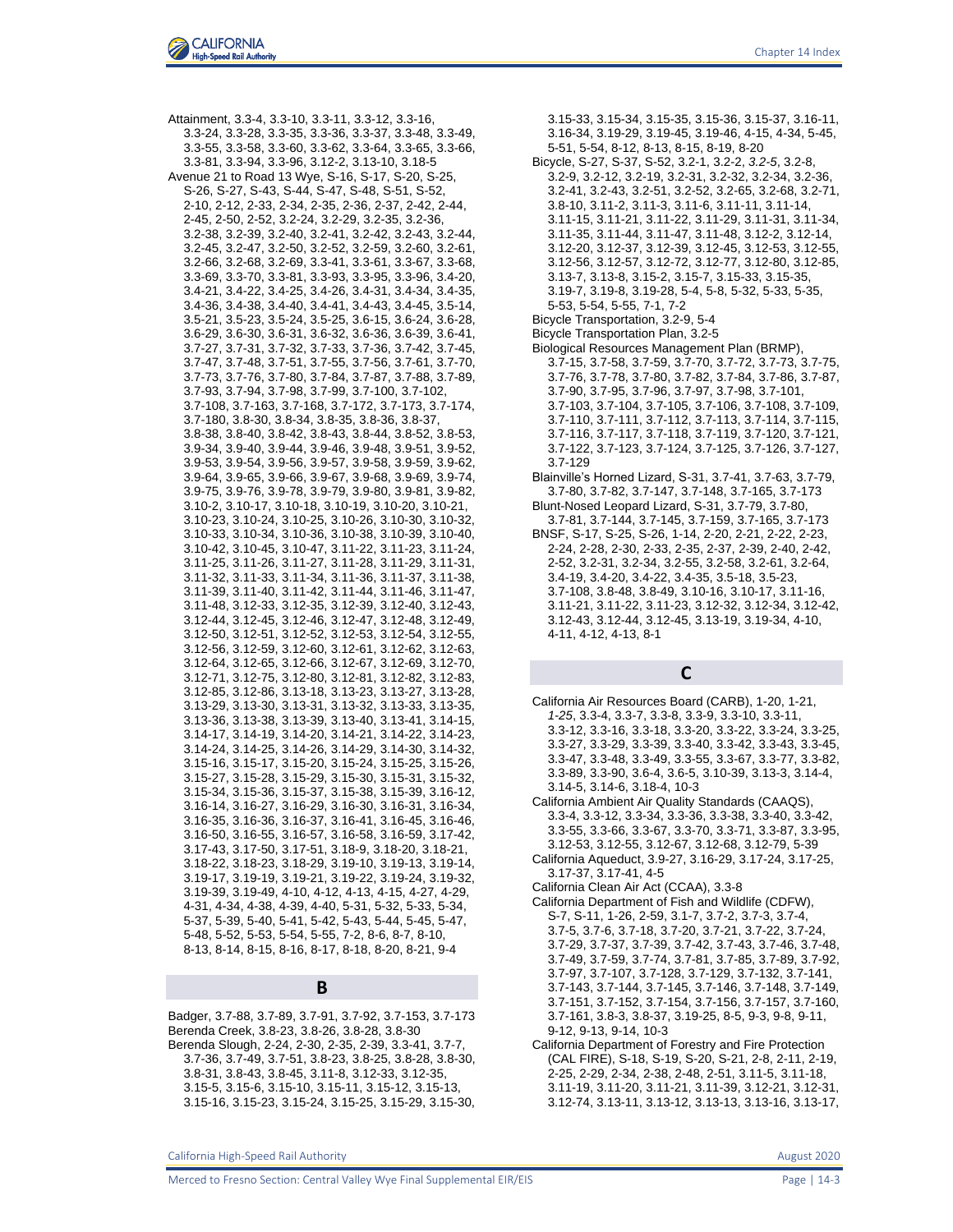Attainment, 3.3-4, 3.3-10, 3.3-11, 3.3-12, 3.3-16, 3.3-24, 3.3-28, 3.3-35, 3.3-36, 3.3-37, 3.3-48, 3.3-49, 3.3-55, 3.3-58, 3.3-60, 3.3-62, 3.3-64, 3.3-65, 3.3-66, 3.3-81, 3.3-94, 3.3-96, 3.12-2, 3.13-10, 3.18-5 Avenue 21 to Road 13 Wye, S-16, S-17, S-20, S-25, S-26, S-27, S-43, S-44, S-47, S-48, S-51, S-52, 2-10, 2-12, 2-33, 2-34, 2-35, 2-36, 2-37, 2-42, 2-44, 2-45, 2-50, 2-52, 3.2-24, 3.2-29, 3.2-35, 3.2-36, 3.2-38, 3.2-39, 3.2-40, 3.2-41, 3.2-42, 3.2-43, 3.2-44, 3.2-45, 3.2-47, 3.2-50, 3.2-52, 3.2-59, 3.2-60, 3.2-61, 3.2-66, 3.2-68, 3.2-69, 3.3-41, 3.3-61, 3.3-67, 3.3-68, 3.3-69, 3.3-70, 3.3-81, 3.3-93, 3.3-95, 3.3-96, 3.4-20, 3.4-21, 3.4-22, 3.4-25, 3.4-26, 3.4-31, 3.4-34, 3.4-35, 3.4-36, 3.4-38, 3.4-40, 3.4-41, 3.4-43, 3.4-45, 3.5-14, 3.5-21, 3.5-23, 3.5-24, 3.5-25, 3.6-15, 3.6-24, 3.6-28, 3.6-29, 3.6-30, 3.6-31, 3.6-32, 3.6-36, 3.6-39, 3.6-41, 3.7-27, 3.7-31, 3.7-32, 3.7-33, 3.7-36, 3.7-42, 3.7-45, 3.7-47, 3.7-48, 3.7-51, 3.7-55, 3.7-56, 3.7-61, 3.7-70, 3.7-73, 3.7-76, 3.7-80, 3.7-84, 3.7-87, 3.7-88, 3.7-89, 3.7-93, 3.7-94, 3.7-98, 3.7-99, 3.7-100, 3.7-102, 3.7-108, 3.7-163, 3.7-168, 3.7-172, 3.7-173, 3.7-174, 3.7-180, 3.8-30, 3.8-34, 3.8-35, 3.8-36, 3.8-37, 3.8-38, 3.8-40, 3.8-42, 3.8-43, 3.8-44, 3.8-52, 3.8-53, 3.9-34, 3.9-40, 3.9-44, 3.9-46, 3.9-48, 3.9-51, 3.9-52, 3.9-53, 3.9-54, 3.9-56, 3.9-57, 3.9-58, 3.9-59, 3.9-62, 3.9-64, 3.9-65, 3.9-66, 3.9-67, 3.9-68, 3.9-69, 3.9-74, 3.9-75, 3.9-76, 3.9-78, 3.9-79, 3.9-80, 3.9-81, 3.9-82, 3.10-2, 3.10-17, 3.10-18, 3.10-19, 3.10-20, 3.10-21, 3.10-23, 3.10-24, 3.10-25, 3.10-26, 3.10-30, 3.10-32, 3.10-33, 3.10-34, 3.10-36, 3.10-38, 3.10-39, 3.10-40, 3.10-42, 3.10-45, 3.10-47, 3.11-22, 3.11-23, 3.11-24, 3.11-25, 3.11-26, 3.11-27, 3.11-28, 3.11-29, 3.11-31, 3.11-32, 3.11-33, 3.11-34, 3.11-36, 3.11-37, 3.11-38, 3.11-39, 3.11-40, 3.11-42, 3.11-44, 3.11-46, 3.11-47, 3.11-48, 3.12-33, 3.12-35, 3.12-39, 3.12-40, 3.12-43, 3.12-44, 3.12-45, 3.12-46, 3.12-47, 3.12-48, 3.12-49, 3.12-50, 3.12-51, 3.12-52, 3.12-53, 3.12-54, 3.12-55, 3.12-56, 3.12-59, 3.12-60, 3.12-61, 3.12-62, 3.12-63, 3.12-64, 3.12-65, 3.12-66, 3.12-67, 3.12-69, 3.12-70, 3.12-71, 3.12-75, 3.12-80, 3.12-81, 3.12-82, 3.12-83, 3.12-85, 3.12-86, 3.13-18, 3.13-23, 3.13-27, 3.13-28, 3.13-29, 3.13-30, 3.13-31, 3.13-32, 3.13-33, 3.13-35, 3.13-36, 3.13-38, 3.13-39, 3.13-40, 3.13-41, 3.14-15, 3.14-17, 3.14-19, 3.14-20, 3.14-21, 3.14-22, 3.14-23, 3.14-24, 3.14-25, 3.14-26, 3.14-29, 3.14-30, 3.14-32, 3.15-16, 3.15-17, 3.15-20, 3.15-24, 3.15-25, 3.15-26, 3.15-27, 3.15-28, 3.15-29, 3.15-30, 3.15-31, 3.15-32, 3.15-34, 3.15-36, 3.15-37, 3.15-38, 3.15-39, 3.16-12, 3.16-14, 3.16-27, 3.16-29, 3.16-30, 3.16-31, 3.16-34, 3.16-35, 3.16-36, 3.16-37, 3.16-41, 3.16-45, 3.16-46, 3.16-50, 3.16-55, 3.16-57, 3.16-58, 3.16-59, 3.17-42, 3.17-43, 3.17-50, 3.17-51, 3.18-9, 3.18-20, 3.18-21, 3.18-22, 3.18-23, 3.18-29, 3.19-10, 3.19-13, 3.19-14, 3.19-17, 3.19-19, 3.19-21, 3.19-22, 3.19-24, 3.19-32, 3.19-39, 3.19-49, 4-10, 4-12, 4-13, 4-15, 4-27, 4-29, 4-31, 4-34, 4-38, 4-39, 4-40, 5-31, 5-32, 5-33, 5-34, 5-37, 5-39, 5-40, 5-41, 5-42, 5-43, 5-44, 5-45, 5-47, 5-48, 5-52, 5-53, 5-54, 5-55, 7-2, 8-6, 8-7, 8-10, 8-13, 8-14, 8-15, 8-16, 8-17, 8-18, 8-20, 8-21, 9-4

#### **B**

Badger, 3.7-88, 3.7-89, 3.7-91, 3.7-92, 3.7-153, 3.7-173 Berenda Creek, 3.8-23, 3.8-26, 3.8-28, 3.8-30 Berenda Slough, 2-24, 2-30, 2-35, 2-39, 3.3-41, 3.7-7, 3.7-36, 3.7-49, 3.7-51, 3.8-23, 3.8-25, 3.8-28, 3.8-30, 3.8-31, 3.8-43, 3.8-45, 3.11-8, 3.12-33, 3.12-35, 3.15-5, 3.15-6, 3.15-10, 3.15-11, 3.15-12, 3.15-13, 3.15-16, 3.15-23, 3.15-24, 3.15-25, 3.15-29, 3.15-30,

3.15-33, 3.15-34, 3.15-35, 3.15-36, 3.15-37, 3.16-11, 3.16-34, 3.19-29, 3.19-45, 3.19-46, 4-15, 4-34, 5-45, 5-51, 5-54, 8-12, 8-13, 8-15, 8-19, 8-20 Bicycle, S-27, S-37, S-52, 3.2-1, 3.2-2, *3.2-5*, 3.2-8, 3.2-9, 3.2-12, 3.2-19, 3.2-31, 3.2-32, 3.2-34, 3.2-36, 3.2-41, 3.2-43, 3.2-51, 3.2-52, 3.2-65, 3.2-68, 3.2-71, 3.8-10, 3.11-2, 3.11-3, 3.11-6, 3.11-11, 3.11-14, 3.11-15, 3.11-21, 3.11-22, 3.11-29, 3.11-31, 3.11-34, 3.11-35, 3.11-44, 3.11-47, 3.11-48, 3.12-2, 3.12-14, 3.12-20, 3.12-37, 3.12-39, 3.12-45, 3.12-53, 3.12-55, 3.12-56, 3.12-57, 3.12-72, 3.12-77, 3.12-80, 3.12-85, 3.13-7, 3.13-8, 3.15-2, 3.15-7, 3.15-33, 3.15-35, 3.19-7, 3.19-8, 3.19-28, 5-4, 5-8, 5-32, 5-33, 5-35, 5-53, 5-54, 5-55, 7-1, 7-2 Bicycle Transportation, 3.2-9, 5-4 Bicycle Transportation Plan, 3.2-5 Biological Resources Management Plan (BRMP), 3.7-15, 3.7-58, 3.7-59, 3.7-70, 3.7-72, 3.7-73, 3.7-75, 3.7-76, 3.7-78, 3.7-80, 3.7-82, 3.7-84, 3.7-86, 3.7-87, 3.7-90, 3.7-95, 3.7-96, 3.7-97, 3.7-98, 3.7-101, 3.7-103, 3.7-104, 3.7-105, 3.7-106, 3.7-108, 3.7-109, 3.7-110, 3.7-111, 3.7-112, 3.7-113, 3.7-114, 3.7-115, 3.7-116, 3.7-117, 3.7-118, 3.7-119, 3.7-120, 3.7-121, 3.7-122, 3.7-123, 3.7-124, 3.7-125, 3.7-126, 3.7-127, 3.7-129 Blainville's Horned Lizard, S-31, 3.7-41, 3.7-63, 3.7-79, 3.7-80, 3.7-82, 3.7-147, 3.7-148, 3.7-165, 3.7-173 Blunt-Nosed Leopard Lizard, S-31, 3.7-79, 3.7-80, 3.7-81, 3.7-144, 3.7-145, 3.7-159, 3.7-165, 3.7-173 BNSF, S-17, S-25, S-26, 1-14, 2-20, 2-21, 2-22, 2-23,

2-24, 2-28, 2-30, 2-33, 2-35, 2-37, 2-39, 2-40, 2-42, 2-52, 3.2-31, 3.2-34, 3.2-55, 3.2-58, 3.2-61, 3.2-64, 3.4-19, 3.4-20, 3.4-22, 3.4-35, 3.5-18, 3.5-23, 3.7-108, 3.8-48, 3.8-49, 3.10-16, 3.10-17, 3.11-16, 3.11-21, 3.11-22, 3.11-23, 3.12-32, 3.12-34, 3.12-42, 3.12-43, 3.12-44, 3.12-45, 3.13-19, 3.19-34, 4-10, 4-11, 4-12, 4-13, 8-1

## **C**

California Air Resources Board (CARB), 1-20, 1-21, *1-25*, 3.3-4, 3.3-7, 3.3-8, 3.3-9, 3.3-10, 3.3-11, 3.3-12, 3.3-16, 3.3-18, 3.3-20, 3.3-22, 3.3-24, 3.3-25, 3.3-27, 3.3-29, 3.3-39, 3.3-40, 3.3-42, 3.3-43, 3.3-45, 3.3-47, 3.3-48, 3.3-49, 3.3-55, 3.3-67, 3.3-77, 3.3-82, 3.3-89, 3.3-90, 3.6-4, 3.6-5, 3.10-39, 3.13-3, 3.14-4, 3.14-5, 3.14-6, 3.18-4, 10-3 California Ambient Air Quality Standards (CAAQS), 3.3-4, 3.3-12, 3.3-34, 3.3-36, 3.3-38, 3.3-40, 3.3-42, 3.3-55, 3.3-66, 3.3-67, 3.3-70, 3.3-71, 3.3-87, 3.3-95, 3.12-53, 3.12-55, 3.12-67, 3.12-68, 3.12-79, 5-39 California Aqueduct, 3.9-27, 3.16-29, 3.17-24, 3.17-25, 3.17-37, 3.17-41, 4-5

- California Clean Air Act (CCAA), 3.3-8
- California Department of Fish and Wildlife (CDFW), S-7, S-11, 1-26, 2-59, 3.1-7, 3.7-2, 3.7-3, 3.7-4, 3.7-5, 3.7-6, 3.7-18, 3.7-20, 3.7-21, 3.7-22, 3.7-24, 3.7-29, 3.7-37, 3.7-39, 3.7-42, 3.7-43, 3.7-46, 3.7-48, 3.7-49, 3.7-59, 3.7-74, 3.7-81, 3.7-85, 3.7-89, 3.7-92, 3.7-97, 3.7-107, 3.7-128, 3.7-129, 3.7-132, 3.7-141, 3.7-143, 3.7-144, 3.7-145, 3.7-146, 3.7-148, 3.7-149, 3.7-151, 3.7-152, 3.7-154, 3.7-156, 3.7-157, 3.7-160, 3.7-161, 3.8-3, 3.8-37, 3.19-25, 8-5, 9-3, 9-8, 9-11, 9-12, 9-13, 9-14, 10-3
- California Department of Forestry and Fire Protection (CAL FIRE), S-18, S-19, S-20, S-21, 2-8, 2-11, 2-19, 2-25, 2-29, 2-34, 2-38, 2-48, 2-51, 3.11-5, 3.11-18, 3.11-19, 3.11-20, 3.11-21, 3.11-39, 3.12-21, 3.12-31, 3.12-74, 3.13-11, 3.13-12, 3.13-13, 3.13-16, 3.13-17,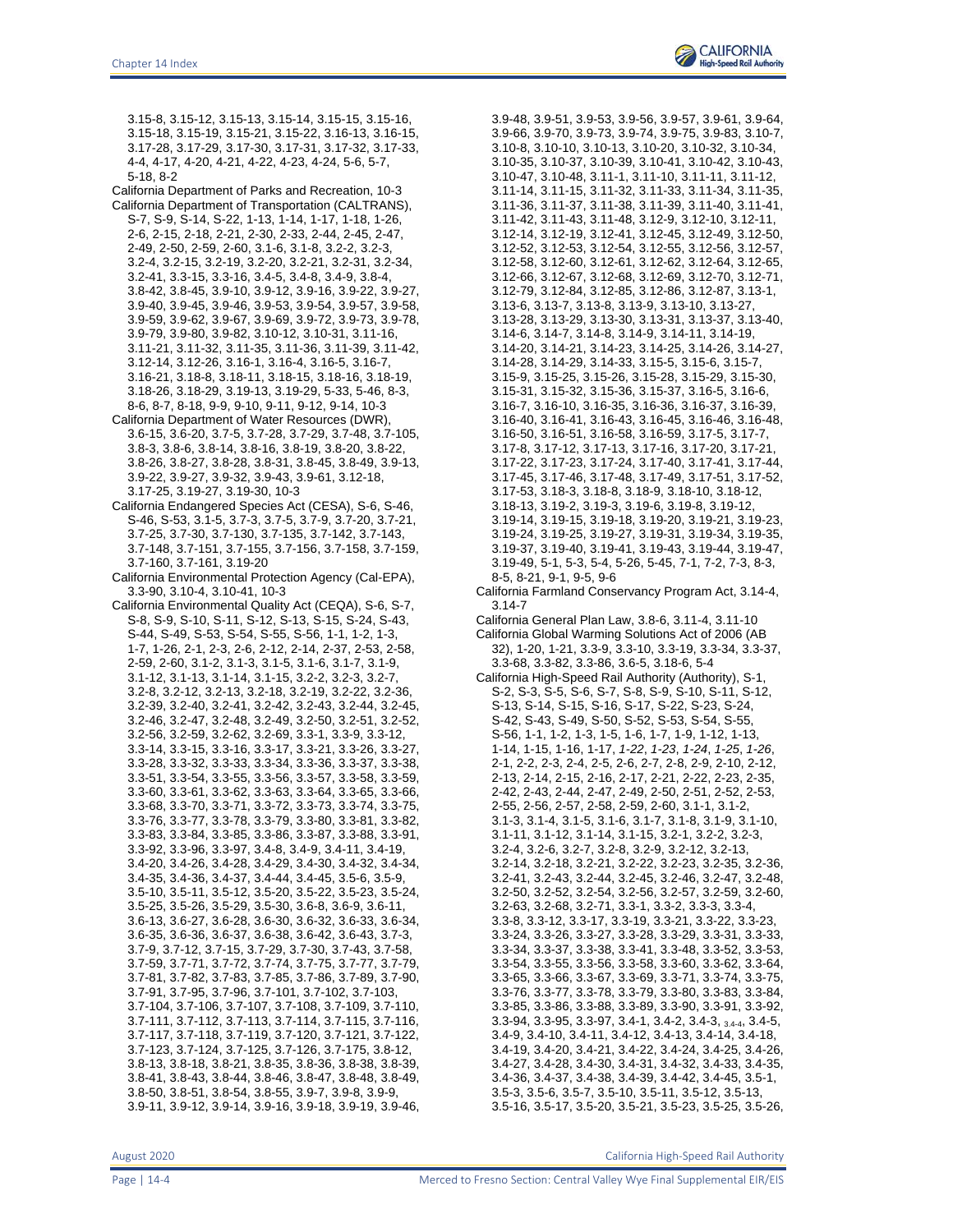3.15-8, 3.15-12, 3.15-13, 3.15-14, 3.15-15, 3.15-16, 3.15-18, 3.15-19, 3.15-21, 3.15-22, 3.16-13, 3.16-15, 3.17-28, 3.17-29, 3.17-30, 3.17-31, 3.17-32, 3.17-33, 4-4, 4-17, 4-20, 4-21, 4-22, 4-23, 4-24, 5-6, 5-7, 5-18, 8-2

California Department of Parks and Recreation, 10-3

- California Department of Transportation (CALTRANS), S-7, S-9, S-14, S-22, 1-13, 1-14, 1-17, 1-18, 1-26, 2-6, 2-15, 2-18, 2-21, 2-30, 2-33, 2-44, 2-45, 2-47, 2-49, 2-50, 2-59, 2-60, 3.1-6, 3.1-8, 3.2-2, 3.2-3, 3.2-4, 3.2-15, 3.2-19, 3.2-20, 3.2-21, 3.2-31, 3.2-34, 3.2-41, 3.3-15, 3.3-16, 3.4-5, 3.4-8, 3.4-9, 3.8-4, 3.8-42, 3.8-45, 3.9-10, 3.9-12, 3.9-16, 3.9-22, 3.9-27, 3.9-40, 3.9-45, 3.9-46, 3.9-53, 3.9-54, 3.9-57, 3.9-58, 3.9-59, 3.9-62, 3.9-67, 3.9-69, 3.9-72, 3.9-73, 3.9-78, 3.9-79, 3.9-80, 3.9-82, 3.10-12, 3.10-31, 3.11-16, 3.11-21, 3.11-32, 3.11-35, 3.11-36, 3.11-39, 3.11-42, 3.12-14, 3.12-26, 3.16-1, 3.16-4, 3.16-5, 3.16-7, 3.16-21, 3.18-8, 3.18-11, 3.18-15, 3.18-16, 3.18-19, 3.18-26, 3.18-29, 3.19-13, 3.19-29, 5-33, 5-46, 8-3, 8-6, 8-7, 8-18, 9-9, 9-10, 9-11, 9-12, 9-14, 10-3 California Department of Water Resources (DWR),
- 3.6-15, 3.6-20, 3.7-5, 3.7-28, 3.7-29, 3.7-48, 3.7-105, 3.8-3, 3.8-6, 3.8-14, 3.8-16, 3.8-19, 3.8-20, 3.8-22, 3.8-26, 3.8-27, 3.8-28, 3.8-31, 3.8-45, 3.8-49, 3.9-13, 3.9-22, 3.9-27, 3.9-32, 3.9-43, 3.9-61, 3.12-18, 3.17-25, 3.19-27, 3.19-30, 10-3
- California Endangered Species Act (CESA), S-6, S-46, S-46, S-53, 3.1-5, 3.7-3, 3.7-5, 3.7-9, 3.7-20, 3.7-21, 3.7-25, 3.7-30, 3.7-130, 3.7-135, 3.7-142, 3.7-143, 3.7-148, 3.7-151, 3.7-155, 3.7-156, 3.7-158, 3.7-159, 3.7-160, 3.7-161, 3.19-20
- California Environmental Protection Agency (Cal-EPA), 3.3-90, 3.10-4, 3.10-41, 10-3
- California Environmental Quality Act (CEQA), S-6, S-7, S-8, S-9, S-10, S-11, S-12, S-13, S-15, S-24, S-43, S-44, S-49, S-53, S-54, S-55, S-56, 1-1, 1-2, 1-3, 1-7, 1-26, 2-1, 2-3, 2-6, 2-12, 2-14, 2-37, 2-53, 2-58, 2-59, 2-60, 3.1-2, 3.1-3, 3.1-5, 3.1-6, 3.1-7, 3.1-9, 3.1-12, 3.1-13, 3.1-14, 3.1-15, 3.2-2, 3.2-3, 3.2-7, 3.2-8, 3.2-12, 3.2-13, 3.2-18, 3.2-19, 3.2-22, 3.2-36, 3.2-39, 3.2-40, 3.2-41, 3.2-42, 3.2-43, 3.2-44, 3.2-45, 3.2-46, 3.2-47, 3.2-48, 3.2-49, 3.2-50, 3.2-51, 3.2-52, 3.2-56, 3.2-59, 3.2-62, 3.2-69, 3.3-1, 3.3-9, 3.3-12, 3.3-14, 3.3-15, 3.3-16, 3.3-17, 3.3-21, 3.3-26, 3.3-27, 3.3-28, 3.3-32, 3.3-33, 3.3-34, 3.3-36, 3.3-37, 3.3-38, 3.3-51, 3.3-54, 3.3-55, 3.3-56, 3.3-57, 3.3-58, 3.3-59, 3.3-60, 3.3-61, 3.3-62, 3.3-63, 3.3-64, 3.3-65, 3.3-66, 3.3-68, 3.3-70, 3.3-71, 3.3-72, 3.3-73, 3.3-74, 3.3-75, 3.3-76, 3.3-77, 3.3-78, 3.3-79, 3.3-80, 3.3-81, 3.3-82, 3.3-83, 3.3-84, 3.3-85, 3.3-86, 3.3-87, 3.3-88, 3.3-91, 3.3-92, 3.3-96, 3.3-97, 3.4-8, 3.4-9, 3.4-11, 3.4-19, 3.4-20, 3.4-26, 3.4-28, 3.4-29, 3.4-30, 3.4-32, 3.4-34, 3.4-35, 3.4-36, 3.4-37, 3.4-44, 3.4-45, 3.5-6, 3.5-9, 3.5-10, 3.5-11, 3.5-12, 3.5-20, 3.5-22, 3.5-23, 3.5-24, 3.5-25, 3.5-26, 3.5-29, 3.5-30, 3.6-8, 3.6-9, 3.6-11, 3.6-13, 3.6-27, 3.6-28, 3.6-30, 3.6-32, 3.6-33, 3.6-34, 3.6-35, 3.6-36, 3.6-37, 3.6-38, 3.6-42, 3.6-43, 3.7-3, 3.7-9, 3.7-12, 3.7-15, 3.7-29, 3.7-30, 3.7-43, 3.7-58, 3.7-59, 3.7-71, 3.7-72, 3.7-74, 3.7-75, 3.7-77, 3.7-79, 3.7-81, 3.7-82, 3.7-83, 3.7-85, 3.7-86, 3.7-89, 3.7-90, 3.7-91, 3.7-95, 3.7-96, 3.7-101, 3.7-102, 3.7-103, 3.7-104, 3.7-106, 3.7-107, 3.7-108, 3.7-109, 3.7-110, 3.7-111, 3.7-112, 3.7-113, 3.7-114, 3.7-115, 3.7-116, 3.7-117, 3.7-118, 3.7-119, 3.7-120, 3.7-121, 3.7-122, 3.7-123, 3.7-124, 3.7-125, 3.7-126, 3.7-175, 3.8-12, 3.8-13, 3.8-18, 3.8-21, 3.8-35, 3.8-36, 3.8-38, 3.8-39, 3.8-41, 3.8-43, 3.8-44, 3.8-46, 3.8-47, 3.8-48, 3.8-49, 3.8-50, 3.8-51, 3.8-54, 3.8-55, 3.9-7, 3.9-8, 3.9-9, 3.9-11, 3.9-12, 3.9-14, 3.9-16, 3.9-18, 3.9-19, 3.9-46,

3.9-48, 3.9-51, 3.9-53, 3.9-56, 3.9-57, 3.9-61, 3.9-64, 3.9-66, 3.9-70, 3.9-73, 3.9-74, 3.9-75, 3.9-83, 3.10-7, 3.10-8, 3.10-10, 3.10-13, 3.10-20, 3.10-32, 3.10-34, 3.10-35, 3.10-37, 3.10-39, 3.10-41, 3.10-42, 3.10-43, 3.10-47, 3.10-48, 3.11-1, 3.11-10, 3.11-11, 3.11-12, 3.11-14, 3.11-15, 3.11-32, 3.11-33, 3.11-34, 3.11-35, 3.11-36, 3.11-37, 3.11-38, 3.11-39, 3.11-40, 3.11-41, 3.11-42, 3.11-43, 3.11-48, 3.12-9, 3.12-10, 3.12-11, 3.12-14, 3.12-19, 3.12-41, 3.12-45, 3.12-49, 3.12-50, 3.12-52, 3.12-53, 3.12-54, 3.12-55, 3.12-56, 3.12-57, 3.12-58, 3.12-60, 3.12-61, 3.12-62, 3.12-64, 3.12-65, 3.12-66, 3.12-67, 3.12-68, 3.12-69, 3.12-70, 3.12-71, 3.12-79, 3.12-84, 3.12-85, 3.12-86, 3.12-87, 3.13-1, 3.13-6, 3.13-7, 3.13-8, 3.13-9, 3.13-10, 3.13-27, 3.13-28, 3.13-29, 3.13-30, 3.13-31, 3.13-37, 3.13-40, 3.14-6, 3.14-7, 3.14-8, 3.14-9, 3.14-11, 3.14-19, 3.14-20, 3.14-21, 3.14-23, 3.14-25, 3.14-26, 3.14-27, 3.14-28, 3.14-29, 3.14-33, 3.15-5, 3.15-6, 3.15-7, 3.15-9, 3.15-25, 3.15-26, 3.15-28, 3.15-29, 3.15-30, 3.15-31, 3.15-32, 3.15-36, 3.15-37, 3.16-5, 3.16-6, 3.16-7, 3.16-10, 3.16-35, 3.16-36, 3.16-37, 3.16-39, 3.16-40, 3.16-41, 3.16-43, 3.16-45, 3.16-46, 3.16-48, 3.16-50, 3.16-51, 3.16-58, 3.16-59, 3.17-5, 3.17-7, 3.17-8, 3.17-12, 3.17-13, 3.17-16, 3.17-20, 3.17-21, 3.17-22, 3.17-23, 3.17-24, 3.17-40, 3.17-41, 3.17-44, 3.17-45, 3.17-46, 3.17-48, 3.17-49, 3.17-51, 3.17-52, 3.17-53, 3.18-3, 3.18-8, 3.18-9, 3.18-10, 3.18-12, 3.18-13, 3.19-2, 3.19-3, 3.19-6, 3.19-8, 3.19-12, 3.19-14, 3.19-15, 3.19-18, 3.19-20, 3.19-21, 3.19-23, 3.19-24, 3.19-25, 3.19-27, 3.19-31, 3.19-34, 3.19-35, 3.19-37, 3.19-40, 3.19-41, 3.19-43, 3.19-44, 3.19-47, 3.19-49, 5-1, 5-3, 5-4, 5-26, 5-45, 7-1, 7-2, 7-3, 8-3, 8-5, 8-21, 9-1, 9-5, 9-6

California Farmland Conservancy Program Act, 3.14-4, 3.14-7

California General Plan Law, 3.8-6, 3.11-4, 3.11-10

California Global Warming Solutions Act of 2006 (AB 32), 1-20, 1-21, 3.3-9, 3.3-10, 3.3-19, 3.3-34, 3.3-37, 3.3-68, 3.3-82, 3.3-86, 3.6-5, 3.18-6, 5-4

California High-Speed Rail Authority (Authority), S-1, S-2, S-3, S-5, S-6, S-7, S-8, S-9, S-10, S-11, S-12, S-13, S-14, S-15, S-16, S-17, S-22, S-23, S-24, S-42, S-43, S-49, S-50, S-52, S-53, S-54, S-55, S-56, 1-1, 1-2, 1-3, 1-5, 1-6, 1-7, 1-9, 1-12, 1-13, 1-14, 1-15, 1-16, 1-17, *1-22*, *1-23*, *1-24*, *1-25*, *1-26*, 2-1, 2-2, 2-3, 2-4, 2-5, 2-6, 2-7, 2-8, 2-9, 2-10, 2-12, 2-13, 2-14, 2-15, 2-16, 2-17, 2-21, 2-22, 2-23, 2-35, 2-42, 2-43, 2-44, 2-47, 2-49, 2-50, 2-51, 2-52, 2-53, 2-55, 2-56, 2-57, 2-58, 2-59, 2-60, 3.1-1, 3.1-2, 3.1-3, 3.1-4, 3.1-5, 3.1-6, 3.1-7, 3.1-8, 3.1-9, 3.1-10, 3.1-11, 3.1-12, 3.1-14, 3.1-15, 3.2-1, 3.2-2, 3.2-3, 3.2-4, 3.2-6, 3.2-7, 3.2-8, 3.2-9, 3.2-12, 3.2-13, 3.2-14, 3.2-18, 3.2-21, 3.2-22, 3.2-23, 3.2-35, 3.2-36, 3.2-41, 3.2-43, 3.2-44, 3.2-45, 3.2-46, 3.2-47, 3.2-48, 3.2-50, 3.2-52, 3.2-54, 3.2-56, 3.2-57, 3.2-59, 3.2-60, 3.2-63, 3.2-68, 3.2-71, 3.3-1, 3.3-2, 3.3-3, 3.3-4, 3.3-8, 3.3-12, 3.3-17, 3.3-19, 3.3-21, 3.3-22, 3.3-23, 3.3-24, 3.3-26, 3.3-27, 3.3-28, 3.3-29, 3.3-31, 3.3-33, 3.3-34, 3.3-37, 3.3-38, 3.3-41, 3.3-48, 3.3-52, 3.3-53, 3.3-54, 3.3-55, 3.3-56, 3.3-58, 3.3-60, 3.3-62, 3.3-64, 3.3-65, 3.3-66, 3.3-67, 3.3-69, 3.3-71, 3.3-74, 3.3-75, 3.3-76, 3.3-77, 3.3-78, 3.3-79, 3.3-80, 3.3-83, 3.3-84, 3.3-85, 3.3-86, 3.3-88, 3.3-89, 3.3-90, 3.3-91, 3.3-92, 3.3-94, 3.3-95, 3.3-97, 3.4-1, 3.4-2, 3.4-3, 3.4-4, 3.4-5, 3.4-9, 3.4-10, 3.4-11, 3.4-12, 3.4-13, 3.4-14, 3.4-18, 3.4-19, 3.4-20, 3.4-21, 3.4-22, 3.4-24, 3.4-25, 3.4-26, 3.4-27, 3.4-28, 3.4-30, 3.4-31, 3.4-32, 3.4-33, 3.4-35, 3.4-36, 3.4-37, 3.4-38, 3.4-39, 3.4-42, 3.4-45, 3.5-1, 3.5-3, 3.5-6, 3.5-7, 3.5-10, 3.5-11, 3.5-12, 3.5-13, 3.5-16, 3.5-17, 3.5-20, 3.5-21, 3.5-23, 3.5-25, 3.5-26,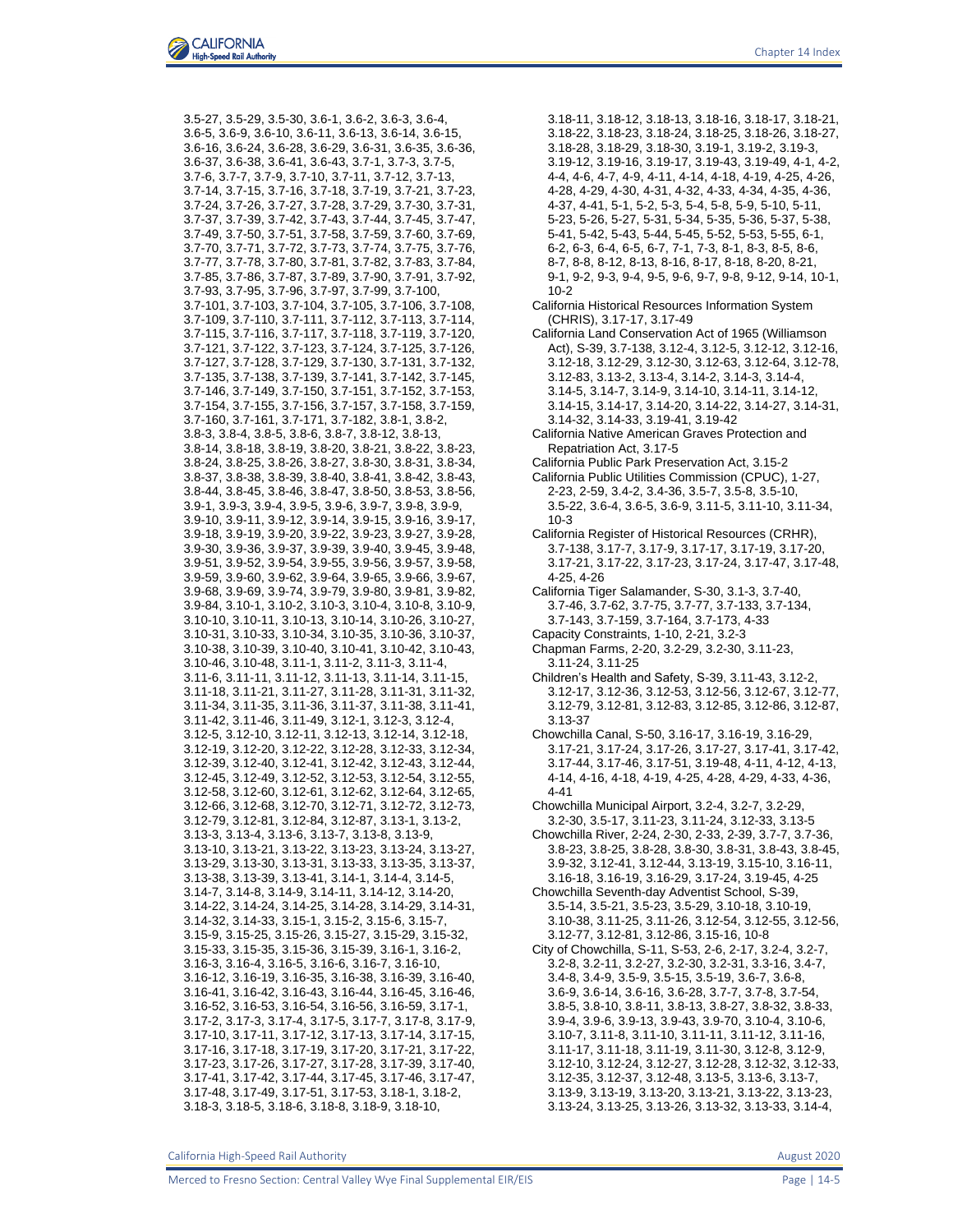3.5-27, 3.5-29, 3.5-30, 3.6-1, 3.6-2, 3.6-3, 3.6-4, 3.6-5, 3.6-9, 3.6-10, 3.6-11, 3.6-13, 3.6-14, 3.6-15, 3.6-16, 3.6-24, 3.6-28, 3.6-29, 3.6-31, 3.6-35, 3.6-36, 3.6-37, 3.6-38, 3.6-41, 3.6-43, 3.7-1, 3.7-3, 3.7-5, 3.7-6, 3.7-7, 3.7-9, 3.7-10, 3.7-11, 3.7-12, 3.7-13, 3.7-14, 3.7-15, 3.7-16, 3.7-18, 3.7-19, 3.7-21, 3.7-23, 3.7-24, 3.7-26, 3.7-27, 3.7-28, 3.7-29, 3.7-30, 3.7-31, 3.7-37, 3.7-39, 3.7-42, 3.7-43, 3.7-44, 3.7-45, 3.7-47, 3.7-49, 3.7-50, 3.7-51, 3.7-58, 3.7-59, 3.7-60, 3.7-69, 3.7-70, 3.7-71, 3.7-72, 3.7-73, 3.7-74, 3.7-75, 3.7-76, 3.7-77, 3.7-78, 3.7-80, 3.7-81, 3.7-82, 3.7-83, 3.7-84, 3.7-85, 3.7-86, 3.7-87, 3.7-89, 3.7-90, 3.7-91, 3.7-92, 3.7-93, 3.7-95, 3.7-96, 3.7-97, 3.7-99, 3.7-100, 3.7-101, 3.7-103, 3.7-104, 3.7-105, 3.7-106, 3.7-108, 3.7-109, 3.7-110, 3.7-111, 3.7-112, 3.7-113, 3.7-114, 3.7-115, 3.7-116, 3.7-117, 3.7-118, 3.7-119, 3.7-120, 3.7-121, 3.7-122, 3.7-123, 3.7-124, 3.7-125, 3.7-126, 3.7-127, 3.7-128, 3.7-129, 3.7-130, 3.7-131, 3.7-132, 3.7-135, 3.7-138, 3.7-139, 3.7-141, 3.7-142, 3.7-145, 3.7-146, 3.7-149, 3.7-150, 3.7-151, 3.7-152, 3.7-153, 3.7-154, 3.7-155, 3.7-156, 3.7-157, 3.7-158, 3.7-159, 3.7-160, 3.7-161, 3.7-171, 3.7-182, 3.8-1, 3.8-2, 3.8-3, 3.8-4, 3.8-5, 3.8-6, 3.8-7, 3.8-12, 3.8-13, 3.8-14, 3.8-18, 3.8-19, 3.8-20, 3.8-21, 3.8-22, 3.8-23, 3.8-24, 3.8-25, 3.8-26, 3.8-27, 3.8-30, 3.8-31, 3.8-34, 3.8-37, 3.8-38, 3.8-39, 3.8-40, 3.8-41, 3.8-42, 3.8-43, 3.8-44, 3.8-45, 3.8-46, 3.8-47, 3.8-50, 3.8-53, 3.8-56, 3.9-1, 3.9-3, 3.9-4, 3.9-5, 3.9-6, 3.9-7, 3.9-8, 3.9-9, 3.9-10, 3.9-11, 3.9-12, 3.9-14, 3.9-15, 3.9-16, 3.9-17, 3.9-18, 3.9-19, 3.9-20, 3.9-22, 3.9-23, 3.9-27, 3.9-28, 3.9-30, 3.9-36, 3.9-37, 3.9-39, 3.9-40, 3.9-45, 3.9-48, 3.9-51, 3.9-52, 3.9-54, 3.9-55, 3.9-56, 3.9-57, 3.9-58, 3.9-59, 3.9-60, 3.9-62, 3.9-64, 3.9-65, 3.9-66, 3.9-67, 3.9-68, 3.9-69, 3.9-74, 3.9-79, 3.9-80, 3.9-81, 3.9-82, 3.9-84, 3.10-1, 3.10-2, 3.10-3, 3.10-4, 3.10-8, 3.10-9, 3.10-10, 3.10-11, 3.10-13, 3.10-14, 3.10-26, 3.10-27, 3.10-31, 3.10-33, 3.10-34, 3.10-35, 3.10-36, 3.10-37, 3.10-38, 3.10-39, 3.10-40, 3.10-41, 3.10-42, 3.10-43, 3.10-46, 3.10-48, 3.11-1, 3.11-2, 3.11-3, 3.11-4, 3.11-6, 3.11-11, 3.11-12, 3.11-13, 3.11-14, 3.11-15, 3.11-18, 3.11-21, 3.11-27, 3.11-28, 3.11-31, 3.11-32, 3.11-34, 3.11-35, 3.11-36, 3.11-37, 3.11-38, 3.11-41, 3.11-42, 3.11-46, 3.11-49, 3.12-1, 3.12-3, 3.12-4, 3.12-5, 3.12-10, 3.12-11, 3.12-13, 3.12-14, 3.12-18, 3.12-19, 3.12-20, 3.12-22, 3.12-28, 3.12-33, 3.12-34, 3.12-39, 3.12-40, 3.12-41, 3.12-42, 3.12-43, 3.12-44, 3.12-45, 3.12-49, 3.12-52, 3.12-53, 3.12-54, 3.12-55, 3.12-58, 3.12-60, 3.12-61, 3.12-62, 3.12-64, 3.12-65, 3.12-66, 3.12-68, 3.12-70, 3.12-71, 3.12-72, 3.12-73, 3.12-79, 3.12-81, 3.12-84, 3.12-87, 3.13-1, 3.13-2, 3.13-3, 3.13-4, 3.13-6, 3.13-7, 3.13-8, 3.13-9, 3.13-10, 3.13-21, 3.13-22, 3.13-23, 3.13-24, 3.13-27, 3.13-29, 3.13-30, 3.13-31, 3.13-33, 3.13-35, 3.13-37, 3.13-38, 3.13-39, 3.13-41, 3.14-1, 3.14-4, 3.14-5, 3.14-7, 3.14-8, 3.14-9, 3.14-11, 3.14-12, 3.14-20, 3.14-22, 3.14-24, 3.14-25, 3.14-28, 3.14-29, 3.14-31, 3.14-32, 3.14-33, 3.15-1, 3.15-2, 3.15-6, 3.15-7, 3.15-9, 3.15-25, 3.15-26, 3.15-27, 3.15-29, 3.15-32, 3.15-33, 3.15-35, 3.15-36, 3.15-39, 3.16-1, 3.16-2, 3.16-3, 3.16-4, 3.16-5, 3.16-6, 3.16-7, 3.16-10, 3.16-12, 3.16-19, 3.16-35, 3.16-38, 3.16-39, 3.16-40, 3.16-41, 3.16-42, 3.16-43, 3.16-44, 3.16-45, 3.16-46, 3.16-52, 3.16-53, 3.16-54, 3.16-56, 3.16-59, 3.17-1, 3.17-2, 3.17-3, 3.17-4, 3.17-5, 3.17-7, 3.17-8, 3.17-9, 3.17-10, 3.17-11, 3.17-12, 3.17-13, 3.17-14, 3.17-15, 3.17-16, 3.17-18, 3.17-19, 3.17-20, 3.17-21, 3.17-22, 3.17-23, 3.17-26, 3.17-27, 3.17-28, 3.17-39, 3.17-40, 3.17-41, 3.17-42, 3.17-44, 3.17-45, 3.17-46, 3.17-47, 3.17-48, 3.17-49, 3.17-51, 3.17-53, 3.18-1, 3.18-2, 3.18-3, 3.18-5, 3.18-6, 3.18-8, 3.18-9, 3.18-10,

3.18-11, 3.18-12, 3.18-13, 3.18-16, 3.18-17, 3.18-21, 3.18-22, 3.18-23, 3.18-24, 3.18-25, 3.18-26, 3.18-27, 3.18-28, 3.18-29, 3.18-30, 3.19-1, 3.19-2, 3.19-3, 3.19-12, 3.19-16, 3.19-17, 3.19-43, 3.19-49, 4-1, 4-2, 4-4, 4-6, 4-7, 4-9, 4-11, 4-14, 4-18, 4-19, 4-25, 4-26, 4-28, 4-29, 4-30, 4-31, 4-32, 4-33, 4-34, 4-35, 4-36, 4-37, 4-41, 5-1, 5-2, 5-3, 5-4, 5-8, 5-9, 5-10, 5-11, 5-23, 5-26, 5-27, 5-31, 5-34, 5-35, 5-36, 5-37, 5-38, 5-41, 5-42, 5-43, 5-44, 5-45, 5-52, 5-53, 5-55, 6-1, 6-2, 6-3, 6-4, 6-5, 6-7, 7-1, 7-3, 8-1, 8-3, 8-5, 8-6, 8-7, 8-8, 8-12, 8-13, 8-16, 8-17, 8-18, 8-20, 8-21, 9-1, 9-2, 9-3, 9-4, 9-5, 9-6, 9-7, 9-8, 9-12, 9-14, 10-1, 10-2 California Historical Resources Information System (CHRIS), 3.17-17, 3.17-49 California Land Conservation Act of 1965 (Williamson Act), S-39, 3.7-138, 3.12-4, 3.12-5, 3.12-12, 3.12-16, 3.12-18, 3.12-29, 3.12-30, 3.12-63, 3.12-64, 3.12-78, 3.12-83, 3.13-2, 3.13-4, 3.14-2, 3.14-3, 3.14-4, 3.14-5, 3.14-7, 3.14-9, 3.14-10, 3.14-11, 3.14-12, 3.14-15, 3.14-17, 3.14-20, 3.14-22, 3.14-27, 3.14-31, 3.14-32, 3.14-33, 3.19-41, 3.19-42 California Native American Graves Protection and Repatriation Act, 3.17-5 California Public Park Preservation Act, 3.15-2 California Public Utilities Commission (CPUC), 1-27, 2-23, 2-59, 3.4-2, 3.4-36, 3.5-7, 3.5-8, 3.5-10, 3.5-22, 3.6-4, 3.6-5, 3.6-9, 3.11-5, 3.11-10, 3.11-34, 10-3 California Register of Historical Resources (CRHR), 3.7-138, 3.17-7, 3.17-9, 3.17-17, 3.17-19, 3.17-20, 3.17-21, 3.17-22, 3.17-23, 3.17-24, 3.17-47, 3.17-48, 4-25, 4-26 California Tiger Salamander, S-30, 3.1-3, 3.7-40, 3.7-46, 3.7-62, 3.7-75, 3.7-77, 3.7-133, 3.7-134, 3.7-143, 3.7-159, 3.7-164, 3.7-173, 4-33 Capacity Constraints, 1-10, 2-21, 3.2-3 Chapman Farms, 2-20, 3.2-29, 3.2-30, 3.11-23, 3.11-24, 3.11-25 Children's Health and Safety, S-39, 3.11-43, 3.12-2, 3.12-17, 3.12-36, 3.12-53, 3.12-56, 3.12-67, 3.12-77, 3.12-79, 3.12-81, 3.12-83, 3.12-85, 3.12-86, 3.12-87, 3.13-37 Chowchilla Canal, S-50, 3.16-17, 3.16-19, 3.16-29, 3.17-21, 3.17-24, 3.17-26, 3.17-27, 3.17-41, 3.17-42, 3.17-44, 3.17-46, 3.17-51, 3.19-48, 4-11, 4-12, 4-13, 4-14, 4-16, 4-18, 4-19, 4-25, 4-28, 4-29, 4-33, 4-36, 4-41 Chowchilla Municipal Airport, 3.2-4, 3.2-7, 3.2-29, 3.2-30, 3.5-17, 3.11-23, 3.11-24, 3.12-33, 3.13-5 Chowchilla River, 2-24, 2-30, 2-33, 2-39, 3.7-7, 3.7-36, 3.8-23, 3.8-25, 3.8-28, 3.8-30, 3.8-31, 3.8-43, 3.8-45, 3.9-32, 3.12-41, 3.12-44, 3.13-19, 3.15-10, 3.16-11, 3.16-18, 3.16-19, 3.16-29, 3.17-24, 3.19-45, 4-25 Chowchilla Seventh-day Adventist School, S-39, 3.5-14, 3.5-21, 3.5-23, 3.5-29, 3.10-18, 3.10-19, 3.10-38, 3.11-25, 3.11-26, 3.12-54, 3.12-55, 3.12-56, 3.12-77, 3.12-81, 3.12-86, 3.15-16, 10-8 City of Chowchilla, S-11, S-53, 2-6, 2-17, 3.2-4, 3.2-7, 3.2-8, 3.2-11, 3.2-27, 3.2-30, 3.2-31, 3.3-16, 3.4-7, 3.4-8, 3.4-9, 3.5-9, 3.5-15, 3.5-19, 3.6-7, 3.6-8, 3.6-9, 3.6-14, 3.6-16, 3.6-28, 3.7-7, 3.7-8, 3.7-54, 3.8-5, 3.8-10, 3.8-11, 3.8-13, 3.8-27, 3.8-32, 3.8-33, 3.9-4, 3.9-6, 3.9-13, 3.9-43, 3.9-70, 3.10-4, 3.10-6, 3.10-7, 3.11-8, 3.11-10, 3.11-11, 3.11-12, 3.11-16, 3.11-17, 3.11-18, 3.11-19, 3.11-30, 3.12-8, 3.12-9, 3.12-10, 3.12-24, 3.12-27, 3.12-28, 3.12-32, 3.12-33, 3.12-35, 3.12-37, 3.12-48, 3.13-5, 3.13-6, 3.13-7, 3.13-9, 3.13-19, 3.13-20, 3.13-21, 3.13-22, 3.13-23, 3.13-24, 3.13-25, 3.13-26, 3.13-32, 3.13-33, 3.14-4,

California High-Speed Rail Authority **August 2020** 2020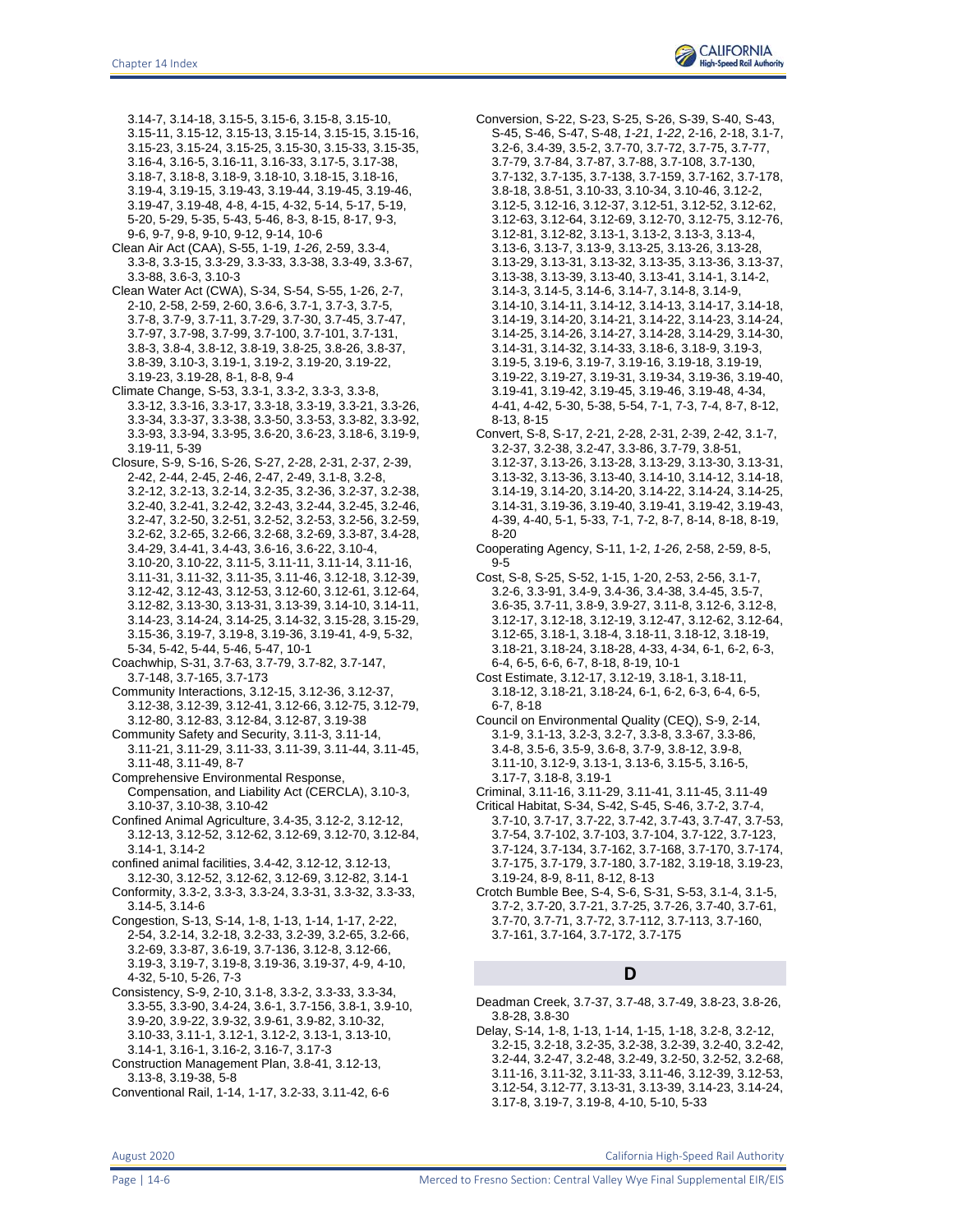3.14-7, 3.14-18, 3.15-5, 3.15-6, 3.15-8, 3.15-10, 3.15-11, 3.15-12, 3.15-13, 3.15-14, 3.15-15, 3.15-16, 3.15-23, 3.15-24, 3.15-25, 3.15-30, 3.15-33, 3.15-35, 3.16-4, 3.16-5, 3.16-11, 3.16-33, 3.17-5, 3.17-38, 3.18-7, 3.18-8, 3.18-9, 3.18-10, 3.18-15, 3.18-16, 3.19-4, 3.19-15, 3.19-43, 3.19-44, 3.19-45, 3.19-46, 3.19-47, 3.19-48, 4-8, 4-15, 4-32, 5-14, 5-17, 5-19, 5-20, 5-29, 5-35, 5-43, 5-46, 8-3, 8-15, 8-17, 9-3, 9-6, 9-7, 9-8, 9-10, 9-12, 9-14, 10-6

- Clean Air Act (CAA), S-55, 1-19, *1-26*, 2-59, 3.3-4, 3.3-8, 3.3-15, 3.3-29, 3.3-33, 3.3-38, 3.3-49, 3.3-67, 3.3-88, 3.6-3, 3.10-3
- Clean Water Act (CWA), S-34, S-54, S-55, 1-26, 2-7, 2-10, 2-58, 2-59, 2-60, 3.6-6, 3.7-1, 3.7-3, 3.7-5, 3.7-8, 3.7-9, 3.7-11, 3.7-29, 3.7-30, 3.7-45, 3.7-47, 3.7-97, 3.7-98, 3.7-99, 3.7-100, 3.7-101, 3.7-131, 3.8-3, 3.8-4, 3.8-12, 3.8-19, 3.8-25, 3.8-26, 3.8-37, 3.8-39, 3.10-3, 3.19-1, 3.19-2, 3.19-20, 3.19-22, 3.19-23, 3.19-28, 8-1, 8-8, 9-4
- Climate Change, S-53, 3.3-1, 3.3-2, 3.3-3, 3.3-8, 3.3-12, 3.3-16, 3.3-17, 3.3-18, 3.3-19, 3.3-21, 3.3-26, 3.3-34, 3.3-37, 3.3-38, 3.3-50, 3.3-53, 3.3-82, 3.3-92, 3.3-93, 3.3-94, 3.3-95, 3.6-20, 3.6-23, 3.18-6, 3.19-9, 3.19-11, 5-39
- Closure, S-9, S-16, S-26, S-27, 2-28, 2-31, 2-37, 2-39, 2-42, 2-44, 2-45, 2-46, 2-47, 2-49, 3.1-8, 3.2-8, 3.2-12, 3.2-13, 3.2-14, 3.2-35, 3.2-36, 3.2-37, 3.2-38, 3.2-40, 3.2-41, 3.2-42, 3.2-43, 3.2-44, 3.2-45, 3.2-46, 3.2-47, 3.2-50, 3.2-51, 3.2-52, 3.2-53, 3.2-56, 3.2-59, 3.2-62, 3.2-65, 3.2-66, 3.2-68, 3.2-69, 3.3-87, 3.4-28, 3.4-29, 3.4-41, 3.4-43, 3.6-16, 3.6-22, 3.10-4, 3.10-20, 3.10-22, 3.11-5, 3.11-11, 3.11-14, 3.11-16, 3.11-31, 3.11-32, 3.11-35, 3.11-46, 3.12-18, 3.12-39, 3.12-42, 3.12-43, 3.12-53, 3.12-60, 3.12-61, 3.12-64, 3.12-82, 3.13-30, 3.13-31, 3.13-39, 3.14-10, 3.14-11, 3.14-23, 3.14-24, 3.14-25, 3.14-32, 3.15-28, 3.15-29, 3.15-36, 3.19-7, 3.19-8, 3.19-36, 3.19-41, 4-9, 5-32, 5-34, 5-42, 5-44, 5-46, 5-47, 10-1
- Coachwhip, S-31, 3.7-63, 3.7-79, 3.7-82, 3.7-147, 3.7-148, 3.7-165, 3.7-173
- Community Interactions, 3.12-15, 3.12-36, 3.12-37, 3.12-38, 3.12-39, 3.12-41, 3.12-66, 3.12-75, 3.12-79,
- 3.12-80, 3.12-83, 3.12-84, 3.12-87, 3.19-38 Community Safety and Security, 3.11-3, 3.11-14,
- 3.11-21, 3.11-29, 3.11-33, 3.11-39, 3.11-44, 3.11-45, 3.11-48, 3.11-49, 8-7
- Comprehensive Environmental Response, Compensation, and Liability Act (CERCLA), 3.10-3, 3.10-37, 3.10-38, 3.10-42
- Confined Animal Agriculture, 3.4-35, 3.12-2, 3.12-12, 3.12-13, 3.12-52, 3.12-62, 3.12-69, 3.12-70, 3.12-84, 3.14-1, 3.14-2
- confined animal facilities, 3.4-42, 3.12-12, 3.12-13,
- 3.12-30, 3.12-52, 3.12-62, 3.12-69, 3.12-82, 3.14-1 Conformity, 3.3-2, 3.3-3, 3.3-24, 3.3-31, 3.3-32, 3.3-33, 3.14-5, 3.14-6
- Congestion, S-13, S-14, 1-8, 1-13, 1-14, 1-17, 2-22, 2-54, 3.2-14, 3.2-18, 3.2-33, 3.2-39, 3.2-65, 3.2-66, 3.2-69, 3.3-87, 3.6-19, 3.7-136, 3.12-8, 3.12-66, 3.19-3, 3.19-7, 3.19-8, 3.19-36, 3.19-37, 4-9, 4-10, 4-32, 5-10, 5-26, 7-3
- Consistency, S-9, 2-10, 3.1-8, 3.3-2, 3.3-33, 3.3-34, 3.3-55, 3.3-90, 3.4-24, 3.6-1, 3.7-156, 3.8-1, 3.9-10, 3.9-20, 3.9-22, 3.9-32, 3.9-61, 3.9-82, 3.10-32, 3.10-33, 3.11-1, 3.12-1, 3.12-2, 3.13-1, 3.13-10, 3.14-1, 3.16-1, 3.16-2, 3.16-7, 3.17-3
- Construction Management Plan, 3.8-41, 3.12-13, 3.13-8, 3.19-38, 5-8
- Conventional Rail, 1-14, 1-17, 3.2-33, 3.11-42, 6-6

Conversion, S-22, S-23, S-25, S-26, S-39, S-40, S-43, S-45, S-46, S-47, S-48, *1-21*, *1-22*, 2-16, 2-18, 3.1-7, 3.2-6, 3.4-39, 3.5-2, 3.7-70, 3.7-72, 3.7-75, 3.7-77, 3.7-79, 3.7-84, 3.7-87, 3.7-88, 3.7-108, 3.7-130, 3.7-132, 3.7-135, 3.7-138, 3.7-159, 3.7-162, 3.7-178, 3.8-18, 3.8-51, 3.10-33, 3.10-34, 3.10-46, 3.12-2, 3.12-5, 3.12-16, 3.12-37, 3.12-51, 3.12-52, 3.12-62, 3.12-63, 3.12-64, 3.12-69, 3.12-70, 3.12-75, 3.12-76, 3.12-81, 3.12-82, 3.13-1, 3.13-2, 3.13-3, 3.13-4, 3.13-6, 3.13-7, 3.13-9, 3.13-25, 3.13-26, 3.13-28, 3.13-29, 3.13-31, 3.13-32, 3.13-35, 3.13-36, 3.13-37, 3.13-38, 3.13-39, 3.13-40, 3.13-41, 3.14-1, 3.14-2, 3.14-3, 3.14-5, 3.14-6, 3.14-7, 3.14-8, 3.14-9, 3.14-10, 3.14-11, 3.14-12, 3.14-13, 3.14-17, 3.14-18, 3.14-19, 3.14-20, 3.14-21, 3.14-22, 3.14-23, 3.14-24, 3.14-25, 3.14-26, 3.14-27, 3.14-28, 3.14-29, 3.14-30, 3.14-31, 3.14-32, 3.14-33, 3.18-6, 3.18-9, 3.19-3, 3.19-5, 3.19-6, 3.19-7, 3.19-16, 3.19-18, 3.19-19, 3.19-22, 3.19-27, 3.19-31, 3.19-34, 3.19-36, 3.19-40, 3.19-41, 3.19-42, 3.19-45, 3.19-46, 3.19-48, 4-34, 4-41, 4-42, 5-30, 5-38, 5-54, 7-1, 7-3, 7-4, 8-7, 8-12, 8-13, 8-15

- Convert, S-8, S-17, 2-21, 2-28, 2-31, 2-39, 2-42, 3.1-7, 3.2-37, 3.2-38, 3.2-47, 3.3-86, 3.7-79, 3.8-51, 3.12-37, 3.13-26, 3.13-28, 3.13-29, 3.13-30, 3.13-31, 3.13-32, 3.13-36, 3.13-40, 3.14-10, 3.14-12, 3.14-18, 3.14-19, 3.14-20, 3.14-20, 3.14-22, 3.14-24, 3.14-25, 3.14-31, 3.19-36, 3.19-40, 3.19-41, 3.19-42, 3.19-43, 4-39, 4-40, 5-1, 5-33, 7-1, 7-2, 8-7, 8-14, 8-18, 8-19, 8-20
- Cooperating Agency, S-11, 1-2, *1-26*, 2-58, 2-59, 8-5, 9-5
- Cost, S-8, S-25, S-52, 1-15, 1-20, 2-53, 2-56, 3.1-7, 3.2-6, 3.3-91, 3.4-9, 3.4-36, 3.4-38, 3.4-45, 3.5-7, 3.6-35, 3.7-11, 3.8-9, 3.9-27, 3.11-8, 3.12-6, 3.12-8, 3.12-17, 3.12-18, 3.12-19, 3.12-47, 3.12-62, 3.12-64, 3.12-65, 3.18-1, 3.18-4, 3.18-11, 3.18-12, 3.18-19, 3.18-21, 3.18-24, 3.18-28, 4-33, 4-34, 6-1, 6-2, 6-3, 6-4, 6-5, 6-6, 6-7, 8-18, 8-19, 10-1
- Cost Estimate, 3.12-17, 3.12-19, 3.18-1, 3.18-11, 3.18-12, 3.18-21, 3.18-24, 6-1, 6-2, 6-3, 6-4, 6-5, 6-7, 8-18
- Council on Environmental Quality (CEQ), S-9, 2-14, 3.1-9, 3.1-13, 3.2-3, 3.2-7, 3.3-8, 3.3-67, 3.3-86, 3.4-8, 3.5-6, 3.5-9, 3.6-8, 3.7-9, 3.8-12, 3.9-8, 3.11-10, 3.12-9, 3.13-1, 3.13-6, 3.15-5, 3.16-5, 3.17-7, 3.18-8, 3.19-1
- Criminal, 3.11-16, 3.11-29, 3.11-41, 3.11-45, 3.11-49
- Critical Habitat, S-34, S-42, S-45, S-46, 3.7-2, 3.7-4, 3.7-10, 3.7-17, 3.7-22, 3.7-42, 3.7-43, 3.7-47, 3.7-53, 3.7-54, 3.7-102, 3.7-103, 3.7-104, 3.7-122, 3.7-123, 3.7-124, 3.7-134, 3.7-162, 3.7-168, 3.7-170, 3.7-174, 3.7-175, 3.7-179, 3.7-180, 3.7-182, 3.19-18, 3.19-23, 3.19-24, 8-9, 8-11, 8-12, 8-13
- Crotch Bumble Bee, S-4, S-6, S-31, S-53, 3.1-4, 3.1-5, 3.7-2, 3.7-20, 3.7-21, 3.7-25, 3.7-26, 3.7-40, 3.7-61, 3.7-70, 3.7-71, 3.7-72, 3.7-112, 3.7-113, 3.7-160, 3.7-161, 3.7-164, 3.7-172, 3.7-175

## **D**

- Deadman Creek, 3.7-37, 3.7-48, 3.7-49, 3.8-23, 3.8-26, 3.8-28, 3.8-30
- Delay, S-14, 1-8, 1-13, 1-14, 1-15, 1-18, 3.2-8, 3.2-12, 3.2-15, 3.2-18, 3.2-35, 3.2-38, 3.2-39, 3.2-40, 3.2-42, 3.2-44, 3.2-47, 3.2-48, 3.2-49, 3.2-50, 3.2-52, 3.2-68, 3.11-16, 3.11-32, 3.11-33, 3.11-46, 3.12-39, 3.12-53, 3.12-54, 3.12-77, 3.13-31, 3.13-39, 3.14-23, 3.14-24, 3.17-8, 3.19-7, 3.19-8, 4-10, 5-10, 5-33

Page | 14-6 **Merced to Fresno Section: Central Valley Wye Final Supplemental EIR/EIS**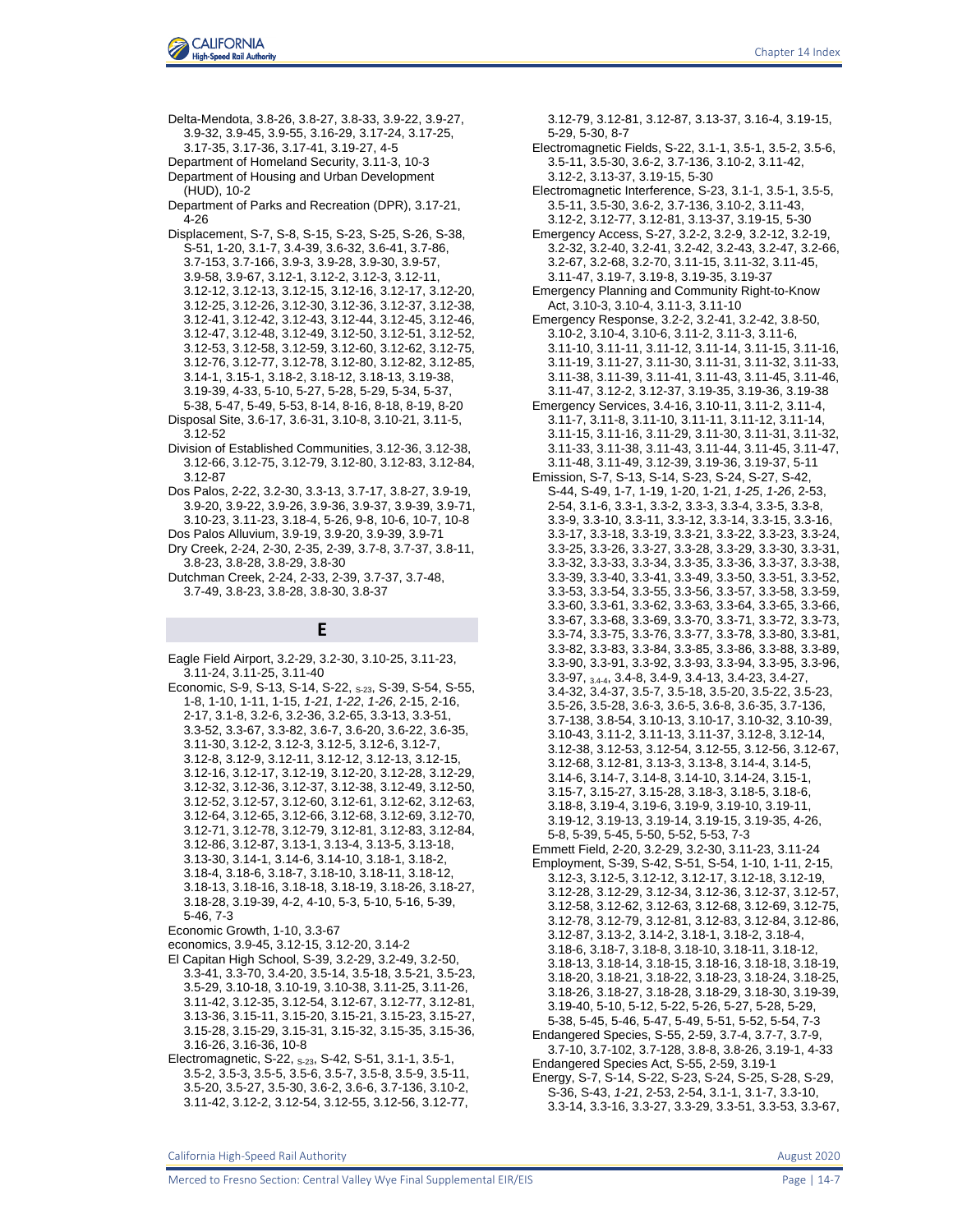

Delta-Mendota, 3.8-26, 3.8-27, 3.8-33, 3.9-22, 3.9-27, 3.9-32, 3.9-45, 3.9-55, 3.16-29, 3.17-24, 3.17-25, 3.17-35, 3.17-36, 3.17-41, 3.19-27, 4-5 Department of Homeland Security, 3.11-3, 10-3 Department of Housing and Urban Development (HUD), 10-2 Department of Parks and Recreation (DPR), 3.17-21,

4-26 Displacement, S-7, S-8, S-15, S-23, S-25, S-26, S-38, S-51, 1-20, 3.1-7, 3.4-39, 3.6-32, 3.6-41, 3.7-86, 3.7-153, 3.7-166, 3.9-3, 3.9-28, 3.9-30, 3.9-57, 3.9-58, 3.9-67, 3.12-1, 3.12-2, 3.12-3, 3.12-11, 3.12-12, 3.12-13, 3.12-15, 3.12-16, 3.12-17, 3.12-20, 3.12-25, 3.12-26, 3.12-30, 3.12-36, 3.12-37, 3.12-38, 3.12-41, 3.12-42, 3.12-43, 3.12-44, 3.12-45, 3.12-46, 3.12-47, 3.12-48, 3.12-49, 3.12-50, 3.12-51, 3.12-52, 3.12-53, 3.12-58, 3.12-59, 3.12-60, 3.12-62, 3.12-75, 3.12-76, 3.12-77, 3.12-78, 3.12-80, 3.12-82, 3.12-85, 3.14-1, 3.15-1, 3.18-2, 3.18-12, 3.18-13, 3.19-38, 3.19-39, 4-33, 5-10, 5-27, 5-28, 5-29, 5-34, 5-37, 5-38, 5-47, 5-49, 5-53, 8-14, 8-16, 8-18, 8-19, 8-20 Disposal Site, 3.6-17, 3.6-31, 3.10-8, 3.10-21, 3.11-5, 3.12-52

- Division of Established Communities, 3.12-36, 3.12-38, 3.12-66, 3.12-75, 3.12-79, 3.12-80, 3.12-83, 3.12-84, 3.12-87
- Dos Palos, 2-22, 3.2-30, 3.3-13, 3.7-17, 3.8-27, 3.9-19, 3.9-20, 3.9-22, 3.9-26, 3.9-36, 3.9-37, 3.9-39, 3.9-71, 3.10-23, 3.11-23, 3.18-4, 5-26, 9-8, 10-6, 10-7, 10-8 Dos Palos Alluvium, 3.9-19, 3.9-20, 3.9-39, 3.9-71
- Dry Creek, 2-24, 2-30, 2-35, 2-39, 3.7-8, 3.7-37, 3.8-11, 3.8-23, 3.8-28, 3.8-29, 3.8-30
- Dutchman Creek, 2-24, 2-33, 2-39, 3.7-37, 3.7-48, 3.7-49, 3.8-23, 3.8-28, 3.8-30, 3.8-37

### **E**

Eagle Field Airport, 3.2-29, 3.2-30, 3.10-25, 3.11-23, 3.11-24, 3.11-25, 3.11-40

Economic, S-9, S-13, S-14, S-22, S-23, S-39, S-54, S-55, 1-8, 1-10, 1-11, 1-15, *1-21*, *1-22*, *1-26*, 2-15, 2-16, 2-17, 3.1-8, 3.2-6, 3.2-36, 3.2-65, 3.3-13, 3.3-51, 3.3-52, 3.3-67, 3.3-82, 3.6-7, 3.6-20, 3.6-22, 3.6-35, 3.11-30, 3.12-2, 3.12-3, 3.12-5, 3.12-6, 3.12-7, 3.12-8, 3.12-9, 3.12-11, 3.12-12, 3.12-13, 3.12-15, 3.12-16, 3.12-17, 3.12-19, 3.12-20, 3.12-28, 3.12-29, 3.12-32, 3.12-36, 3.12-37, 3.12-38, 3.12-49, 3.12-50, 3.12-52, 3.12-57, 3.12-60, 3.12-61, 3.12-62, 3.12-63, 3.12-64, 3.12-65, 3.12-66, 3.12-68, 3.12-69, 3.12-70, 3.12-71, 3.12-78, 3.12-79, 3.12-81, 3.12-83, 3.12-84, 3.12-86, 3.12-87, 3.13-1, 3.13-4, 3.13-5, 3.13-18, 3.13-30, 3.14-1, 3.14-6, 3.14-10, 3.18-1, 3.18-2, 3.18-4, 3.18-6, 3.18-7, 3.18-10, 3.18-11, 3.18-12, 3.18-13, 3.18-16, 3.18-18, 3.18-19, 3.18-26, 3.18-27, 3.18-28, 3.19-39, 4-2, 4-10, 5-3, 5-10, 5-16, 5-39, 5-46, 7-3

- economics, 3.9-45, 3.12-15, 3.12-20, 3.14-2
- El Capitan High School, S-39, 3.2-29, 3.2-49, 3.2-50, 3.3-41, 3.3-70, 3.4-20, 3.5-14, 3.5-18, 3.5-21, 3.5-23, 3.5-29, 3.10-18, 3.10-19, 3.10-38, 3.11-25, 3.11-26, 3.11-42, 3.12-35, 3.12-54, 3.12-67, 3.12-77, 3.12-81, 3.13-36, 3.15-11, 3.15-20, 3.15-21, 3.15-23, 3.15-27, 3.15-28, 3.15-29, 3.15-31, 3.15-32, 3.15-35, 3.15-36, 3.16-26, 3.16-36, 10-8
- Electromagnetic, S-22, S-23, S-42, S-51, 3.1-1, 3.5-1, 3.5-2, 3.5-3, 3.5-5, 3.5-6, 3.5-7, 3.5-8, 3.5-9, 3.5-11, 3.5-20, 3.5-27, 3.5-30, 3.6-2, 3.6-6, 3.7-136, 3.10-2, 3.11-42, 3.12-2, 3.12-54, 3.12-55, 3.12-56, 3.12-77,

3.12-79, 3.12-81, 3.12-87, 3.13-37, 3.16-4, 3.19-15, 5-29, 5-30, 8-7

- Electromagnetic Fields, S-22, 3.1-1, 3.5-1, 3.5-2, 3.5-6, 3.5-11, 3.5-30, 3.6-2, 3.7-136, 3.10-2, 3.11-42, 3.12-2, 3.13-37, 3.19-15, 5-30
- Electromagnetic Interference, S-23, 3.1-1, 3.5-1, 3.5-5, 3.5-11, 3.5-30, 3.6-2, 3.7-136, 3.10-2, 3.11-43, 3.12-2, 3.12-77, 3.12-81, 3.13-37, 3.19-15, 5-30
- Emergency Access, S-27, 3.2-2, 3.2-9, 3.2-12, 3.2-19, 3.2-32, 3.2-40, 3.2-41, 3.2-42, 3.2-43, 3.2-47, 3.2-66, 3.2-67, 3.2-68, 3.2-70, 3.11-15, 3.11-32, 3.11-45, 3.11-47, 3.19-7, 3.19-8, 3.19-35, 3.19-37
- Emergency Planning and Community Right-to-Know Act, 3.10-3, 3.10-4, 3.11-3, 3.11-10
- Emergency Response, 3.2-2, 3.2-41, 3.2-42, 3.8-50, 3.10-2, 3.10-4, 3.10-6, 3.11-2, 3.11-3, 3.11-6, 3.11-10, 3.11-11, 3.11-12, 3.11-14, 3.11-15, 3.11-16, 3.11-19, 3.11-27, 3.11-30, 3.11-31, 3.11-32, 3.11-33, 3.11-38, 3.11-39, 3.11-41, 3.11-43, 3.11-45, 3.11-46, 3.11-47, 3.12-2, 3.12-37, 3.19-35, 3.19-36, 3.19-38
- Emergency Services, 3.4-16, 3.10-11, 3.11-2, 3.11-4, 3.11-7, 3.11-8, 3.11-10, 3.11-11, 3.11-12, 3.11-14, 3.11-15, 3.11-16, 3.11-29, 3.11-30, 3.11-31, 3.11-32, 3.11-33, 3.11-38, 3.11-43, 3.11-44, 3.11-45, 3.11-47, 3.11-48, 3.11-49, 3.12-39, 3.19-36, 3.19-37, 5-11
- Emission, S-7, S-13, S-14, S-23, S-24, S-27, S-42, S-44, S-49, 1-7, 1-19, 1-20, 1-21, *1-25*, *1-26*, 2-53, 2-54, 3.1-6, 3.3-1, 3.3-2, 3.3-3, 3.3-4, 3.3-5, 3.3-8, 3.3-9, 3.3-10, 3.3-11, 3.3-12, 3.3-14, 3.3-15, 3.3-16, 3.3-17, 3.3-18, 3.3-19, 3.3-21, 3.3-22, 3.3-23, 3.3-24, 3.3-25, 3.3-26, 3.3-27, 3.3-28, 3.3-29, 3.3-30, 3.3-31, 3.3-32, 3.3-33, 3.3-34, 3.3-35, 3.3-36, 3.3-37, 3.3-38, 3.3-39, 3.3-40, 3.3-41, 3.3-49, 3.3-50, 3.3-51, 3.3-52, 3.3-53, 3.3-54, 3.3-55, 3.3-56, 3.3-57, 3.3-58, 3.3-59, 3.3-60, 3.3-61, 3.3-62, 3.3-63, 3.3-64, 3.3-65, 3.3-66, 3.3-67, 3.3-68, 3.3-69, 3.3-70, 3.3-71, 3.3-72, 3.3-73, 3.3-74, 3.3-75, 3.3-76, 3.3-77, 3.3-78, 3.3-80, 3.3-81, 3.3-82, 3.3-83, 3.3-84, 3.3-85, 3.3-86, 3.3-88, 3.3-89, 3.3-90, 3.3-91, 3.3-92, 3.3-93, 3.3-94, 3.3-95, 3.3-96, 3.3-97, 3.4-4, 3.4-8, 3.4-9, 3.4-13, 3.4-23, 3.4-27, 3.4-32, 3.4-37, 3.5-7, 3.5-18, 3.5-20, 3.5-22, 3.5-23, 3.5-26, 3.5-28, 3.6-3, 3.6-5, 3.6-8, 3.6-35, 3.7-136, 3.7-138, 3.8-54, 3.10-13, 3.10-17, 3.10-32, 3.10-39, 3.10-43, 3.11-2, 3.11-13, 3.11-37, 3.12-8, 3.12-14, 3.12-38, 3.12-53, 3.12-54, 3.12-55, 3.12-56, 3.12-67, 3.12-68, 3.12-81, 3.13-3, 3.13-8, 3.14-4, 3.14-5, 3.14-6, 3.14-7, 3.14-8, 3.14-10, 3.14-24, 3.15-1, 3.15-7, 3.15-27, 3.15-28, 3.18-3, 3.18-5, 3.18-6, 3.18-8, 3.19-4, 3.19-6, 3.19-9, 3.19-10, 3.19-11, 3.19-12, 3.19-13, 3.19-14, 3.19-15, 3.19-35, 4-26, 5-8, 5-39, 5-45, 5-50, 5-52, 5-53, 7-3
- Emmett Field, 2-20, 3.2-29, 3.2-30, 3.11-23, 3.11-24 Employment, S-39, S-42, S-51, S-54, 1-10, 1-11, 2-15, 3.12-3, 3.12-5, 3.12-12, 3.12-17, 3.12-18, 3.12-19, 3.12-28, 3.12-29, 3.12-34, 3.12-36, 3.12-37, 3.12-57, 3.12-58, 3.12-62, 3.12-63, 3.12-68, 3.12-69, 3.12-75, 3.12-78, 3.12-79, 3.12-81, 3.12-83, 3.12-84, 3.12-86, 3.12-87, 3.13-2, 3.14-2, 3.18-1, 3.18-2, 3.18-4, 3.18-6, 3.18-7, 3.18-8, 3.18-10, 3.18-11, 3.18-12, 3.18-13, 3.18-14, 3.18-15, 3.18-16, 3.18-18, 3.18-19, 3.18-20, 3.18-21, 3.18-22, 3.18-23, 3.18-24, 3.18-25, 3.18-26, 3.18-27, 3.18-28, 3.18-29, 3.18-30, 3.19-39, 3.19-40, 5-10, 5-12, 5-22, 5-26, 5-27, 5-28, 5-29, 5-38, 5-45, 5-46, 5-47, 5-49, 5-51, 5-52, 5-54, 7-3 Endangered Species, S-55, 2-59, 3.7-4, 3.7-7, 3.7-9, 3.7-10, 3.7-102, 3.7-128, 3.8-8, 3.8-26, 3.19-1, 4-33 Endangered Species Act, S-55, 2-59, 3.19-1 Energy, S-7, S-14, S-22, S-23, S-24, S-25, S-28, S-29,
- S-36, S-43, *1-21*, 2-53, 2-54, 3.1-1, 3.1-7, 3.3-10, 3.3-14, 3.3-16, 3.3-27, 3.3-29, 3.3-51, 3.3-53, 3.3-67,

Economic Growth, 1-10, 3.3-67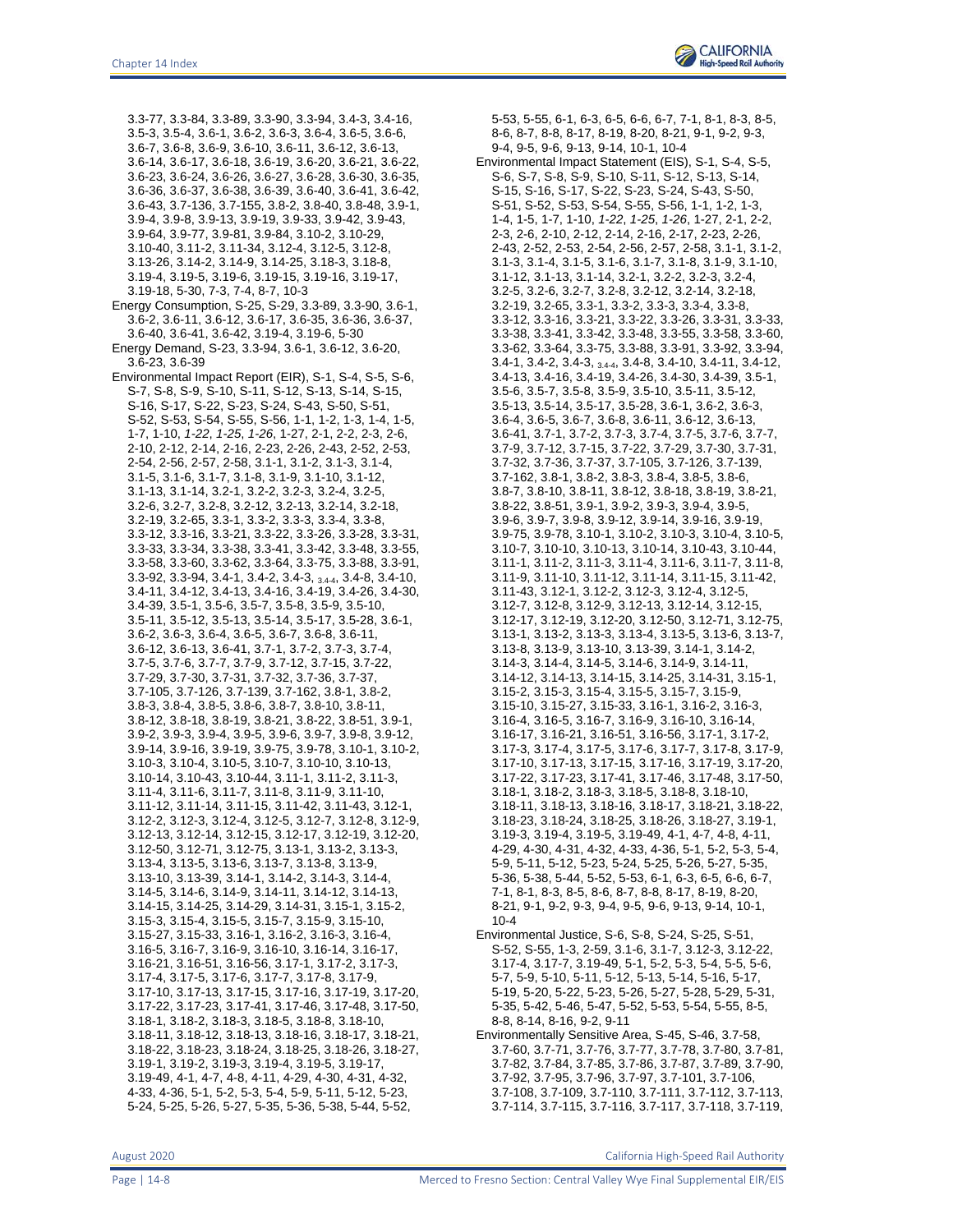3.3-77, 3.3-84, 3.3-89, 3.3-90, 3.3-94, 3.4-3, 3.4-16, 3.5-3, 3.5-4, 3.6-1, 3.6-2, 3.6-3, 3.6-4, 3.6-5, 3.6-6, 3.6-7, 3.6-8, 3.6-9, 3.6-10, 3.6-11, 3.6-12, 3.6-13, 3.6-14, 3.6-17, 3.6-18, 3.6-19, 3.6-20, 3.6-21, 3.6-22, 3.6-23, 3.6-24, 3.6-26, 3.6-27, 3.6-28, 3.6-30, 3.6-35, 3.6-36, 3.6-37, 3.6-38, 3.6-39, 3.6-40, 3.6-41, 3.6-42, 3.6-43, 3.7-136, 3.7-155, 3.8-2, 3.8-40, 3.8-48, 3.9-1, 3.9-4, 3.9-8, 3.9-13, 3.9-19, 3.9-33, 3.9-42, 3.9-43, 3.9-64, 3.9-77, 3.9-81, 3.9-84, 3.10-2, 3.10-29, 3.10-40, 3.11-2, 3.11-34, 3.12-4, 3.12-5, 3.12-8, 3.13-26, 3.14-2, 3.14-9, 3.14-25, 3.18-3, 3.18-8, 3.19-4, 3.19-5, 3.19-6, 3.19-15, 3.19-16, 3.19-17, 3.19-18, 5-30, 7-3, 7-4, 8-7, 10-3 Energy Consumption, S-25, S-29, 3.3-89, 3.3-90, 3.6-1, 3.6-2, 3.6-11, 3.6-12, 3.6-17, 3.6-35, 3.6-36, 3.6-37, 3.6-40, 3.6-41, 3.6-42, 3.19-4, 3.19-6, 5-30 Energy Demand, S-23, 3.3-94, 3.6-1, 3.6-12, 3.6-20, 3.6-23, 3.6-39 Environmental Impact Report (EIR), S-1, S-4, S-5, S-6, S-7, S-8, S-9, S-10, S-11, S-12, S-13, S-14, S-15, S-16, S-17, S-22, S-23, S-24, S-43, S-50, S-51, S-52, S-53, S-54, S-55, S-56, 1-1, 1-2, 1-3, 1-4, 1-5, 1-7, 1-10, *1-22*, *1-25*, *1-26*, 1-27, 2-1, 2-2, 2-3, 2-6, 2-10, 2-12, 2-14, 2-16, 2-23, 2-26, 2-43, 2-52, 2-53, 2-54, 2-56, 2-57, 2-58, 3.1-1, 3.1-2, 3.1-3, 3.1-4, 3.1-5, 3.1-6, 3.1-7, 3.1-8, 3.1-9, 3.1-10, 3.1-12,

3.1-13, 3.1-14, 3.2-1, 3.2-2, 3.2-3, 3.2-4, 3.2-5, 3.2-6, 3.2-7, 3.2-8, 3.2-12, 3.2-13, 3.2-14, 3.2-18, 3.2-19, 3.2-65, 3.3-1, 3.3-2, 3.3-3, 3.3-4, 3.3-8, 3.3-12, 3.3-16, 3.3-21, 3.3-22, 3.3-26, 3.3-28, 3.3-31, 3.3-33, 3.3-34, 3.3-38, 3.3-41, 3.3-42, 3.3-48, 3.3-55, 3.3-58, 3.3-60, 3.3-62, 3.3-64, 3.3-75, 3.3-88, 3.3-91, 3.3-92, 3.3-94, 3.4-1, 3.4-2, 3.4-3, 3.4-4, 3.4-8, 3.4-10, 3.4-11, 3.4-12, 3.4-13, 3.4-16, 3.4-19, 3.4-26, 3.4-30, 3.4-39, 3.5-1, 3.5-6, 3.5-7, 3.5-8, 3.5-9, 3.5-10, 3.5-11, 3.5-12, 3.5-13, 3.5-14, 3.5-17, 3.5-28, 3.6-1, 3.6-2, 3.6-3, 3.6-4, 3.6-5, 3.6-7, 3.6-8, 3.6-11, 3.6-12, 3.6-13, 3.6-41, 3.7-1, 3.7-2, 3.7-3, 3.7-4, 3.7-5, 3.7-6, 3.7-7, 3.7-9, 3.7-12, 3.7-15, 3.7-22, 3.7-29, 3.7-30, 3.7-31, 3.7-32, 3.7-36, 3.7-37, 3.7-105, 3.7-126, 3.7-139, 3.7-162, 3.8-1, 3.8-2, 3.8-3, 3.8-4, 3.8-5, 3.8-6, 3.8-7, 3.8-10, 3.8-11, 3.8-12, 3.8-18, 3.8-19, 3.8-21, 3.8-22, 3.8-51, 3.9-1, 3.9-2, 3.9-3, 3.9-4, 3.9-5, 3.9-6, 3.9-7, 3.9-8, 3.9-12, 3.9-14, 3.9-16, 3.9-19, 3.9-75, 3.9-78, 3.10-1, 3.10-2, 3.10-3, 3.10-4, 3.10-5, 3.10-7, 3.10-10, 3.10-13, 3.10-14, 3.10-43, 3.10-44, 3.11-1, 3.11-2, 3.11-3, 3.11-4, 3.11-6, 3.11-7, 3.11-8, 3.11-9, 3.11-10, 3.11-12, 3.11-14, 3.11-15, 3.11-42, 3.11-43, 3.12-1, 3.12-2, 3.12-3, 3.12-4, 3.12-5, 3.12-7, 3.12-8, 3.12-9, 3.12-13, 3.12-14, 3.12-15, 3.12-17, 3.12-19, 3.12-20, 3.12-50, 3.12-71, 3.12-75, 3.13-1, 3.13-2, 3.13-3, 3.13-4, 3.13-5, 3.13-6, 3.13-7, 3.13-8, 3.13-9, 3.13-10, 3.13-39, 3.14-1, 3.14-2, 3.14-3, 3.14-4, 3.14-5, 3.14-6, 3.14-9, 3.14-11, 3.14-12, 3.14-13, 3.14-15, 3.14-25, 3.14-29, 3.14-31, 3.15-1, 3.15-2, 3.15-3, 3.15-4, 3.15-5, 3.15-7, 3.15-9, 3.15-10, 3.15-27, 3.15-33, 3.16-1, 3.16-2, 3.16-3, 3.16-4, 3.16-5, 3.16-7, 3.16-9, 3.16-10, 3.16-14, 3.16-17, 3.16-21, 3.16-51, 3.16-56, 3.17-1, 3.17-2, 3.17-3, 3.17-4, 3.17-5, 3.17-6, 3.17-7, 3.17-8, 3.17-9, 3.17-10, 3.17-13, 3.17-15, 3.17-16, 3.17-19, 3.17-20, 3.17-22, 3.17-23, 3.17-41, 3.17-46, 3.17-48, 3.17-50, 3.18-1, 3.18-2, 3.18-3, 3.18-5, 3.18-8, 3.18-10, 3.18-11, 3.18-12, 3.18-13, 3.18-16, 3.18-17, 3.18-21, 3.18-22, 3.18-23, 3.18-24, 3.18-25, 3.18-26, 3.18-27, 3.19-1, 3.19-2, 3.19-3, 3.19-4, 3.19-5, 3.19-17, 3.19-49, 4-1, 4-7, 4-8, 4-11, 4-29, 4-30, 4-31, 4-32, 4-33, 4-36, 5-1, 5-2, 5-3, 5-4, 5-9, 5-11, 5-12, 5-23, 5-24, 5-25, 5-26, 5-27, 5-35, 5-36, 5-38, 5-44, 5-52,

8-6, 8-7, 8-8, 8-17, 8-19, 8-20, 8-21, 9-1, 9-2, 9-3, 9-4, 9-5, 9-6, 9-13, 9-14, 10-1, 10-4 Environmental Impact Statement (EIS), S-1, S-4, S-5, S-6, S-7, S-8, S-9, S-10, S-11, S-12, S-13, S-14, S-15, S-16, S-17, S-22, S-23, S-24, S-43, S-50, S-51, S-52, S-53, S-54, S-55, S-56, 1-1, 1-2, 1-3, 1-4, 1-5, 1-7, 1-10, *1-22*, *1-25*, *1-26*, 1-27, 2-1, 2-2, 2-3, 2-6, 2-10, 2-12, 2-14, 2-16, 2-17, 2-23, 2-26, 2-43, 2-52, 2-53, 2-54, 2-56, 2-57, 2-58, 3.1-1, 3.1-2, 3.1-3, 3.1-4, 3.1-5, 3.1-6, 3.1-7, 3.1-8, 3.1-9, 3.1-10, 3.1-12, 3.1-13, 3.1-14, 3.2-1, 3.2-2, 3.2-3, 3.2-4, 3.2-5, 3.2-6, 3.2-7, 3.2-8, 3.2-12, 3.2-14, 3.2-18, 3.2-19, 3.2-65, 3.3-1, 3.3-2, 3.3-3, 3.3-4, 3.3-8, 3.3-12, 3.3-16, 3.3-21, 3.3-22, 3.3-26, 3.3-31, 3.3-33, 3.3-38, 3.3-41, 3.3-42, 3.3-48, 3.3-55, 3.3-58, 3.3-60, 3.3-62, 3.3-64, 3.3-75, 3.3-88, 3.3-91, 3.3-92, 3.3-94, 3.4-1, 3.4-2, 3.4-3, 3.4-4, 3.4-8, 3.4-10, 3.4-11, 3.4-12, 3.4-13, 3.4-16, 3.4-19, 3.4-26, 3.4-30, 3.4-39, 3.5-1, 3.5-6, 3.5-7, 3.5-8, 3.5-9, 3.5-10, 3.5-11, 3.5-12, 3.5-13, 3.5-14, 3.5-17, 3.5-28, 3.6-1, 3.6-2, 3.6-3, 3.6-4, 3.6-5, 3.6-7, 3.6-8, 3.6-11, 3.6-12, 3.6-13, 3.6-41, 3.7-1, 3.7-2, 3.7-3, 3.7-4, 3.7-5, 3.7-6, 3.7-7, 3.7-9, 3.7-12, 3.7-15, 3.7-22, 3.7-29, 3.7-30, 3.7-31, 3.7-32, 3.7-36, 3.7-37, 3.7-105, 3.7-126, 3.7-139, 3.7-162, 3.8-1, 3.8-2, 3.8-3, 3.8-4, 3.8-5, 3.8-6, 3.8-7, 3.8-10, 3.8-11, 3.8-12, 3.8-18, 3.8-19, 3.8-21, 3.8-22, 3.8-51, 3.9-1, 3.9-2, 3.9-3, 3.9-4, 3.9-5, 3.9-6, 3.9-7, 3.9-8, 3.9-12, 3.9-14, 3.9-16, 3.9-19, 3.9-75, 3.9-78, 3.10-1, 3.10-2, 3.10-3, 3.10-4, 3.10-5, 3.10-7, 3.10-10, 3.10-13, 3.10-14, 3.10-43, 3.10-44, 3.11-1, 3.11-2, 3.11-3, 3.11-4, 3.11-6, 3.11-7, 3.11-8, 3.11-9, 3.11-10, 3.11-12, 3.11-14, 3.11-15, 3.11-42, 3.11-43, 3.12-1, 3.12-2, 3.12-3, 3.12-4, 3.12-5, 3.12-7, 3.12-8, 3.12-9, 3.12-13, 3.12-14, 3.12-15, 3.12-17, 3.12-19, 3.12-20, 3.12-50, 3.12-71, 3.12-75, 3.13-1, 3.13-2, 3.13-3, 3.13-4, 3.13-5, 3.13-6, 3.13-7, 3.13-8, 3.13-9, 3.13-10, 3.13-39, 3.14-1, 3.14-2, 3.14-3, 3.14-4, 3.14-5, 3.14-6, 3.14-9, 3.14-11, 3.14-12, 3.14-13, 3.14-15, 3.14-25, 3.14-31, 3.15-1, 3.15-2, 3.15-3, 3.15-4, 3.15-5, 3.15-7, 3.15-9, 3.15-10, 3.15-27, 3.15-33, 3.16-1, 3.16-2, 3.16-3, 3.16-4, 3.16-5, 3.16-7, 3.16-9, 3.16-10, 3.16-14, 3.16-17, 3.16-21, 3.16-51, 3.16-56, 3.17-1, 3.17-2, 3.17-3, 3.17-4, 3.17-5, 3.17-6, 3.17-7, 3.17-8, 3.17-9, 3.17-10, 3.17-13, 3.17-15, 3.17-16, 3.17-19, 3.17-20, 3.17-22, 3.17-23, 3.17-41, 3.17-46, 3.17-48, 3.17-50, 3.18-1, 3.18-2, 3.18-3, 3.18-5, 3.18-8, 3.18-10, 3.18-11, 3.18-13, 3.18-16, 3.18-17, 3.18-21, 3.18-22, 3.18-23, 3.18-24, 3.18-25, 3.18-26, 3.18-27, 3.19-1, 3.19-3, 3.19-4, 3.19-5, 3.19-49, 4-1, 4-7, 4-8, 4-11, 4-29, 4-30, 4-31, 4-32, 4-33, 4-36, 5-1, 5-2, 5-3, 5-4, 5-9, 5-11, 5-12, 5-23, 5-24, 5-25, 5-26, 5-27, 5-35, 5-36, 5-38, 5-44, 5-52, 5-53, 6-1, 6-3, 6-5, 6-6, 6-7, 7-1, 8-1, 8-3, 8-5, 8-6, 8-7, 8-8, 8-17, 8-19, 8-20, 8-21, 9-1, 9-2, 9-3, 9-4, 9-5, 9-6, 9-13, 9-14, 10-1, 10-4 Environmental Justice, S-6, S-8, S-24, S-25, S-51,

5-53, 5-55, 6-1, 6-3, 6-5, 6-6, 6-7, 7-1, 8-1, 8-3, 8-5,

- S-52, S-55, 1-3, 2-59, 3.1-6, 3.1-7, 3.12-3, 3.12-22, 3.17-4, 3.17-7, 3.19-49, 5-1, 5-2, 5-3, 5-4, 5-5, 5-6, 5-7, 5-9, 5-10, 5-11, 5-12, 5-13, 5-14, 5-16, 5-17, 5-19, 5-20, 5-22, 5-23, 5-26, 5-27, 5-28, 5-29, 5-31, 5-35, 5-42, 5-46, 5-47, 5-52, 5-53, 5-54, 5-55, 8-5, 8-8, 8-14, 8-16, 9-2, 9-11
- Environmentally Sensitive Area, S-45, S-46, 3.7-58, 3.7-60, 3.7-71, 3.7-76, 3.7-77, 3.7-78, 3.7-80, 3.7-81, 3.7-82, 3.7-84, 3.7-85, 3.7-86, 3.7-87, 3.7-89, 3.7-90, 3.7-92, 3.7-95, 3.7-96, 3.7-97, 3.7-101, 3.7-106, 3.7-108, 3.7-109, 3.7-110, 3.7-111, 3.7-112, 3.7-113, 3.7-114, 3.7-115, 3.7-116, 3.7-117, 3.7-118, 3.7-119,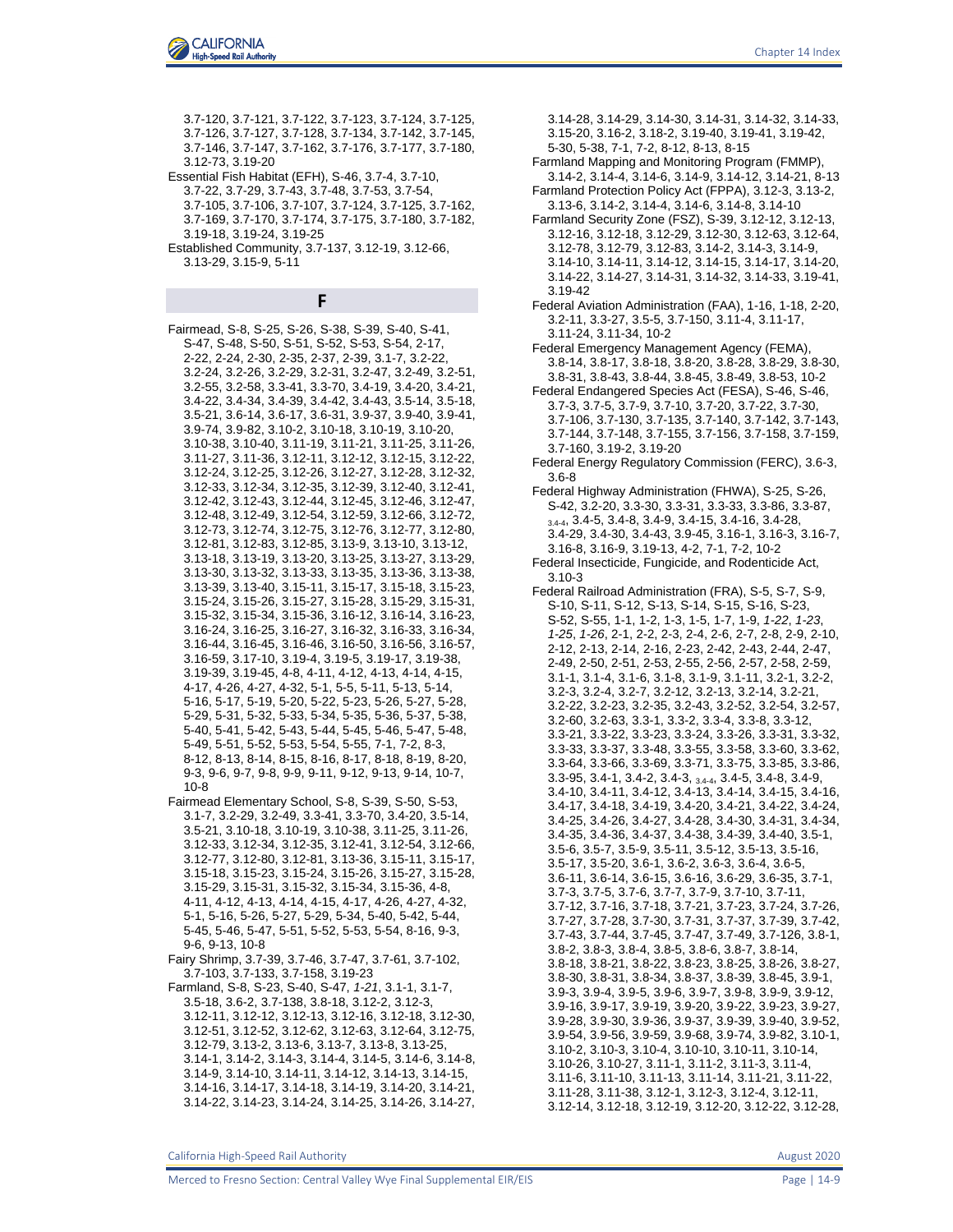- 3.7-120, 3.7-121, 3.7-122, 3.7-123, 3.7-124, 3.7-125, 3.7-126, 3.7-127, 3.7-128, 3.7-134, 3.7-142, 3.7-145, 3.7-146, 3.7-147, 3.7-162, 3.7-176, 3.7-177, 3.7-180, 3.12-73, 3.19-20
- Essential Fish Habitat (EFH), S-46, 3.7-4, 3.7-10, 3.7-22, 3.7-29, 3.7-43, 3.7-48, 3.7-53, 3.7-54, 3.7-105, 3.7-106, 3.7-107, 3.7-124, 3.7-125, 3.7-162, 3.7-169, 3.7-170, 3.7-174, 3.7-175, 3.7-180, 3.7-182, 3.19-18, 3.19-24, 3.19-25
- Established Community, 3.7-137, 3.12-19, 3.12-66, 3.13-29, 3.15-9, 5-11

**F**

Fairmead, S-8, S-25, S-26, S-38, S-39, S-40, S-41, S-47, S-48, S-50, S-51, S-52, S-53, S-54, 2-17, 2-22, 2-24, 2-30, 2-35, 2-37, 2-39, 3.1-7, 3.2-22, 3.2-24, 3.2-26, 3.2-29, 3.2-31, 3.2-47, 3.2-49, 3.2-51, 3.2-55, 3.2-58, 3.3-41, 3.3-70, 3.4-19, 3.4-20, 3.4-21, 3.4-22, 3.4-34, 3.4-39, 3.4-42, 3.4-43, 3.5-14, 3.5-18, 3.5-21, 3.6-14, 3.6-17, 3.6-31, 3.9-37, 3.9-40, 3.9-41, 3.9-74, 3.9-82, 3.10-2, 3.10-18, 3.10-19, 3.10-20, 3.10-38, 3.10-40, 3.11-19, 3.11-21, 3.11-25, 3.11-26, 3.11-27, 3.11-36, 3.12-11, 3.12-12, 3.12-15, 3.12-22, 3.12-24, 3.12-25, 3.12-26, 3.12-27, 3.12-28, 3.12-32, 3.12-33, 3.12-34, 3.12-35, 3.12-39, 3.12-40, 3.12-41, 3.12-42, 3.12-43, 3.12-44, 3.12-45, 3.12-46, 3.12-47, 3.12-48, 3.12-49, 3.12-54, 3.12-59, 3.12-66, 3.12-72, 3.12-73, 3.12-74, 3.12-75, 3.12-76, 3.12-77, 3.12-80, 3.12-81, 3.12-83, 3.12-85, 3.13-9, 3.13-10, 3.13-12, 3.13-18, 3.13-19, 3.13-20, 3.13-25, 3.13-27, 3.13-29, 3.13-30, 3.13-32, 3.13-33, 3.13-35, 3.13-36, 3.13-38, 3.13-39, 3.13-40, 3.15-11, 3.15-17, 3.15-18, 3.15-23, 3.15-24, 3.15-26, 3.15-27, 3.15-28, 3.15-29, 3.15-31, 3.15-32, 3.15-34, 3.15-36, 3.16-12, 3.16-14, 3.16-23, 3.16-24, 3.16-25, 3.16-27, 3.16-32, 3.16-33, 3.16-34, 3.16-44, 3.16-45, 3.16-46, 3.16-50, 3.16-56, 3.16-57, 3.16-59, 3.17-10, 3.19-4, 3.19-5, 3.19-17, 3.19-38, 3.19-39, 3.19-45, 4-8, 4-11, 4-12, 4-13, 4-14, 4-15, 4-17, 4-26, 4-27, 4-32, 5-1, 5-5, 5-11, 5-13, 5-14, 5-16, 5-17, 5-19, 5-20, 5-22, 5-23, 5-26, 5-27, 5-28, 5-29, 5-31, 5-32, 5-33, 5-34, 5-35, 5-36, 5-37, 5-38, 5-40, 5-41, 5-42, 5-43, 5-44, 5-45, 5-46, 5-47, 5-48, 5-49, 5-51, 5-52, 5-53, 5-54, 5-55, 7-1, 7-2, 8-3, 8-12, 8-13, 8-14, 8-15, 8-16, 8-17, 8-18, 8-19, 8-20, 9-3, 9-6, 9-7, 9-8, 9-9, 9-11, 9-12, 9-13, 9-14, 10-7, 10-8

- Fairmead Elementary School, S-8, S-39, S-50, S-53, 3.1-7, 3.2-29, 3.2-49, 3.3-41, 3.3-70, 3.4-20, 3.5-14, 3.5-21, 3.10-18, 3.10-19, 3.10-38, 3.11-25, 3.11-26, 3.12-33, 3.12-34, 3.12-35, 3.12-41, 3.12-54, 3.12-66, 3.12-77, 3.12-80, 3.12-81, 3.13-36, 3.15-11, 3.15-17, 3.15-18, 3.15-23, 3.15-24, 3.15-26, 3.15-27, 3.15-28, 3.15-29, 3.15-31, 3.15-32, 3.15-34, 3.15-36, 4-8, 4-11, 4-12, 4-13, 4-14, 4-15, 4-17, 4-26, 4-27, 4-32, 5-1, 5-16, 5-26, 5-27, 5-29, 5-34, 5-40, 5-42, 5-44, 5-45, 5-46, 5-47, 5-51, 5-52, 5-53, 5-54, 8-16, 9-3, 9-6, 9-13, 10-8
- Fairy Shrimp, 3.7-39, 3.7-46, 3.7-47, 3.7-61, 3.7-102, 3.7-103, 3.7-133, 3.7-158, 3.19-23
- Farmland, S-8, S-23, S-40, S-47, *1-21*, 3.1-1, 3.1-7, 3.5-18, 3.6-2, 3.7-138, 3.8-18, 3.12-2, 3.12-3, 3.12-11, 3.12-12, 3.12-13, 3.12-16, 3.12-18, 3.12-30, 3.12-51, 3.12-52, 3.12-62, 3.12-63, 3.12-64, 3.12-75, 3.12-79, 3.13-2, 3.13-6, 3.13-7, 3.13-8, 3.13-25, 3.14-1, 3.14-2, 3.14-3, 3.14-4, 3.14-5, 3.14-6, 3.14-8, 3.14-9, 3.14-10, 3.14-11, 3.14-12, 3.14-13, 3.14-15, 3.14-16, 3.14-17, 3.14-18, 3.14-19, 3.14-20, 3.14-21, 3.14-22, 3.14-23, 3.14-24, 3.14-25, 3.14-26, 3.14-27,

3.14-28, 3.14-29, 3.14-30, 3.14-31, 3.14-32, 3.14-33, 3.15-20, 3.16-2, 3.18-2, 3.19-40, 3.19-41, 3.19-42, 5-30, 5-38, 7-1, 7-2, 8-12, 8-13, 8-15

- Farmland Mapping and Monitoring Program (FMMP), 3.14-2, 3.14-4, 3.14-6, 3.14-9, 3.14-12, 3.14-21, 8-13
- Farmland Protection Policy Act (FPPA), 3.12-3, 3.13-2, 3.13-6, 3.14-2, 3.14-4, 3.14-6, 3.14-8, 3.14-10
- Farmland Security Zone (FSZ), S-39, 3.12-12, 3.12-13, 3.12-16, 3.12-18, 3.12-29, 3.12-30, 3.12-63, 3.12-64, 3.12-78, 3.12-79, 3.12-83, 3.14-2, 3.14-3, 3.14-9, 3.14-10, 3.14-11, 3.14-12, 3.14-15, 3.14-17, 3.14-20, 3.14-22, 3.14-27, 3.14-31, 3.14-32, 3.14-33, 3.19-41, 3.19-42
- Federal Aviation Administration (FAA), 1-16, 1-18, 2-20, 3.2-11, 3.3-27, 3.5-5, 3.7-150, 3.11-4, 3.11-17, 3.11-24, 3.11-34, 10-2
- Federal Emergency Management Agency (FEMA), 3.8-14, 3.8-17, 3.8-18, 3.8-20, 3.8-28, 3.8-29, 3.8-30, 3.8-31, 3.8-43, 3.8-44, 3.8-45, 3.8-49, 3.8-53, 10-2
- Federal Endangered Species Act (FESA), S-46, S-46, 3.7-3, 3.7-5, 3.7-9, 3.7-10, 3.7-20, 3.7-22, 3.7-30, 3.7-106, 3.7-130, 3.7-135, 3.7-140, 3.7-142, 3.7-143, 3.7-144, 3.7-148, 3.7-155, 3.7-156, 3.7-158, 3.7-159, 3.7-160, 3.19-2, 3.19-20
- Federal Energy Regulatory Commission (FERC), 3.6-3, 3.6-8
- Federal Highway Administration (FHWA), S-25, S-26, S-42, 3.2-20, 3.3-30, 3.3-31, 3.3-33, 3.3-86, 3.3-87, 3.4-4, 3.4-5, 3.4-8, 3.4-9, 3.4-15, 3.4-16, 3.4-28, 3.4-29, 3.4-30, 3.4-43, 3.9-45, 3.16-1, 3.16-3, 3.16-7, 3.16-8, 3.16-9, 3.19-13, 4-2, 7-1, 7-2, 10-2
- Federal Insecticide, Fungicide, and Rodenticide Act, 3.10-3
- Federal Railroad Administration (FRA), S-5, S-7, S-9, S-10, S-11, S-12, S-13, S-14, S-15, S-16, S-23, S-52, S-55, 1-1, 1-2, 1-3, 1-5, 1-7, 1-9, *1-22*, *1-23*, *1-25*, *1-26*, 2-1, 2-2, 2-3, 2-4, 2-6, 2-7, 2-8, 2-9, 2-10, 2-12, 2-13, 2-14, 2-16, 2-23, 2-42, 2-43, 2-44, 2-47, 2-49, 2-50, 2-51, 2-53, 2-55, 2-56, 2-57, 2-58, 2-59, 3.1-1, 3.1-4, 3.1-6, 3.1-8, 3.1-9, 3.1-11, 3.2-1, 3.2-2, 3.2-3, 3.2-4, 3.2-7, 3.2-12, 3.2-13, 3.2-14, 3.2-21, 3.2-22, 3.2-23, 3.2-35, 3.2-43, 3.2-52, 3.2-54, 3.2-57, 3.2-60, 3.2-63, 3.3-1, 3.3-2, 3.3-4, 3.3-8, 3.3-12, 3.3-21, 3.3-22, 3.3-23, 3.3-24, 3.3-26, 3.3-31, 3.3-32, 3.3-33, 3.3-37, 3.3-48, 3.3-55, 3.3-58, 3.3-60, 3.3-62, 3.3-64, 3.3-66, 3.3-69, 3.3-71, 3.3-75, 3.3-85, 3.3-86, 3.3-95, 3.4-1, 3.4-2, 3.4-3, 3.4-4, 3.4-5, 3.4-8, 3.4-9, 3.4-10, 3.4-11, 3.4-12, 3.4-13, 3.4-14, 3.4-15, 3.4-16, 3.4-17, 3.4-18, 3.4-19, 3.4-20, 3.4-21, 3.4-22, 3.4-24, 3.4-25, 3.4-26, 3.4-27, 3.4-28, 3.4-30, 3.4-31, 3.4-34, 3.4-35, 3.4-36, 3.4-37, 3.4-38, 3.4-39, 3.4-40, 3.5-1, 3.5-6, 3.5-7, 3.5-9, 3.5-11, 3.5-12, 3.5-13, 3.5-16, 3.5-17, 3.5-20, 3.6-1, 3.6-2, 3.6-3, 3.6-4, 3.6-5, 3.6-11, 3.6-14, 3.6-15, 3.6-16, 3.6-29, 3.6-35, 3.7-1, 3.7-3, 3.7-5, 3.7-6, 3.7-7, 3.7-9, 3.7-10, 3.7-11, 3.7-12, 3.7-16, 3.7-18, 3.7-21, 3.7-23, 3.7-24, 3.7-26, 3.7-27, 3.7-28, 3.7-30, 3.7-31, 3.7-37, 3.7-39, 3.7-42, 3.7-43, 3.7-44, 3.7-45, 3.7-47, 3.7-49, 3.7-126, 3.8-1, 3.8-2, 3.8-3, 3.8-4, 3.8-5, 3.8-6, 3.8-7, 3.8-14, 3.8-18, 3.8-21, 3.8-22, 3.8-23, 3.8-25, 3.8-26, 3.8-27, 3.8-30, 3.8-31, 3.8-34, 3.8-37, 3.8-39, 3.8-45, 3.9-1, 3.9-3, 3.9-4, 3.9-5, 3.9-6, 3.9-7, 3.9-8, 3.9-9, 3.9-12, 3.9-16, 3.9-17, 3.9-19, 3.9-20, 3.9-22, 3.9-23, 3.9-27, 3.9-28, 3.9-30, 3.9-36, 3.9-37, 3.9-39, 3.9-40, 3.9-52, 3.9-54, 3.9-56, 3.9-59, 3.9-68, 3.9-74, 3.9-82, 3.10-1, 3.10-2, 3.10-3, 3.10-4, 3.10-10, 3.10-11, 3.10-14, 3.10-26, 3.10-27, 3.11-1, 3.11-2, 3.11-3, 3.11-4, 3.11-6, 3.11-10, 3.11-13, 3.11-14, 3.11-21, 3.11-22, 3.11-28, 3.11-38, 3.12-1, 3.12-3, 3.12-4, 3.12-11, 3.12-14, 3.12-18, 3.12-19, 3.12-20, 3.12-22, 3.12-28,

California High-Speed Rail Authority August 2020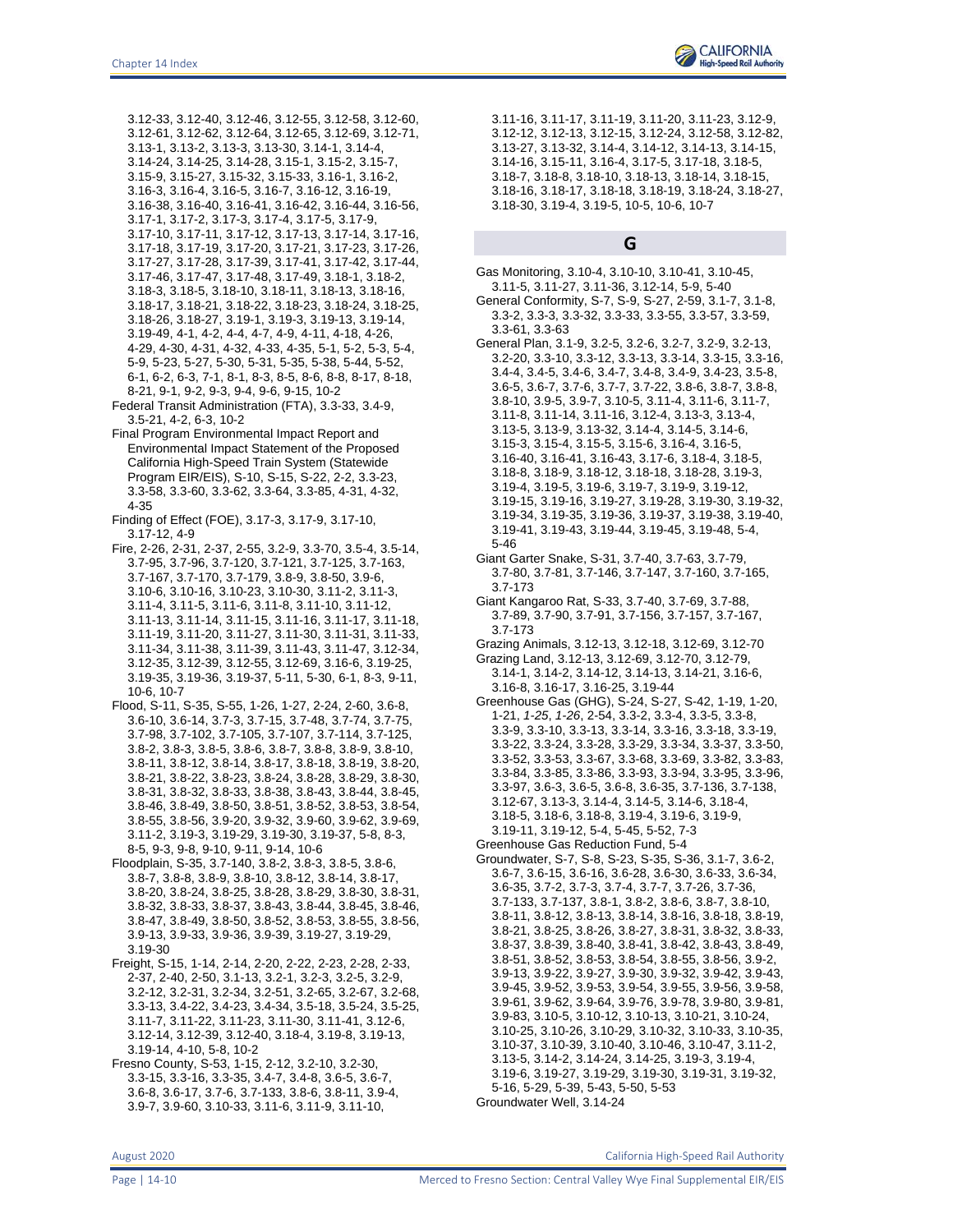3.12-33, 3.12-40, 3.12-46, 3.12-55, 3.12-58, 3.12-60, 3.12-61, 3.12-62, 3.12-64, 3.12-65, 3.12-69, 3.12-71, 3.13-1, 3.13-2, 3.13-3, 3.13-30, 3.14-1, 3.14-4, 3.14-24, 3.14-25, 3.14-28, 3.15-1, 3.15-2, 3.15-7, 3.15-9, 3.15-27, 3.15-32, 3.15-33, 3.16-1, 3.16-2, 3.16-3, 3.16-4, 3.16-5, 3.16-7, 3.16-12, 3.16-19, 3.16-38, 3.16-40, 3.16-41, 3.16-42, 3.16-44, 3.16-56, 3.17-1, 3.17-2, 3.17-3, 3.17-4, 3.17-5, 3.17-9, 3.17-10, 3.17-11, 3.17-12, 3.17-13, 3.17-14, 3.17-16, 3.17-18, 3.17-19, 3.17-20, 3.17-21, 3.17-23, 3.17-26, 3.17-27, 3.17-28, 3.17-39, 3.17-41, 3.17-42, 3.17-44, 3.17-46, 3.17-47, 3.17-48, 3.17-49, 3.18-1, 3.18-2, 3.18-3, 3.18-5, 3.18-10, 3.18-11, 3.18-13, 3.18-16, 3.18-17, 3.18-21, 3.18-22, 3.18-23, 3.18-24, 3.18-25, 3.18-26, 3.18-27, 3.19-1, 3.19-3, 3.19-13, 3.19-14, 3.19-49, 4-1, 4-2, 4-4, 4-7, 4-9, 4-11, 4-18, 4-26, 4-29, 4-30, 4-31, 4-32, 4-33, 4-35, 5-1, 5-2, 5-3, 5-4, 5-9, 5-23, 5-27, 5-30, 5-31, 5-35, 5-38, 5-44, 5-52, 6-1, 6-2, 6-3, 7-1, 8-1, 8-3, 8-5, 8-6, 8-8, 8-17, 8-18, 8-21, 9-1, 9-2, 9-3, 9-4, 9-6, 9-15, 10-2 Federal Transit Administration (FTA), 3.3-33, 3.4-9,

- 3.5-21, 4-2, 6-3, 10-2
- Final Program Environmental Impact Report and Environmental Impact Statement of the Proposed California High-Speed Train System (Statewide Program EIR/EIS), S-10, S-15, S-22, 2-2, 3.3-23, 3.3-58, 3.3-60, 3.3-62, 3.3-64, 3.3-85, 4-31, 4-32, 4-35
- Finding of Effect (FOE), 3.17-3, 3.17-9, 3.17-10, 3.17-12, 4-9
- Fire, 2-26, 2-31, 2-37, 2-55, 3.2-9, 3.3-70, 3.5-4, 3.5-14, 3.7-95, 3.7-96, 3.7-120, 3.7-121, 3.7-125, 3.7-163, 3.7-167, 3.7-170, 3.7-179, 3.8-9, 3.8-50, 3.9-6, 3.10-6, 3.10-16, 3.10-23, 3.10-30, 3.11-2, 3.11-3, 3.11-4, 3.11-5, 3.11-6, 3.11-8, 3.11-10, 3.11-12, 3.11-13, 3.11-14, 3.11-15, 3.11-16, 3.11-17, 3.11-18, 3.11-19, 3.11-20, 3.11-27, 3.11-30, 3.11-31, 3.11-33, 3.11-34, 3.11-38, 3.11-39, 3.11-43, 3.11-47, 3.12-34, 3.12-35, 3.12-39, 3.12-55, 3.12-69, 3.16-6, 3.19-25, 3.19-35, 3.19-36, 3.19-37, 5-11, 5-30, 6-1, 8-3, 9-11, 10-6, 10-7
- Flood, S-11, S-35, S-55, 1-26, 1-27, 2-24, 2-60, 3.6-8, 3.6-10, 3.6-14, 3.7-3, 3.7-15, 3.7-48, 3.7-74, 3.7-75, 3.7-98, 3.7-102, 3.7-105, 3.7-107, 3.7-114, 3.7-125, 3.8-2, 3.8-3, 3.8-5, 3.8-6, 3.8-7, 3.8-8, 3.8-9, 3.8-10, 3.8-11, 3.8-12, 3.8-14, 3.8-17, 3.8-18, 3.8-19, 3.8-20, 3.8-21, 3.8-22, 3.8-23, 3.8-24, 3.8-28, 3.8-29, 3.8-30, 3.8-31, 3.8-32, 3.8-33, 3.8-38, 3.8-43, 3.8-44, 3.8-45, 3.8-46, 3.8-49, 3.8-50, 3.8-51, 3.8-52, 3.8-53, 3.8-54, 3.8-55, 3.8-56, 3.9-20, 3.9-32, 3.9-60, 3.9-62, 3.9-69, 3.11-2, 3.19-3, 3.19-29, 3.19-30, 3.19-37, 5-8, 8-3, 8-5, 9-3, 9-8, 9-10, 9-11, 9-14, 10-6
- Floodplain, S-35, 3.7-140, 3.8-2, 3.8-3, 3.8-5, 3.8-6, 3.8-7, 3.8-8, 3.8-9, 3.8-10, 3.8-12, 3.8-14, 3.8-17, 3.8-20, 3.8-24, 3.8-25, 3.8-28, 3.8-29, 3.8-30, 3.8-31, 3.8-32, 3.8-33, 3.8-37, 3.8-43, 3.8-44, 3.8-45, 3.8-46, 3.8-47, 3.8-49, 3.8-50, 3.8-52, 3.8-53, 3.8-55, 3.8-56, 3.9-13, 3.9-33, 3.9-36, 3.9-39, 3.19-27, 3.19-29, 3.19-30
- Freight, S-15, 1-14, 2-14, 2-20, 2-22, 2-23, 2-28, 2-33, 2-37, 2-40, 2-50, 3.1-13, 3.2-1, 3.2-3, 3.2-5, 3.2-9, 3.2-12, 3.2-31, 3.2-34, 3.2-51, 3.2-65, 3.2-67, 3.2-68, 3.3-13, 3.4-22, 3.4-23, 3.4-34, 3.5-18, 3.5-24, 3.5-25, 3.11-7, 3.11-22, 3.11-23, 3.11-30, 3.11-41, 3.12-6, 3.12-14, 3.12-39, 3.12-40, 3.18-4, 3.19-8, 3.19-13, 3.19-14, 4-10, 5-8, 10-2
- Fresno County, S-53, 1-15, 2-12, 3.2-10, 3.2-30, 3.3-15, 3.3-16, 3.3-35, 3.4-7, 3.4-8, 3.6-5, 3.6-7, 3.6-8, 3.6-17, 3.7-6, 3.7-133, 3.8-6, 3.8-11, 3.9-4, 3.9-7, 3.9-60, 3.10-33, 3.11-6, 3.11-9, 3.11-10,

3.11-16, 3.11-17, 3.11-19, 3.11-20, 3.11-23, 3.12-9, 3.12-12, 3.12-13, 3.12-15, 3.12-24, 3.12-58, 3.12-82, 3.13-27, 3.13-32, 3.14-4, 3.14-12, 3.14-13, 3.14-15, 3.14-16, 3.15-11, 3.16-4, 3.17-5, 3.17-18, 3.18-5, 3.18-7, 3.18-8, 3.18-10, 3.18-13, 3.18-14, 3.18-15, 3.18-16, 3.18-17, 3.18-18, 3.18-19, 3.18-24, 3.18-27, 3.18-30, 3.19-4, 3.19-5, 10-5, 10-6, 10-7

### **G**

- Gas Monitoring, 3.10-4, 3.10-10, 3.10-41, 3.10-45, 3.11-5, 3.11-27, 3.11-36, 3.12-14, 5-9, 5-40
- General Conformity, S-7, S-9, S-27, 2-59, 3.1-7, 3.1-8, 3.3-2, 3.3-3, 3.3-32, 3.3-33, 3.3-55, 3.3-57, 3.3-59, 3.3-61, 3.3-63
- General Plan, 3.1-9, 3.2-5, 3.2-6, 3.2-7, 3.2-9, 3.2-13, 3.2-20, 3.3-10, 3.3-12, 3.3-13, 3.3-14, 3.3-15, 3.3-16, 3.4-4, 3.4-5, 3.4-6, 3.4-7, 3.4-8, 3.4-9, 3.4-23, 3.5-8, 3.6-5, 3.6-7, 3.7-6, 3.7-7, 3.7-22, 3.8-6, 3.8-7, 3.8-8, 3.8-10, 3.9-5, 3.9-7, 3.10-5, 3.11-4, 3.11-6, 3.11-7, 3.11-8, 3.11-14, 3.11-16, 3.12-4, 3.13-3, 3.13-4, 3.13-5, 3.13-9, 3.13-32, 3.14-4, 3.14-5, 3.14-6, 3.15-3, 3.15-4, 3.15-5, 3.15-6, 3.16-4, 3.16-5, 3.16-40, 3.16-41, 3.16-43, 3.17-6, 3.18-4, 3.18-5, 3.18-8, 3.18-9, 3.18-12, 3.18-18, 3.18-28, 3.19-3, 3.19-4, 3.19-5, 3.19-6, 3.19-7, 3.19-9, 3.19-12, 3.19-15, 3.19-16, 3.19-27, 3.19-28, 3.19-30, 3.19-32, 3.19-34, 3.19-35, 3.19-36, 3.19-37, 3.19-38, 3.19-40, 3.19-41, 3.19-43, 3.19-44, 3.19-45, 3.19-48, 5-4, 5-46
- Giant Garter Snake, S-31, 3.7-40, 3.7-63, 3.7-79, 3.7-80, 3.7-81, 3.7-146, 3.7-147, 3.7-160, 3.7-165, 3.7-173
- Giant Kangaroo Rat, S-33, 3.7-40, 3.7-69, 3.7-88, 3.7-89, 3.7-90, 3.7-91, 3.7-156, 3.7-157, 3.7-167, 3.7-173
- Grazing Animals, 3.12-13, 3.12-18, 3.12-69, 3.12-70
- Grazing Land, 3.12-13, 3.12-69, 3.12-70, 3.12-79, 3.14-1, 3.14-2, 3.14-12, 3.14-13, 3.14-21, 3.16-6, 3.16-8, 3.16-17, 3.16-25, 3.19-44
- Greenhouse Gas (GHG), S-24, S-27, S-42, 1-19, 1-20, 1-21, *1-25*, *1-26*, 2-54, 3.3-2, 3.3-4, 3.3-5, 3.3-8, 3.3-9, 3.3-10, 3.3-13, 3.3-14, 3.3-16, 3.3-18, 3.3-19, 3.3-22, 3.3-24, 3.3-28, 3.3-29, 3.3-34, 3.3-37, 3.3-50, 3.3-52, 3.3-53, 3.3-67, 3.3-68, 3.3-69, 3.3-82, 3.3-83, 3.3-84, 3.3-85, 3.3-86, 3.3-93, 3.3-94, 3.3-95, 3.3-96, 3.3-97, 3.6-3, 3.6-5, 3.6-8, 3.6-35, 3.7-136, 3.7-138, 3.12-67, 3.13-3, 3.14-4, 3.14-5, 3.14-6, 3.18-4, 3.18-5, 3.18-6, 3.18-8, 3.19-4, 3.19-6, 3.19-9, 3.19-11, 3.19-12, 5-4, 5-45, 5-52, 7-3
- Greenhouse Gas Reduction Fund, 5-4
- Groundwater, S-7, S-8, S-23, S-35, S-36, 3.1-7, 3.6-2, 3.6-7, 3.6-15, 3.6-16, 3.6-28, 3.6-30, 3.6-33, 3.6-34, 3.6-35, 3.7-2, 3.7-3, 3.7-4, 3.7-7, 3.7-26, 3.7-36, 3.7-133, 3.7-137, 3.8-1, 3.8-2, 3.8-6, 3.8-7, 3.8-10, 3.8-11, 3.8-12, 3.8-13, 3.8-14, 3.8-16, 3.8-18, 3.8-19, 3.8-21, 3.8-25, 3.8-26, 3.8-27, 3.8-31, 3.8-32, 3.8-33, 3.8-37, 3.8-39, 3.8-40, 3.8-41, 3.8-42, 3.8-43, 3.8-49, 3.8-51, 3.8-52, 3.8-53, 3.8-54, 3.8-55, 3.8-56, 3.9-2, 3.9-13, 3.9-22, 3.9-27, 3.9-30, 3.9-32, 3.9-42, 3.9-43, 3.9-45, 3.9-52, 3.9-53, 3.9-54, 3.9-55, 3.9-56, 3.9-58, 3.9-61, 3.9-62, 3.9-64, 3.9-76, 3.9-78, 3.9-80, 3.9-81, 3.9-83, 3.10-5, 3.10-12, 3.10-13, 3.10-21, 3.10-24, 3.10-25, 3.10-26, 3.10-29, 3.10-32, 3.10-33, 3.10-35, 3.10-37, 3.10-39, 3.10-40, 3.10-46, 3.10-47, 3.11-2, 3.13-5, 3.14-2, 3.14-24, 3.14-25, 3.19-3, 3.19-4, 3.19-6, 3.19-27, 3.19-29, 3.19-30, 3.19-31, 3.19-32, 5-16, 5-29, 5-39, 5-43, 5-50, 5-53 Groundwater Well, 3.14-24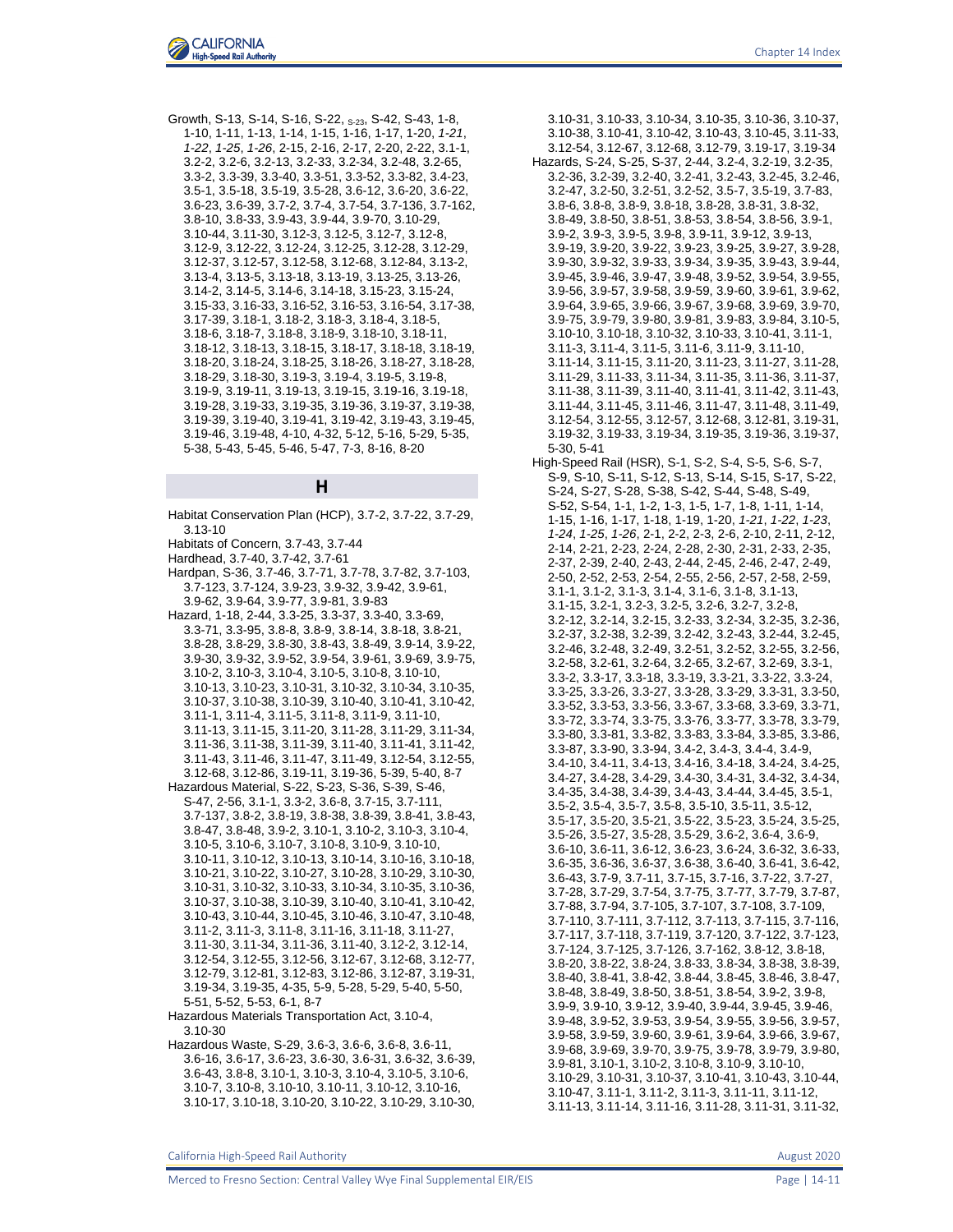

Growth, S-13, S-14, S-16, S-22, S-23, S-42, S-43, 1-8, 1-10, 1-11, 1-13, 1-14, 1-15, 1-16, 1-17, 1-20, *1-21*, *1-22*, *1-25*, *1-26*, 2-15, 2-16, 2-17, 2-20, 2-22, 3.1-1, 3.2-2, 3.2-6, 3.2-13, 3.2-33, 3.2-34, 3.2-48, 3.2-65, 3.3-2, 3.3-39, 3.3-40, 3.3-51, 3.3-52, 3.3-82, 3.4-23, 3.5-1, 3.5-18, 3.5-19, 3.5-28, 3.6-12, 3.6-20, 3.6-22, 3.6-23, 3.6-39, 3.7-2, 3.7-4, 3.7-54, 3.7-136, 3.7-162, 3.8-10, 3.8-33, 3.9-43, 3.9-44, 3.9-70, 3.10-29, 3.10-44, 3.11-30, 3.12-3, 3.12-5, 3.12-7, 3.12-8, 3.12-9, 3.12-22, 3.12-24, 3.12-25, 3.12-28, 3.12-29, 3.12-37, 3.12-57, 3.12-58, 3.12-68, 3.12-84, 3.13-2, 3.13-4, 3.13-5, 3.13-18, 3.13-19, 3.13-25, 3.13-26, 3.14-2, 3.14-5, 3.14-6, 3.14-18, 3.15-23, 3.15-24, 3.15-33, 3.16-33, 3.16-52, 3.16-53, 3.16-54, 3.17-38, 3.17-39, 3.18-1, 3.18-2, 3.18-3, 3.18-4, 3.18-5, 3.18-6, 3.18-7, 3.18-8, 3.18-9, 3.18-10, 3.18-11, 3.18-12, 3.18-13, 3.18-15, 3.18-17, 3.18-18, 3.18-19, 3.18-20, 3.18-24, 3.18-25, 3.18-26, 3.18-27, 3.18-28, 3.18-29, 3.18-30, 3.19-3, 3.19-4, 3.19-5, 3.19-8, 3.19-9, 3.19-11, 3.19-13, 3.19-15, 3.19-16, 3.19-18, 3.19-28, 3.19-33, 3.19-35, 3.19-36, 3.19-37, 3.19-38, 3.19-39, 3.19-40, 3.19-41, 3.19-42, 3.19-43, 3.19-45, 3.19-46, 3.19-48, 4-10, 4-32, 5-12, 5-16, 5-29, 5-35, 5-38, 5-43, 5-45, 5-46, 5-47, 7-3, 8-16, 8-20

#### **H**

- Habitat Conservation Plan (HCP), 3.7-2, 3.7-22, 3.7-29, 3.13-10
- Habitats of Concern, 3.7-43, 3.7-44
- Hardhead, 3.7-40, 3.7-42, 3.7-61
- Hardpan, S-36, 3.7-46, 3.7-71, 3.7-78, 3.7-82, 3.7-103, 3.7-123, 3.7-124, 3.9-23, 3.9-32, 3.9-42, 3.9-61, 3.9-62, 3.9-64, 3.9-77, 3.9-81, 3.9-83
- Hazard, 1-18, 2-44, 3.3-25, 3.3-37, 3.3-40, 3.3-69, 3.3-71, 3.3-95, 3.8-8, 3.8-9, 3.8-14, 3.8-18, 3.8-21, 3.8-28, 3.8-29, 3.8-30, 3.8-43, 3.8-49, 3.9-14, 3.9-22, 3.9-30, 3.9-32, 3.9-52, 3.9-54, 3.9-61, 3.9-69, 3.9-75, 3.10-2, 3.10-3, 3.10-4, 3.10-5, 3.10-8, 3.10-10, 3.10-13, 3.10-23, 3.10-31, 3.10-32, 3.10-34, 3.10-35, 3.10-37, 3.10-38, 3.10-39, 3.10-40, 3.10-41, 3.10-42, 3.11-1, 3.11-4, 3.11-5, 3.11-8, 3.11-9, 3.11-10, 3.11-13, 3.11-15, 3.11-20, 3.11-28, 3.11-29, 3.11-34, 3.11-36, 3.11-38, 3.11-39, 3.11-40, 3.11-41, 3.11-42, 3.11-43, 3.11-46, 3.11-47, 3.11-49, 3.12-54, 3.12-55,
- 3.12-68, 3.12-86, 3.19-11, 3.19-36, 5-39, 5-40, 8-7 Hazardous Material, S-22, S-23, S-36, S-39, S-46, S-47, 2-56, 3.1-1, 3.3-2, 3.6-8, 3.7-15, 3.7-111, 3.7-137, 3.8-2, 3.8-19, 3.8-38, 3.8-39, 3.8-41, 3.8-43, 3.8-47, 3.8-48, 3.9-2, 3.10-1, 3.10-2, 3.10-3, 3.10-4, 3.10-5, 3.10-6, 3.10-7, 3.10-8, 3.10-9, 3.10-10, 3.10-11, 3.10-12, 3.10-13, 3.10-14, 3.10-16, 3.10-18, 3.10-21, 3.10-22, 3.10-27, 3.10-28, 3.10-29, 3.10-30, 3.10-31, 3.10-32, 3.10-33, 3.10-34, 3.10-35, 3.10-36, 3.10-37, 3.10-38, 3.10-39, 3.10-40, 3.10-41, 3.10-42, 3.10-43, 3.10-44, 3.10-45, 3.10-46, 3.10-47, 3.10-48, 3.11-2, 3.11-3, 3.11-8, 3.11-16, 3.11-18, 3.11-27, 3.11-30, 3.11-34, 3.11-36, 3.11-40, 3.12-2, 3.12-14, 3.12-54, 3.12-55, 3.12-56, 3.12-67, 3.12-68, 3.12-77, 3.12-79, 3.12-81, 3.12-83, 3.12-86, 3.12-87, 3.19-31, 3.19-34, 3.19-35, 4-35, 5-9, 5-28, 5-29, 5-40, 5-50, 5-51, 5-52, 5-53, 6-1, 8-7
- Hazardous Materials Transportation Act, 3.10-4, 3.10-30
- Hazardous Waste, S-29, 3.6-3, 3.6-6, 3.6-8, 3.6-11, 3.6-16, 3.6-17, 3.6-23, 3.6-30, 3.6-31, 3.6-32, 3.6-39, 3.6-43, 3.8-8, 3.10-1, 3.10-3, 3.10-4, 3.10-5, 3.10-6, 3.10-7, 3.10-8, 3.10-10, 3.10-11, 3.10-12, 3.10-16, 3.10-17, 3.10-18, 3.10-20, 3.10-22, 3.10-29, 3.10-30,
- 3.10-31, 3.10-33, 3.10-34, 3.10-35, 3.10-36, 3.10-37, 3.10-38, 3.10-41, 3.10-42, 3.10-43, 3.10-45, 3.11-33, 3.12-54, 3.12-67, 3.12-68, 3.12-79, 3.19-17, 3.19-34 Hazards, S-24, S-25, S-37, 2-44, 3.2-4, 3.2-19, 3.2-35, 3.2-36, 3.2-39, 3.2-40, 3.2-41, 3.2-43, 3.2-45, 3.2-46, 3.2-47, 3.2-50, 3.2-51, 3.2-52, 3.5-7, 3.5-19, 3.7-83, 3.8-6, 3.8-8, 3.8-9, 3.8-18, 3.8-28, 3.8-31, 3.8-32, 3.8-49, 3.8-50, 3.8-51, 3.8-53, 3.8-54, 3.8-56, 3.9-1, 3.9-2, 3.9-3, 3.9-5, 3.9-8, 3.9-11, 3.9-12, 3.9-13, 3.9-19, 3.9-20, 3.9-22, 3.9-23, 3.9-25, 3.9-27, 3.9-28, 3.9-30, 3.9-32, 3.9-33, 3.9-34, 3.9-35, 3.9-43, 3.9-44, 3.9-45, 3.9-46, 3.9-47, 3.9-48, 3.9-52, 3.9-54, 3.9-55, 3.9-56, 3.9-57, 3.9-58, 3.9-59, 3.9-60, 3.9-61, 3.9-62, 3.9-64, 3.9-65, 3.9-66, 3.9-67, 3.9-68, 3.9-69, 3.9-70, 3.9-75, 3.9-79, 3.9-80, 3.9-81, 3.9-83, 3.9-84, 3.10-5, 3.10-10, 3.10-18, 3.10-32, 3.10-33, 3.10-41, 3.11-1, 3.11-3, 3.11-4, 3.11-5, 3.11-6, 3.11-9, 3.11-10, 3.11-14, 3.11-15, 3.11-20, 3.11-23, 3.11-27, 3.11-28, 3.11-29, 3.11-33, 3.11-34, 3.11-35, 3.11-36, 3.11-37, 3.11-38, 3.11-39, 3.11-40, 3.11-41, 3.11-42, 3.11-43, 3.11-44, 3.11-45, 3.11-46, 3.11-47, 3.11-48, 3.11-49, 3.12-54, 3.12-55, 3.12-57, 3.12-68, 3.12-81, 3.19-31, 3.19-32, 3.19-33, 3.19-34, 3.19-35, 3.19-36, 3.19-37, 5-30, 5-41
- High-Speed Rail (HSR), S-1, S-2, S-4, S-5, S-6, S-7, S-9, S-10, S-11, S-12, S-13, S-14, S-15, S-17, S-22, S-24, S-27, S-28, S-38, S-42, S-44, S-48, S-49, S-52, S-54, 1-1, 1-2, 1-3, 1-5, 1-7, 1-8, 1-11, 1-14, 1-15, 1-16, 1-17, 1-18, 1-19, 1-20, *1-21*, *1-22*, *1-23*, *1-24*, *1-25*, *1-26*, 2-1, 2-2, 2-3, 2-6, 2-10, 2-11, 2-12, 2-14, 2-21, 2-23, 2-24, 2-28, 2-30, 2-31, 2-33, 2-35, 2-37, 2-39, 2-40, 2-43, 2-44, 2-45, 2-46, 2-47, 2-49, 2-50, 2-52, 2-53, 2-54, 2-55, 2-56, 2-57, 2-58, 2-59, 3.1-1, 3.1-2, 3.1-3, 3.1-4, 3.1-6, 3.1-8, 3.1-13, 3.1-15, 3.2-1, 3.2-3, 3.2-5, 3.2-6, 3.2-7, 3.2-8, 3.2-12, 3.2-14, 3.2-15, 3.2-33, 3.2-34, 3.2-35, 3.2-36, 3.2-37, 3.2-38, 3.2-39, 3.2-42, 3.2-43, 3.2-44, 3.2-45, 3.2-46, 3.2-48, 3.2-49, 3.2-51, 3.2-52, 3.2-55, 3.2-56, 3.2-58, 3.2-61, 3.2-64, 3.2-65, 3.2-67, 3.2-69, 3.3-1, 3.3-2, 3.3-17, 3.3-18, 3.3-19, 3.3-21, 3.3-22, 3.3-24, 3.3-25, 3.3-26, 3.3-27, 3.3-28, 3.3-29, 3.3-31, 3.3-50, 3.3-52, 3.3-53, 3.3-56, 3.3-67, 3.3-68, 3.3-69, 3.3-71, 3.3-72, 3.3-74, 3.3-75, 3.3-76, 3.3-77, 3.3-78, 3.3-79, 3.3-80, 3.3-81, 3.3-82, 3.3-83, 3.3-84, 3.3-85, 3.3-86, 3.3-87, 3.3-90, 3.3-94, 3.4-2, 3.4-3, 3.4-4, 3.4-9, 3.4-10, 3.4-11, 3.4-13, 3.4-16, 3.4-18, 3.4-24, 3.4-25, 3.4-27, 3.4-28, 3.4-29, 3.4-30, 3.4-31, 3.4-32, 3.4-34, 3.4-35, 3.4-38, 3.4-39, 3.4-43, 3.4-44, 3.4-45, 3.5-1, 3.5-2, 3.5-4, 3.5-7, 3.5-8, 3.5-10, 3.5-11, 3.5-12, 3.5-17, 3.5-20, 3.5-21, 3.5-22, 3.5-23, 3.5-24, 3.5-25, 3.5-26, 3.5-27, 3.5-28, 3.5-29, 3.6-2, 3.6-4, 3.6-9, 3.6-10, 3.6-11, 3.6-12, 3.6-23, 3.6-24, 3.6-32, 3.6-33, 3.6-35, 3.6-36, 3.6-37, 3.6-38, 3.6-40, 3.6-41, 3.6-42, 3.6-43, 3.7-9, 3.7-11, 3.7-15, 3.7-16, 3.7-22, 3.7-27, 3.7-28, 3.7-29, 3.7-54, 3.7-75, 3.7-77, 3.7-79, 3.7-87, 3.7-88, 3.7-94, 3.7-105, 3.7-107, 3.7-108, 3.7-109, 3.7-110, 3.7-111, 3.7-112, 3.7-113, 3.7-115, 3.7-116, 3.7-117, 3.7-118, 3.7-119, 3.7-120, 3.7-122, 3.7-123, 3.7-124, 3.7-125, 3.7-126, 3.7-162, 3.8-12, 3.8-18, 3.8-20, 3.8-22, 3.8-24, 3.8-33, 3.8-34, 3.8-38, 3.8-39, 3.8-40, 3.8-41, 3.8-42, 3.8-44, 3.8-45, 3.8-46, 3.8-47, 3.8-48, 3.8-49, 3.8-50, 3.8-51, 3.8-54, 3.9-2, 3.9-8, 3.9-9, 3.9-10, 3.9-12, 3.9-40, 3.9-44, 3.9-45, 3.9-46, 3.9-48, 3.9-52, 3.9-53, 3.9-54, 3.9-55, 3.9-56, 3.9-57, 3.9-58, 3.9-59, 3.9-60, 3.9-61, 3.9-64, 3.9-66, 3.9-67, 3.9-68, 3.9-69, 3.9-70, 3.9-75, 3.9-78, 3.9-79, 3.9-80, 3.9-81, 3.10-1, 3.10-2, 3.10-8, 3.10-9, 3.10-10, 3.10-29, 3.10-31, 3.10-37, 3.10-41, 3.10-43, 3.10-44, 3.10-47, 3.11-1, 3.11-2, 3.11-3, 3.11-11, 3.11-12, 3.11-13, 3.11-14, 3.11-16, 3.11-28, 3.11-31, 3.11-32,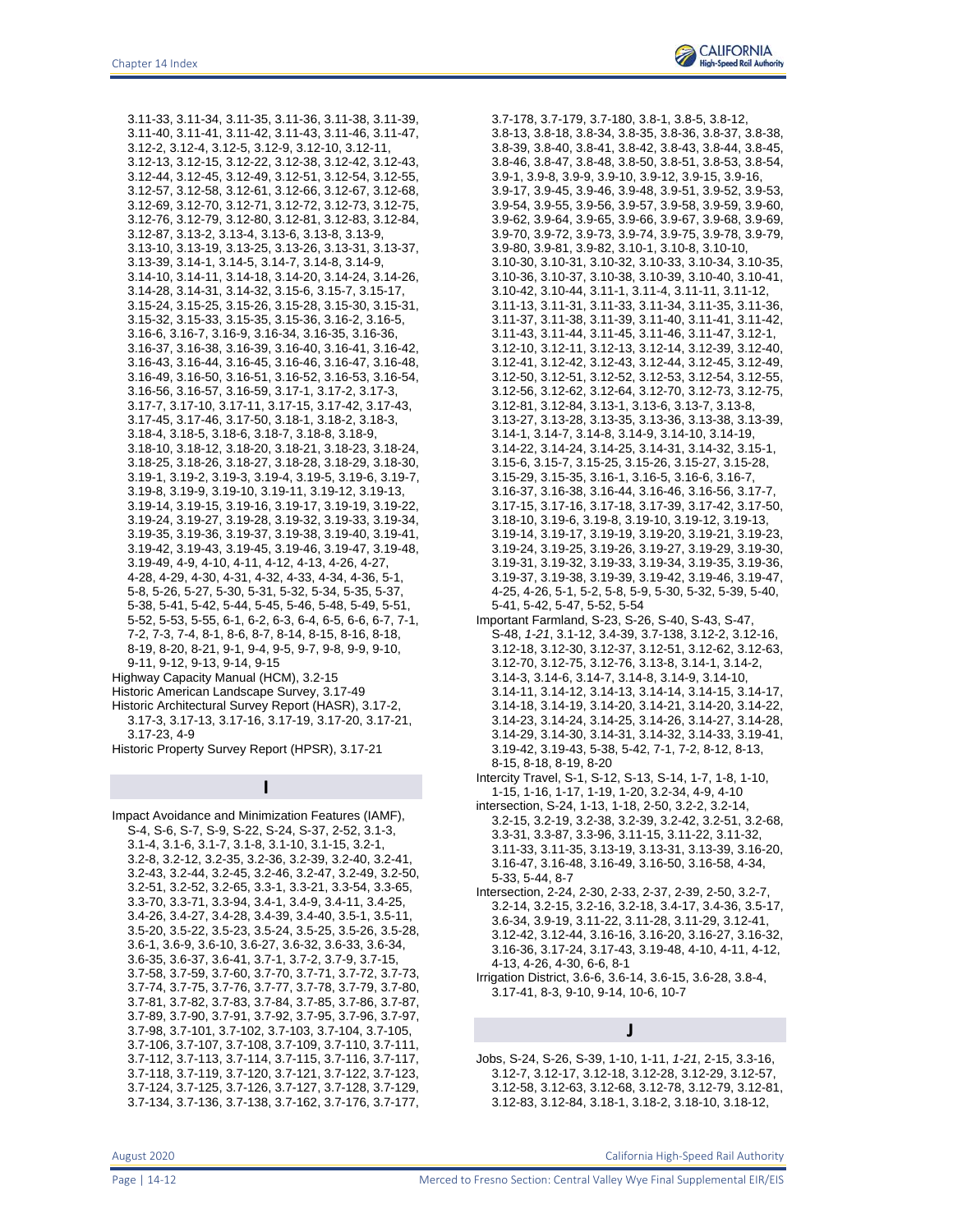3.11-33, 3.11-34, 3.11-35, 3.11-36, 3.11-38, 3.11-39, 3.11-40, 3.11-41, 3.11-42, 3.11-43, 3.11-46, 3.11-47, 3.12-2, 3.12-4, 3.12-5, 3.12-9, 3.12-10, 3.12-11, 3.12-13, 3.12-15, 3.12-22, 3.12-38, 3.12-42, 3.12-43, 3.12-44, 3.12-45, 3.12-49, 3.12-51, 3.12-54, 3.12-55, 3.12-57, 3.12-58, 3.12-61, 3.12-66, 3.12-67, 3.12-68, 3.12-69, 3.12-70, 3.12-71, 3.12-72, 3.12-73, 3.12-75, 3.12-76, 3.12-79, 3.12-80, 3.12-81, 3.12-83, 3.12-84, 3.12-87, 3.13-2, 3.13-4, 3.13-6, 3.13-8, 3.13-9, 3.13-10, 3.13-19, 3.13-25, 3.13-26, 3.13-31, 3.13-37, 3.13-39, 3.14-1, 3.14-5, 3.14-7, 3.14-8, 3.14-9, 3.14-10, 3.14-11, 3.14-18, 3.14-20, 3.14-24, 3.14-26, 3.14-28, 3.14-31, 3.14-32, 3.15-6, 3.15-7, 3.15-17, 3.15-24, 3.15-25, 3.15-26, 3.15-28, 3.15-30, 3.15-31, 3.15-32, 3.15-33, 3.15-35, 3.15-36, 3.16-2, 3.16-5, 3.16-6, 3.16-7, 3.16-9, 3.16-34, 3.16-35, 3.16-36, 3.16-37, 3.16-38, 3.16-39, 3.16-40, 3.16-41, 3.16-42, 3.16-43, 3.16-44, 3.16-45, 3.16-46, 3.16-47, 3.16-48, 3.16-49, 3.16-50, 3.16-51, 3.16-52, 3.16-53, 3.16-54, 3.16-56, 3.16-57, 3.16-59, 3.17-1, 3.17-2, 3.17-3, 3.17-7, 3.17-10, 3.17-11, 3.17-15, 3.17-42, 3.17-43, 3.17-45, 3.17-46, 3.17-50, 3.18-1, 3.18-2, 3.18-3, 3.18-4, 3.18-5, 3.18-6, 3.18-7, 3.18-8, 3.18-9, 3.18-10, 3.18-12, 3.18-20, 3.18-21, 3.18-23, 3.18-24, 3.18-25, 3.18-26, 3.18-27, 3.18-28, 3.18-29, 3.18-30, 3.19-1, 3.19-2, 3.19-3, 3.19-4, 3.19-5, 3.19-6, 3.19-7, 3.19-8, 3.19-9, 3.19-10, 3.19-11, 3.19-12, 3.19-13, 3.19-14, 3.19-15, 3.19-16, 3.19-17, 3.19-19, 3.19-22, 3.19-24, 3.19-27, 3.19-28, 3.19-32, 3.19-33, 3.19-34, 3.19-35, 3.19-36, 3.19-37, 3.19-38, 3.19-40, 3.19-41, 3.19-42, 3.19-43, 3.19-45, 3.19-46, 3.19-47, 3.19-48, 3.19-49, 4-9, 4-10, 4-11, 4-12, 4-13, 4-26, 4-27, 4-28, 4-29, 4-30, 4-31, 4-32, 4-33, 4-34, 4-36, 5-1, 5-8, 5-26, 5-27, 5-30, 5-31, 5-32, 5-34, 5-35, 5-37, 5-38, 5-41, 5-42, 5-44, 5-45, 5-46, 5-48, 5-49, 5-51, 5-52, 5-53, 5-55, 6-1, 6-2, 6-3, 6-4, 6-5, 6-6, 6-7, 7-1, 7-2, 7-3, 7-4, 8-1, 8-6, 8-7, 8-14, 8-15, 8-16, 8-18, 8-19, 8-20, 8-21, 9-1, 9-4, 9-5, 9-7, 9-8, 9-9, 9-10, 9-11, 9-12, 9-13, 9-14, 9-15

Highway Capacity Manual (HCM), 3.2-15

Historic American Landscape Survey, 3.17-49

Historic Architectural Survey Report (HASR), 3.17-2, 3.17-3, 3.17-13, 3.17-16, 3.17-19, 3.17-20, 3.17-21,

3.17-23, 4-9

Historic Property Survey Report (HPSR), 3.17-21

#### **I**

Impact Avoidance and Minimization Features (IAMF), S-4, S-6, S-7, S-9, S-22, S-24, S-37, 2-52, 3.1-3, 3.1-4, 3.1-6, 3.1-7, 3.1-8, 3.1-10, 3.1-15, 3.2-1, 3.2-8, 3.2-12, 3.2-35, 3.2-36, 3.2-39, 3.2-40, 3.2-41, 3.2-43, 3.2-44, 3.2-45, 3.2-46, 3.2-47, 3.2-49, 3.2-50, 3.2-51, 3.2-52, 3.2-65, 3.3-1, 3.3-21, 3.3-54, 3.3-65, 3.3-70, 3.3-71, 3.3-94, 3.4-1, 3.4-9, 3.4-11, 3.4-25, 3.4-26, 3.4-27, 3.4-28, 3.4-39, 3.4-40, 3.5-1, 3.5-11, 3.5-20, 3.5-22, 3.5-23, 3.5-24, 3.5-25, 3.5-26, 3.5-28, 3.6-1, 3.6-9, 3.6-10, 3.6-27, 3.6-32, 3.6-33, 3.6-34, 3.6-35, 3.6-37, 3.6-41, 3.7-1, 3.7-2, 3.7-9, 3.7-15, 3.7-58, 3.7-59, 3.7-60, 3.7-70, 3.7-71, 3.7-72, 3.7-73, 3.7-74, 3.7-75, 3.7-76, 3.7-77, 3.7-78, 3.7-79, 3.7-80, 3.7-81, 3.7-82, 3.7-83, 3.7-84, 3.7-85, 3.7-86, 3.7-87, 3.7-89, 3.7-90, 3.7-91, 3.7-92, 3.7-95, 3.7-96, 3.7-97, 3.7-98, 3.7-101, 3.7-102, 3.7-103, 3.7-104, 3.7-105, 3.7-106, 3.7-107, 3.7-108, 3.7-109, 3.7-110, 3.7-111, 3.7-112, 3.7-113, 3.7-114, 3.7-115, 3.7-116, 3.7-117, 3.7-118, 3.7-119, 3.7-120, 3.7-121, 3.7-122, 3.7-123, 3.7-124, 3.7-125, 3.7-126, 3.7-127, 3.7-128, 3.7-129, 3.7-134, 3.7-136, 3.7-138, 3.7-162, 3.7-176, 3.7-177,

3.7-178, 3.7-179, 3.7-180, 3.8-1, 3.8-5, 3.8-12, 3.8-13, 3.8-18, 3.8-34, 3.8-35, 3.8-36, 3.8-37, 3.8-38, 3.8-39, 3.8-40, 3.8-41, 3.8-42, 3.8-43, 3.8-44, 3.8-45, 3.8-46, 3.8-47, 3.8-48, 3.8-50, 3.8-51, 3.8-53, 3.8-54, 3.9-1, 3.9-8, 3.9-9, 3.9-10, 3.9-12, 3.9-15, 3.9-16, 3.9-17, 3.9-45, 3.9-46, 3.9-48, 3.9-51, 3.9-52, 3.9-53, 3.9-54, 3.9-55, 3.9-56, 3.9-57, 3.9-58, 3.9-59, 3.9-60, 3.9-62, 3.9-64, 3.9-65, 3.9-66, 3.9-67, 3.9-68, 3.9-69, 3.9-70, 3.9-72, 3.9-73, 3.9-74, 3.9-75, 3.9-78, 3.9-79, 3.9-80, 3.9-81, 3.9-82, 3.10-1, 3.10-8, 3.10-10, 3.10-30, 3.10-31, 3.10-32, 3.10-33, 3.10-34, 3.10-35, 3.10-36, 3.10-37, 3.10-38, 3.10-39, 3.10-40, 3.10-41, 3.10-42, 3.10-44, 3.11-1, 3.11-4, 3.11-11, 3.11-12, 3.11-13, 3.11-31, 3.11-33, 3.11-34, 3.11-35, 3.11-36, 3.11-37, 3.11-38, 3.11-39, 3.11-40, 3.11-41, 3.11-42, 3.11-43, 3.11-44, 3.11-45, 3.11-46, 3.11-47, 3.12-1, 3.12-10, 3.12-11, 3.12-13, 3.12-14, 3.12-39, 3.12-40, 3.12-41, 3.12-42, 3.12-43, 3.12-44, 3.12-45, 3.12-49, 3.12-50, 3.12-51, 3.12-52, 3.12-53, 3.12-54, 3.12-55, 3.12-56, 3.12-62, 3.12-64, 3.12-70, 3.12-73, 3.12-75, 3.12-81, 3.12-84, 3.13-1, 3.13-6, 3.13-7, 3.13-8, 3.13-27, 3.13-28, 3.13-35, 3.13-36, 3.13-38, 3.13-39, 3.14-1, 3.14-7, 3.14-8, 3.14-9, 3.14-10, 3.14-19, 3.14-22, 3.14-24, 3.14-25, 3.14-31, 3.14-32, 3.15-1, 3.15-6, 3.15-7, 3.15-25, 3.15-26, 3.15-27, 3.15-28, 3.15-29, 3.15-35, 3.16-1, 3.16-5, 3.16-6, 3.16-7, 3.16-37, 3.16-38, 3.16-44, 3.16-46, 3.16-56, 3.17-7, 3.17-15, 3.17-16, 3.17-18, 3.17-39, 3.17-42, 3.17-50, 3.18-10, 3.19-6, 3.19-8, 3.19-10, 3.19-12, 3.19-13, 3.19-14, 3.19-17, 3.19-19, 3.19-20, 3.19-21, 3.19-23, 3.19-24, 3.19-25, 3.19-26, 3.19-27, 3.19-29, 3.19-30, 3.19-31, 3.19-32, 3.19-33, 3.19-34, 3.19-35, 3.19-36, 3.19-37, 3.19-38, 3.19-39, 3.19-42, 3.19-46, 3.19-47, 4-25, 4-26, 5-1, 5-2, 5-8, 5-9, 5-30, 5-32, 5-39, 5-40, 5-41, 5-42, 5-47, 5-52, 5-54

Important Farmland, S-23, S-26, S-40, S-43, S-47, S-48, *1-21*, 3.1-12, 3.4-39, 3.7-138, 3.12-2, 3.12-16, 3.12-18, 3.12-30, 3.12-37, 3.12-51, 3.12-62, 3.12-63, 3.12-70, 3.12-75, 3.12-76, 3.13-8, 3.14-1, 3.14-2, 3.14-3, 3.14-6, 3.14-7, 3.14-8, 3.14-9, 3.14-10, 3.14-11, 3.14-12, 3.14-13, 3.14-14, 3.14-15, 3.14-17, 3.14-18, 3.14-19, 3.14-20, 3.14-21, 3.14-20, 3.14-22, 3.14-23, 3.14-24, 3.14-25, 3.14-26, 3.14-27, 3.14-28, 3.14-29, 3.14-30, 3.14-31, 3.14-32, 3.14-33, 3.19-41, 3.19-42, 3.19-43, 5-38, 5-42, 7-1, 7-2, 8-12, 8-13, 8-15, 8-18, 8-19, 8-20

Intercity Travel, S-1, S-12, S-13, S-14, 1-7, 1-8, 1-10, 1-15, 1-16, 1-17, 1-19, 1-20, 3.2-34, 4-9, 4-10

intersection, S-24, 1-13, 1-18, 2-50, 3.2-2, 3.2-14, 3.2-15, 3.2-19, 3.2-38, 3.2-39, 3.2-42, 3.2-51, 3.2-68, 3.3-31, 3.3-87, 3.3-96, 3.11-15, 3.11-22, 3.11-32, 3.11-33, 3.11-35, 3.13-19, 3.13-31, 3.13-39, 3.16-20, 3.16-47, 3.16-48, 3.16-49, 3.16-50, 3.16-58, 4-34, 5-33, 5-44, 8-7

Intersection, 2-24, 2-30, 2-33, 2-37, 2-39, 2-50, 3.2-7, 3.2-14, 3.2-15, 3.2-16, 3.2-18, 3.4-17, 3.4-36, 3.5-17, 3.6-34, 3.9-19, 3.11-22, 3.11-28, 3.11-29, 3.12-41, 3.12-42, 3.12-44, 3.16-16, 3.16-20, 3.16-27, 3.16-32, 3.16-36, 3.17-24, 3.17-43, 3.19-48, 4-10, 4-11, 4-12, 4-13, 4-26, 4-30, 6-6, 8-1

Irrigation District, 3.6-6, 3.6-14, 3.6-15, 3.6-28, 3.8-4, 3.17-41, 8-3, 9-10, 9-14, 10-6, 10-7

**J**

Jobs, S-24, S-26, S-39, 1-10, 1-11, *1-21*, 2-15, 3.3-16, 3.12-7, 3.12-17, 3.12-18, 3.12-28, 3.12-29, 3.12-57, 3.12-58, 3.12-63, 3.12-68, 3.12-78, 3.12-79, 3.12-81, 3.12-83, 3.12-84, 3.18-1, 3.18-2, 3.18-10, 3.18-12,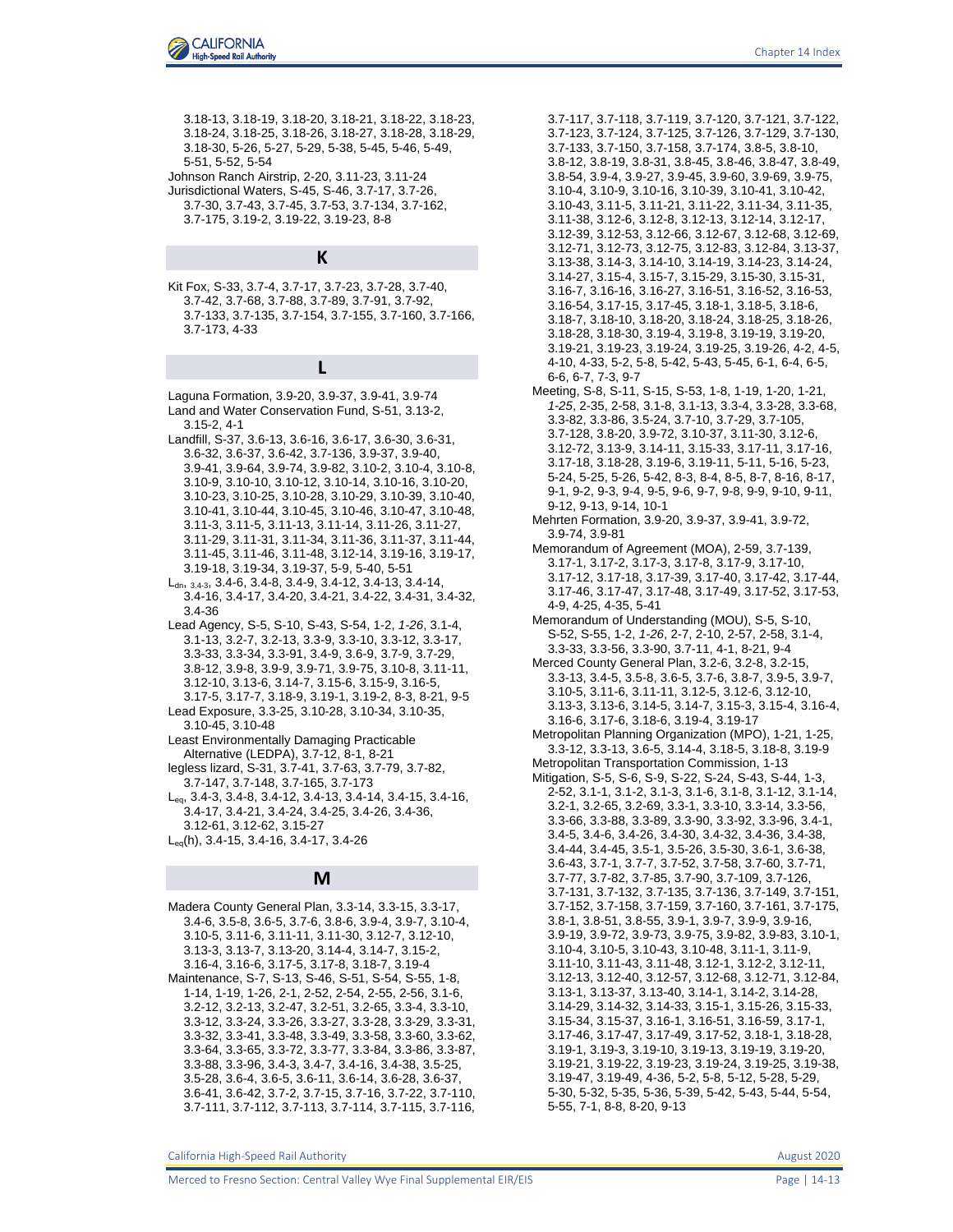3.18-13, 3.18-19, 3.18-20, 3.18-21, 3.18-22, 3.18-23, 3.18-24, 3.18-25, 3.18-26, 3.18-27, 3.18-28, 3.18-29, 3.18-30, 5-26, 5-27, 5-29, 5-38, 5-45, 5-46, 5-49, 5-51, 5-52, 5-54

- Johnson Ranch Airstrip, 2-20, 3.11-23, 3.11-24
- Jurisdictional Waters, S-45, S-46, 3.7-17, 3.7-26, 3.7-30, 3.7-43, 3.7-45, 3.7-53, 3.7-134, 3.7-162, 3.7-175, 3.19-2, 3.19-22, 3.19-23, 8-8

### **K**

Kit Fox, S-33, 3.7-4, 3.7-17, 3.7-23, 3.7-28, 3.7-40, 3.7-42, 3.7-68, 3.7-88, 3.7-89, 3.7-91, 3.7-92, 3.7-133, 3.7-135, 3.7-154, 3.7-155, 3.7-160, 3.7-166, 3.7-173, 4-33

# **L**

Laguna Formation, 3.9-20, 3.9-37, 3.9-41, 3.9-74 Land and Water Conservation Fund, S-51, 3.13-2, 3.15-2, 4-1

Landfill, S-37, 3.6-13, 3.6-16, 3.6-17, 3.6-30, 3.6-31, 3.6-32, 3.6-37, 3.6-42, 3.7-136, 3.9-37, 3.9-40, 3.9-41, 3.9-64, 3.9-74, 3.9-82, 3.10-2, 3.10-4, 3.10-8, 3.10-9, 3.10-10, 3.10-12, 3.10-14, 3.10-16, 3.10-20, 3.10-23, 3.10-25, 3.10-28, 3.10-29, 3.10-39, 3.10-40, 3.10-41, 3.10-44, 3.10-45, 3.10-46, 3.10-47, 3.10-48, 3.11-3, 3.11-5, 3.11-13, 3.11-14, 3.11-26, 3.11-27, 3.11-29, 3.11-31, 3.11-34, 3.11-36, 3.11-37, 3.11-44, 3.11-45, 3.11-46, 3.11-48, 3.12-14, 3.19-16, 3.19-17, 3.19-18, 3.19-34, 3.19-37, 5-9, 5-40, 5-51

 $L_{dn, 3.4-3, 3.4-6, 3.4-8, 3.4-9, 3.4-12, 3.4-13, 3.4-14,$ 3.4-16, 3.4-17, 3.4-20, 3.4-21, 3.4-22, 3.4-31, 3.4-32, 3.4-36

Lead Agency, S-5, S-10, S-43, S-54, 1-2, *1-26*, 3.1-4, 3.1-13, 3.2-7, 3.2-13, 3.3-9, 3.3-10, 3.3-12, 3.3-17, 3.3-33, 3.3-34, 3.3-91, 3.4-9, 3.6-9, 3.7-9, 3.7-29, 3.8-12, 3.9-8, 3.9-9, 3.9-71, 3.9-75, 3.10-8, 3.11-11, 3.12-10, 3.13-6, 3.14-7, 3.15-6, 3.15-9, 3.16-5, 3.17-5, 3.17-7, 3.18-9, 3.19-1, 3.19-2, 8-3, 8-21, 9-5

Lead Exposure, 3.3-25, 3.10-28, 3.10-34, 3.10-35, 3.10-45, 3.10-48

Least Environmentally Damaging Practicable Alternative (LEDPA), 3.7-12, 8-1, 8-21

legless lizard, S-31, 3.7-41, 3.7-63, 3.7-79, 3.7-82,

3.7-147, 3.7-148, 3.7-165, 3.7-173 Leq, 3.4-3, 3.4-8, 3.4-12, 3.4-13, 3.4-14, 3.4-15, 3.4-16, 3.4-17, 3.4-21, 3.4-24, 3.4-25, 3.4-26, 3.4-36, 3.12-61, 3.12-62, 3.15-27

Leq(h), 3.4-15, 3.4-16, 3.4-17, 3.4-26

## **M**

Madera County General Plan, 3.3-14, 3.3-15, 3.3-17, 3.4-6, 3.5-8, 3.6-5, 3.7-6, 3.8-6, 3.9-4, 3.9-7, 3.10-4, 3.10-5, 3.11-6, 3.11-11, 3.11-30, 3.12-7, 3.12-10, 3.13-3, 3.13-7, 3.13-20, 3.14-4, 3.14-7, 3.15-2, 3.16-4, 3.16-6, 3.17-5, 3.17-8, 3.18-7, 3.19-4 Maintenance, S-7, S-13, S-46, S-51, S-54, S-55, 1-8, 1-14, 1-19, 1-26, 2-1, 2-52, 2-54, 2-55, 2-56, 3.1-6, 3.2-12, 3.2-13, 3.2-47, 3.2-51, 3.2-65, 3.3-4, 3.3-10, 3.3-12, 3.3-24, 3.3-26, 3.3-27, 3.3-28, 3.3-29, 3.3-31, 3.3-32, 3.3-41, 3.3-48, 3.3-49, 3.3-58, 3.3-60, 3.3-62, 3.3-64, 3.3-65, 3.3-72, 3.3-77, 3.3-84, 3.3-86, 3.3-87, 3.3-88, 3.3-96, 3.4-3, 3.4-7, 3.4-16, 3.4-38, 3.5-25, 3.5-28, 3.6-4, 3.6-5, 3.6-11, 3.6-14, 3.6-28, 3.6-37, 3.6-41, 3.6-42, 3.7-2, 3.7-15, 3.7-16, 3.7-22, 3.7-110, 3.7-111, 3.7-112, 3.7-113, 3.7-114, 3.7-115, 3.7-116, 3.7-117, 3.7-118, 3.7-119, 3.7-120, 3.7-121, 3.7-122, 3.7-123, 3.7-124, 3.7-125, 3.7-126, 3.7-129, 3.7-130, 3.7-133, 3.7-150, 3.7-158, 3.7-174, 3.8-5, 3.8-10, 3.8-12, 3.8-19, 3.8-31, 3.8-45, 3.8-46, 3.8-47, 3.8-49, 3.8-54, 3.9-4, 3.9-27, 3.9-45, 3.9-60, 3.9-69, 3.9-75, 3.10-4, 3.10-9, 3.10-16, 3.10-39, 3.10-41, 3.10-42, 3.10-43, 3.11-5, 3.11-21, 3.11-22, 3.11-34, 3.11-35, 3.11-38, 3.12-6, 3.12-8, 3.12-13, 3.12-14, 3.12-17, 3.12-39, 3.12-53, 3.12-66, 3.12-67, 3.12-68, 3.12-69, 3.12-71, 3.12-73, 3.12-75, 3.12-83, 3.12-84, 3.13-37, 3.13-38, 3.14-3, 3.14-10, 3.14-19, 3.14-23, 3.14-24, 3.14-27, 3.15-4, 3.15-7, 3.15-29, 3.15-30, 3.15-31, 3.16-7, 3.16-16, 3.16-27, 3.16-51, 3.16-52, 3.16-53, 3.16-54, 3.17-15, 3.17-45, 3.18-1, 3.18-5, 3.18-6, 3.18-7, 3.18-10, 3.18-20, 3.18-24, 3.18-25, 3.18-26, 3.18-28, 3.18-30, 3.19-4, 3.19-8, 3.19-19, 3.19-20, 3.19-21, 3.19-23, 3.19-24, 3.19-25, 3.19-26, 4-2, 4-5, 4-10, 4-33, 5-2, 5-8, 5-42, 5-43, 5-45, 6-1, 6-4, 6-5, 6-6, 6-7, 7-3, 9-7

- Meeting, S-8, S-11, S-15, S-53, 1-8, 1-19, 1-20, 1-21, *1-25*, 2-35, 2-58, 3.1-8, 3.1-13, 3.3-4, 3.3-28, 3.3-68, 3.3-82, 3.3-86, 3.5-24, 3.7-10, 3.7-29, 3.7-105, 3.7-128, 3.8-20, 3.9-72, 3.10-37, 3.11-30, 3.12-6, 3.12-72, 3.13-9, 3.14-11, 3.15-33, 3.17-11, 3.17-16, 3.17-18, 3.18-28, 3.19-6, 3.19-11, 5-11, 5-16, 5-23, 5-24, 5-25, 5-26, 5-42, 8-3, 8-4, 8-5, 8-7, 8-16, 8-17, 9-1, 9-2, 9-3, 9-4, 9-5, 9-6, 9-7, 9-8, 9-9, 9-10, 9-11, 9-12, 9-13, 9-14, 10-1
- Mehrten Formation, 3.9-20, 3.9-37, 3.9-41, 3.9-72, 3.9-74, 3.9-81
- Memorandum of Agreement (MOA), 2-59, 3.7-139, 3.17-1, 3.17-2, 3.17-3, 3.17-8, 3.17-9, 3.17-10, 3.17-12, 3.17-18, 3.17-39, 3.17-40, 3.17-42, 3.17-44, 3.17-46, 3.17-47, 3.17-48, 3.17-49, 3.17-52, 3.17-53, 4-9, 4-25, 4-35, 5-41
- Memorandum of Understanding (MOU), S-5, S-10, S-52, S-55, 1-2, *1-26*, 2-7, 2-10, 2-57, 2-58, 3.1-4, 3.3-33, 3.3-56, 3.3-90, 3.7-11, 4-1, 8-21, 9-4
- Merced County General Plan, 3.2-6, 3.2-8, 3.2-15, 3.3-13, 3.4-5, 3.5-8, 3.6-5, 3.7-6, 3.8-7, 3.9-5, 3.9-7, 3.10-5, 3.11-6, 3.11-11, 3.12-5, 3.12-6, 3.12-10, 3.13-3, 3.13-6, 3.14-5, 3.14-7, 3.15-3, 3.15-4, 3.16-4, 3.16-6, 3.17-6, 3.18-6, 3.19-4, 3.19-17
- Metropolitan Planning Organization (MPO), 1-21, 1-25, 3.3-12, 3.3-13, 3.6-5, 3.14-4, 3.18-5, 3.18-8, 3.19-9 Metropolitan Transportation Commission, 1-13

Mitigation, S-5, S-6, S-9, S-22, S-24, S-43, S-44, 1-3, 2-52, 3.1-1, 3.1-2, 3.1-3, 3.1-6, 3.1-8, 3.1-12, 3.1-14, 3.2-1, 3.2-65, 3.2-69, 3.3-1, 3.3-10, 3.3-14, 3.3-56, 3.3-66, 3.3-88, 3.3-89, 3.3-90, 3.3-92, 3.3-96, 3.4-1, 3.4-5, 3.4-6, 3.4-26, 3.4-30, 3.4-32, 3.4-36, 3.4-38, 3.4-44, 3.4-45, 3.5-1, 3.5-26, 3.5-30, 3.6-1, 3.6-38, 3.6-43, 3.7-1, 3.7-7, 3.7-52, 3.7-58, 3.7-60, 3.7-71, 3.7-77, 3.7-82, 3.7-85, 3.7-90, 3.7-109, 3.7-126, 3.7-131, 3.7-132, 3.7-135, 3.7-136, 3.7-149, 3.7-151, 3.7-152, 3.7-158, 3.7-159, 3.7-160, 3.7-161, 3.7-175, 3.8-1, 3.8-51, 3.8-55, 3.9-1, 3.9-7, 3.9-9, 3.9-16, 3.9-19, 3.9-72, 3.9-73, 3.9-75, 3.9-82, 3.9-83, 3.10-1, 3.10-4, 3.10-5, 3.10-43, 3.10-48, 3.11-1, 3.11-9, 3.11-10, 3.11-43, 3.11-48, 3.12-1, 3.12-2, 3.12-11, 3.12-13, 3.12-40, 3.12-57, 3.12-68, 3.12-71, 3.12-84, 3.13-1, 3.13-37, 3.13-40, 3.14-1, 3.14-2, 3.14-28, 3.14-29, 3.14-32, 3.14-33, 3.15-1, 3.15-26, 3.15-33, 3.15-34, 3.15-37, 3.16-1, 3.16-51, 3.16-59, 3.17-1, 3.17-46, 3.17-47, 3.17-49, 3.17-52, 3.18-1, 3.18-28, 3.19-1, 3.19-3, 3.19-10, 3.19-13, 3.19-19, 3.19-20, 3.19-21, 3.19-22, 3.19-23, 3.19-24, 3.19-25, 3.19-38, 3.19-47, 3.19-49, 4-36, 5-2, 5-8, 5-12, 5-28, 5-29, 5-30, 5-32, 5-35, 5-36, 5-39, 5-42, 5-43, 5-44, 5-54, 5-55, 7-1, 8-8, 8-20, 9-13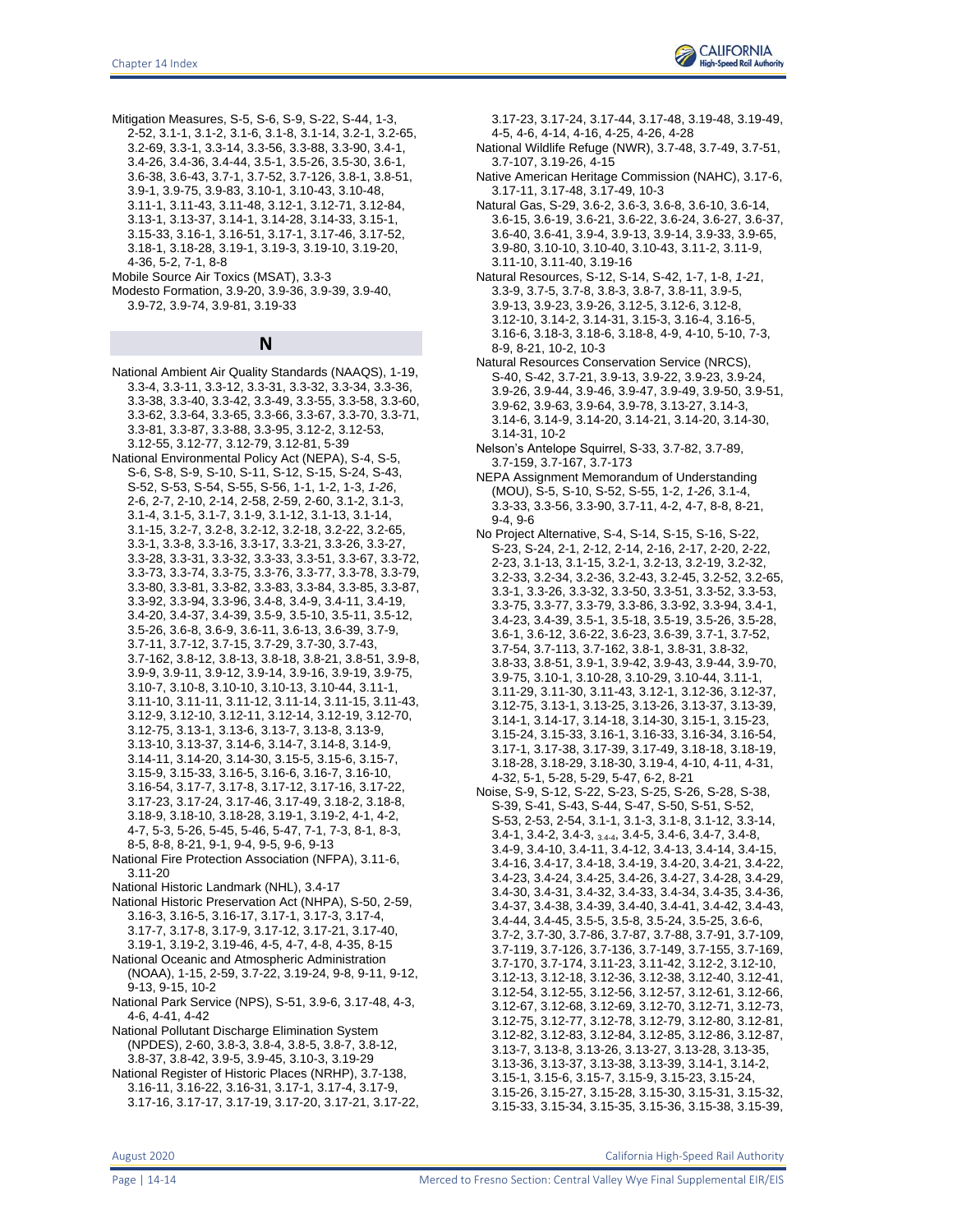

Mitigation Measures, S-5, S-6, S-9, S-22, S-44, 1-3, 2-52, 3.1-1, 3.1-2, 3.1-6, 3.1-8, 3.1-14, 3.2-1, 3.2-65, 3.2-69, 3.3-1, 3.3-14, 3.3-56, 3.3-88, 3.3-90, 3.4-1, 3.4-26, 3.4-36, 3.4-44, 3.5-1, 3.5-26, 3.5-30, 3.6-1, 3.6-38, 3.6-43, 3.7-1, 3.7-52, 3.7-126, 3.8-1, 3.8-51, 3.9-1, 3.9-75, 3.9-83, 3.10-1, 3.10-43, 3.10-48, 3.11-1, 3.11-43, 3.11-48, 3.12-1, 3.12-71, 3.12-84, 3.13-1, 3.13-37, 3.14-1, 3.14-28, 3.14-33, 3.15-1, 3.15-33, 3.16-1, 3.16-51, 3.17-1, 3.17-46, 3.17-52, 3.18-1, 3.18-28, 3.19-1, 3.19-3, 3.19-10, 3.19-20, 4-36, 5-2, 7-1, 8-8

Mobile Source Air Toxics (MSAT), 3.3-3

Modesto Formation, 3.9-20, 3.9-36, 3.9-39, 3.9-40, 3.9-72, 3.9-74, 3.9-81, 3.19-33

**N**

- National Ambient Air Quality Standards (NAAQS), 1-19, 3.3-4, 3.3-11, 3.3-12, 3.3-31, 3.3-32, 3.3-34, 3.3-36, 3.3-38, 3.3-40, 3.3-42, 3.3-49, 3.3-55, 3.3-58, 3.3-60, 3.3-62, 3.3-64, 3.3-65, 3.3-66, 3.3-67, 3.3-70, 3.3-71, 3.3-81, 3.3-87, 3.3-88, 3.3-95, 3.12-2, 3.12-53, 3.12-55, 3.12-77, 3.12-79, 3.12-81, 5-39
- National Environmental Policy Act (NEPA), S-4, S-5, S-6, S-8, S-9, S-10, S-11, S-12, S-15, S-24, S-43, S-52, S-53, S-54, S-55, S-56, 1-1, 1-2, 1-3, *1-26*, 2-6, 2-7, 2-10, 2-14, 2-58, 2-59, 2-60, 3.1-2, 3.1-3, 3.1-4, 3.1-5, 3.1-7, 3.1-9, 3.1-12, 3.1-13, 3.1-14, 3.1-15, 3.2-7, 3.2-8, 3.2-12, 3.2-18, 3.2-22, 3.2-65, 3.3-1, 3.3-8, 3.3-16, 3.3-17, 3.3-21, 3.3-26, 3.3-27, 3.3-28, 3.3-31, 3.3-32, 3.3-33, 3.3-51, 3.3-67, 3.3-72, 3.3-73, 3.3-74, 3.3-75, 3.3-76, 3.3-77, 3.3-78, 3.3-79, 3.3-80, 3.3-81, 3.3-82, 3.3-83, 3.3-84, 3.3-85, 3.3-87, 3.3-92, 3.3-94, 3.3-96, 3.4-8, 3.4-9, 3.4-11, 3.4-19, 3.4-20, 3.4-37, 3.4-39, 3.5-9, 3.5-10, 3.5-11, 3.5-12, 3.5-26, 3.6-8, 3.6-9, 3.6-11, 3.6-13, 3.6-39, 3.7-9, 3.7-11, 3.7-12, 3.7-15, 3.7-29, 3.7-30, 3.7-43, 3.7-162, 3.8-12, 3.8-13, 3.8-18, 3.8-21, 3.8-51, 3.9-8, 3.9-9, 3.9-11, 3.9-12, 3.9-14, 3.9-16, 3.9-19, 3.9-75, 3.10-7, 3.10-8, 3.10-10, 3.10-13, 3.10-44, 3.11-1, 3.11-10, 3.11-11, 3.11-12, 3.11-14, 3.11-15, 3.11-43, 3.12-9, 3.12-10, 3.12-11, 3.12-14, 3.12-19, 3.12-70, 3.12-75, 3.13-1, 3.13-6, 3.13-7, 3.13-8, 3.13-9, 3.13-10, 3.13-37, 3.14-6, 3.14-7, 3.14-8, 3.14-9, 3.14-11, 3.14-20, 3.14-30, 3.15-5, 3.15-6, 3.15-7, 3.15-9, 3.15-33, 3.16-5, 3.16-6, 3.16-7, 3.16-10, 3.16-54, 3.17-7, 3.17-8, 3.17-12, 3.17-16, 3.17-22, 3.17-23, 3.17-24, 3.17-46, 3.17-49, 3.18-2, 3.18-8, 3.18-9, 3.18-10, 3.18-28, 3.19-1, 3.19-2, 4-1, 4-2, 4-7, 5-3, 5-26, 5-45, 5-46, 5-47, 7-1, 7-3, 8-1, 8-3, 8-5, 8-8, 8-21, 9-1, 9-4, 9-5, 9-6, 9-13
- National Fire Protection Association (NFPA), 3.11-6, 3.11-20
- National Historic Landmark (NHL), 3.4-17
- National Historic Preservation Act (NHPA), S-50, 2-59, 3.16-3, 3.16-5, 3.16-17, 3.17-1, 3.17-3, 3.17-4, 3.17-7, 3.17-8, 3.17-9, 3.17-12, 3.17-21, 3.17-40,
	- 3.19-1, 3.19-2, 3.19-46, 4-5, 4-7, 4-8, 4-35, 8-15
- National Oceanic and Atmospheric Administration (NOAA), 1-15, 2-59, 3.7-22, 3.19-24, 9-8, 9-11, 9-12, 9-13, 9-15, 10-2
- National Park Service (NPS), S-51, 3.9-6, 3.17-48, 4-3, 4-6, 4-41, 4-42
- National Pollutant Discharge Elimination System (NPDES), 2-60, 3.8-3, 3.8-4, 3.8-5, 3.8-7, 3.8-12, 3.8-37, 3.8-42, 3.9-5, 3.9-45, 3.10-3, 3.19-29
- National Register of Historic Places (NRHP), 3.7-138, 3.16-11, 3.16-22, 3.16-31, 3.17-1, 3.17-4, 3.17-9, 3.17-16, 3.17-17, 3.17-19, 3.17-20, 3.17-21, 3.17-22,

3.17-23, 3.17-24, 3.17-44, 3.17-48, 3.19-48, 3.19-49, 4-5, 4-6, 4-14, 4-16, 4-25, 4-26, 4-28

- National Wildlife Refuge (NWR), 3.7-48, 3.7-49, 3.7-51, 3.7-107, 3.19-26, 4-15
- Native American Heritage Commission (NAHC), 3.17-6, 3.17-11, 3.17-48, 3.17-49, 10-3
- Natural Gas, S-29, 3.6-2, 3.6-3, 3.6-8, 3.6-10, 3.6-14, 3.6-15, 3.6-19, 3.6-21, 3.6-22, 3.6-24, 3.6-27, 3.6-37, 3.6-40, 3.6-41, 3.9-4, 3.9-13, 3.9-14, 3.9-33, 3.9-65, 3.9-80, 3.10-10, 3.10-40, 3.10-43, 3.11-2, 3.11-9, 3.11-10, 3.11-40, 3.19-16
- Natural Resources, S-12, S-14, S-42, 1-7, 1-8, *1-21*, 3.3-9, 3.7-5, 3.7-8, 3.8-3, 3.8-7, 3.8-11, 3.9-5, 3.9-13, 3.9-23, 3.9-26, 3.12-5, 3.12-6, 3.12-8, 3.12-10, 3.14-2, 3.14-31, 3.15-3, 3.16-4, 3.16-5, 3.16-6, 3.18-3, 3.18-6, 3.18-8, 4-9, 4-10, 5-10, 7-3, 8-9, 8-21, 10-2, 10-3
- Natural Resources Conservation Service (NRCS), S-40, S-42, 3.7-21, 3.9-13, 3.9-22, 3.9-23, 3.9-24, 3.9-26, 3.9-44, 3.9-46, 3.9-47, 3.9-49, 3.9-50, 3.9-51, 3.9-62, 3.9-63, 3.9-64, 3.9-78, 3.13-27, 3.14-3, 3.14-6, 3.14-9, 3.14-20, 3.14-21, 3.14-20, 3.14-30, 3.14-31, 10-2
- Nelson's Antelope Squirrel, S-33, 3.7-82, 3.7-89, 3.7-159, 3.7-167, 3.7-173
- NEPA Assignment Memorandum of Understanding (MOU), S-5, S-10, S-52, S-55, 1-2, *1-26*, 3.1-4, 3.3-33, 3.3-56, 3.3-90, 3.7-11, 4-2, 4-7, 8-8, 8-21, 9-4, 9-6
- No Project Alternative, S-4, S-14, S-15, S-16, S-22, S-23, S-24, 2-1, 2-12, 2-14, 2-16, 2-17, 2-20, 2-22, 2-23, 3.1-13, 3.1-15, 3.2-1, 3.2-13, 3.2-19, 3.2-32, 3.2-33, 3.2-34, 3.2-36, 3.2-43, 3.2-45, 3.2-52, 3.2-65, 3.3-1, 3.3-26, 3.3-32, 3.3-50, 3.3-51, 3.3-52, 3.3-53, 3.3-75, 3.3-77, 3.3-79, 3.3-86, 3.3-92, 3.3-94, 3.4-1, 3.4-23, 3.4-39, 3.5-1, 3.5-18, 3.5-19, 3.5-26, 3.5-28, 3.6-1, 3.6-12, 3.6-22, 3.6-23, 3.6-39, 3.7-1, 3.7-52, 3.7-54, 3.7-113, 3.7-162, 3.8-1, 3.8-31, 3.8-32, 3.8-33, 3.8-51, 3.9-1, 3.9-42, 3.9-43, 3.9-44, 3.9-70, 3.9-75, 3.10-1, 3.10-28, 3.10-29, 3.10-44, 3.11-1, 3.11-29, 3.11-30, 3.11-43, 3.12-1, 3.12-36, 3.12-37, 3.12-75, 3.13-1, 3.13-25, 3.13-26, 3.13-37, 3.13-39, 3.14-1, 3.14-17, 3.14-18, 3.14-30, 3.15-1, 3.15-23, 3.15-24, 3.15-33, 3.16-1, 3.16-33, 3.16-34, 3.16-54, 3.17-1, 3.17-38, 3.17-39, 3.17-49, 3.18-18, 3.18-19, 3.18-28, 3.18-29, 3.18-30, 3.19-4, 4-10, 4-11, 4-31, 4-32, 5-1, 5-28, 5-29, 5-47, 6-2, 8-21
- Noise, S-9, S-12, S-22, S-23, S-25, S-26, S-28, S-38, S-39, S-41, S-43, S-44, S-47, S-50, S-51, S-52, S-53, 2-53, 2-54, 3.1-1, 3.1-3, 3.1-8, 3.1-12, 3.3-14, 3.4-1, 3.4-2, 3.4-3, 3.4-4, 3.4-5, 3.4-6, 3.4-7, 3.4-8, 3.4-9, 3.4-10, 3.4-11, 3.4-12, 3.4-13, 3.4-14, 3.4-15, 3.4-16, 3.4-17, 3.4-18, 3.4-19, 3.4-20, 3.4-21, 3.4-22, 3.4-23, 3.4-24, 3.4-25, 3.4-26, 3.4-27, 3.4-28, 3.4-29, 3.4-30, 3.4-31, 3.4-32, 3.4-33, 3.4-34, 3.4-35, 3.4-36, 3.4-37, 3.4-38, 3.4-39, 3.4-40, 3.4-41, 3.4-42, 3.4-43, 3.4-44, 3.4-45, 3.5-5, 3.5-8, 3.5-24, 3.5-25, 3.6-6, 3.7-2, 3.7-30, 3.7-86, 3.7-87, 3.7-88, 3.7-91, 3.7-109, 3.7-119, 3.7-126, 3.7-136, 3.7-149, 3.7-155, 3.7-169, 3.7-170, 3.7-174, 3.11-23, 3.11-42, 3.12-2, 3.12-10, 3.12-13, 3.12-18, 3.12-36, 3.12-38, 3.12-40, 3.12-41, 3.12-54, 3.12-55, 3.12-56, 3.12-57, 3.12-61, 3.12-66, 3.12-67, 3.12-68, 3.12-69, 3.12-70, 3.12-71, 3.12-73, 3.12-75, 3.12-77, 3.12-78, 3.12-79, 3.12-80, 3.12-81, 3.12-82, 3.12-83, 3.12-84, 3.12-85, 3.12-86, 3.12-87, 3.13-7, 3.13-8, 3.13-26, 3.13-27, 3.13-28, 3.13-35, 3.13-36, 3.13-37, 3.13-38, 3.13-39, 3.14-1, 3.14-2, 3.15-1, 3.15-6, 3.15-7, 3.15-9, 3.15-23, 3.15-24, 3.15-26, 3.15-27, 3.15-28, 3.15-30, 3.15-31, 3.15-32, 3.15-33, 3.15-34, 3.15-35, 3.15-36, 3.15-38, 3.15-39,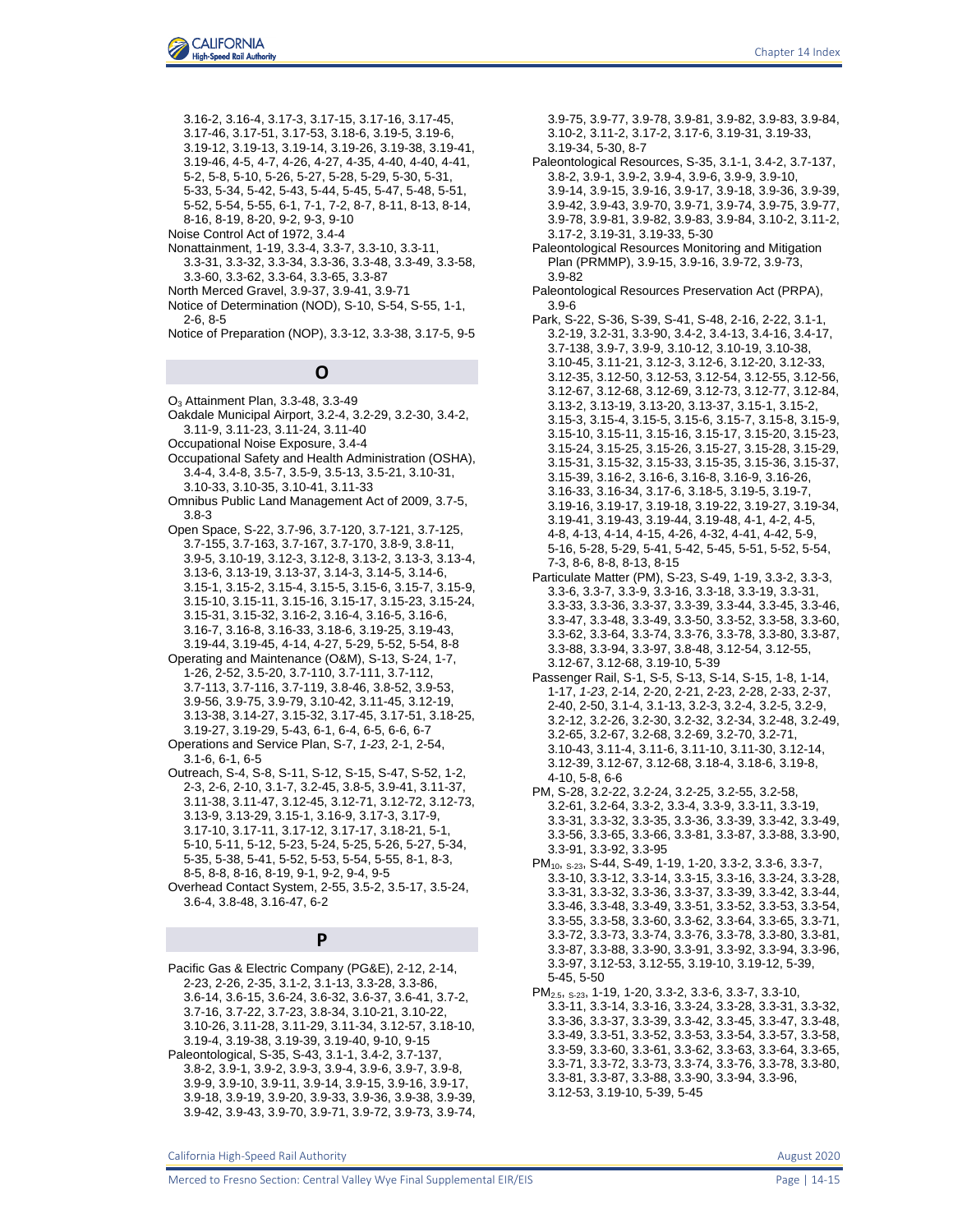

3.16-2, 3.16-4, 3.17-3, 3.17-15, 3.17-16, 3.17-45, 3.17-46, 3.17-51, 3.17-53, 3.18-6, 3.19-5, 3.19-6, 3.19-12, 3.19-13, 3.19-14, 3.19-26, 3.19-38, 3.19-41, 3.19-46, 4-5, 4-7, 4-26, 4-27, 4-35, 4-40, 4-40, 4-41, 5-2, 5-8, 5-10, 5-26, 5-27, 5-28, 5-29, 5-30, 5-31, 5-33, 5-34, 5-42, 5-43, 5-44, 5-45, 5-47, 5-48, 5-51, 5-52, 5-54, 5-55, 6-1, 7-1, 7-2, 8-7, 8-11, 8-13, 8-14, 8-16, 8-19, 8-20, 9-2, 9-3, 9-10

Noise Control Act of 1972, 3.4-4

Nonattainment, 1-19, 3.3-4, 3.3-7, 3.3-10, 3.3-11,

- 3.3-31, 3.3-32, 3.3-34, 3.3-36, 3.3-48, 3.3-49, 3.3-58, 3.3-60, 3.3-62, 3.3-64, 3.3-65, 3.3-87
- North Merced Gravel, 3.9-37, 3.9-41, 3.9-71
- Notice of Determination (NOD), S-10, S-54, S-55, 1-1, 2-6, 8-5
- Notice of Preparation (NOP), 3.3-12, 3.3-38, 3.17-5, 9-5

# **O**

- O<sup>3</sup> Attainment Plan, 3.3-48, 3.3-49
- Oakdale Municipal Airport, 3.2-4, 3.2-29, 3.2-30, 3.4-2, 3.11-9, 3.11-23, 3.11-24, 3.11-40
- Occupational Noise Exposure, 3.4-4
- Occupational Safety and Health Administration (OSHA), 3.4-4, 3.4-8, 3.5-7, 3.5-9, 3.5-13, 3.5-21, 3.10-31,
- 3.10-33, 3.10-35, 3.10-41, 3.11-33 Omnibus Public Land Management Act of 2009, 3.7-5,
- 3.8-3
- Open Space, S-22, 3.7-96, 3.7-120, 3.7-121, 3.7-125, 3.7-155, 3.7-163, 3.7-167, 3.7-170, 3.8-9, 3.8-11, 3.9-5, 3.10-19, 3.12-3, 3.12-8, 3.13-2, 3.13-3, 3.13-4, 3.13-6, 3.13-19, 3.13-37, 3.14-3, 3.14-5, 3.14-6, 3.15-1, 3.15-2, 3.15-4, 3.15-5, 3.15-6, 3.15-7, 3.15-9, 3.15-10, 3.15-11, 3.15-16, 3.15-17, 3.15-23, 3.15-24, 3.15-31, 3.15-32, 3.16-2, 3.16-4, 3.16-5, 3.16-6, 3.16-7, 3.16-8, 3.16-33, 3.18-6, 3.19-25, 3.19-43, 3.19-44, 3.19-45, 4-14, 4-27, 5-29, 5-52, 5-54, 8-8
- Operating and Maintenance (O&M), S-13, S-24, 1-7, 1-26, 2-52, 3.5-20, 3.7-110, 3.7-111, 3.7-112, 3.7-113, 3.7-116, 3.7-119, 3.8-46, 3.8-52, 3.9-53, 3.9-56, 3.9-75, 3.9-79, 3.10-42, 3.11-45, 3.12-19, 3.13-38, 3.14-27, 3.15-32, 3.17-45, 3.17-51, 3.18-25, 3.19-27, 3.19-29, 5-43, 6-1, 6-4, 6-5, 6-6, 6-7
- Operations and Service Plan, S-7, *1-23*, 2-1, 2-54, 3.1-6, 6-1, 6-5
- Outreach, S-4, S-8, S-11, S-12, S-15, S-47, S-52, 1-2, 2-3, 2-6, 2-10, 3.1-7, 3.2-45, 3.8-5, 3.9-41, 3.11-37, 3.11-38, 3.11-47, 3.12-45, 3.12-71, 3.12-72, 3.12-73, 3.13-9, 3.13-29, 3.15-1, 3.16-9, 3.17-3, 3.17-9, 3.17-10, 3.17-11, 3.17-12, 3.17-17, 3.18-21, 5-1, 5-10, 5-11, 5-12, 5-23, 5-24, 5-25, 5-26, 5-27, 5-34, 5-35, 5-38, 5-41, 5-52, 5-53, 5-54, 5-55, 8-1, 8-3, 8-5, 8-8, 8-16, 8-19, 9-1, 9-2, 9-4, 9-5
- Overhead Contact System, 2-55, 3.5-2, 3.5-17, 3.5-24, 3.6-4, 3.8-48, 3.16-47, 6-2

## **P**

- Pacific Gas & Electric Company (PG&E), 2-12, 2-14, 2-23, 2-26, 2-35, 3.1-2, 3.1-13, 3.3-28, 3.3-86, 3.6-14, 3.6-15, 3.6-24, 3.6-32, 3.6-37, 3.6-41, 3.7-2, 3.7-16, 3.7-22, 3.7-23, 3.8-34, 3.10-21, 3.10-22, 3.10-26, 3.11-28, 3.11-29, 3.11-34, 3.12-57, 3.18-10, 3.19-4, 3.19-38, 3.19-39, 3.19-40, 9-10, 9-15
- Paleontological, S-35, S-43, 3.1-1, 3.4-2, 3.7-137, 3.8-2, 3.9-1, 3.9-2, 3.9-3, 3.9-4, 3.9-6, 3.9-7, 3.9-8, 3.9-9, 3.9-10, 3.9-11, 3.9-14, 3.9-15, 3.9-16, 3.9-17, 3.9-18, 3.9-19, 3.9-20, 3.9-33, 3.9-36, 3.9-38, 3.9-39, 3.9-42, 3.9-43, 3.9-70, 3.9-71, 3.9-72, 3.9-73, 3.9-74,

California High-Speed Rail Authority **August 2020** 2020

3.9-75, 3.9-77, 3.9-78, 3.9-81, 3.9-82, 3.9-83, 3.9-84, 3.10-2, 3.11-2, 3.17-2, 3.17-6, 3.19-31, 3.19-33, 3.19-34, 5-30, 8-7

- Paleontological Resources, S-35, 3.1-1, 3.4-2, 3.7-137, 3.8-2, 3.9-1, 3.9-2, 3.9-4, 3.9-6, 3.9-9, 3.9-10, 3.9-14, 3.9-15, 3.9-16, 3.9-17, 3.9-18, 3.9-36, 3.9-39, 3.9-42, 3.9-43, 3.9-70, 3.9-71, 3.9-74, 3.9-75, 3.9-77, 3.9-78, 3.9-81, 3.9-82, 3.9-83, 3.9-84, 3.10-2, 3.11-2, 3.17-2, 3.19-31, 3.19-33, 5-30
- Paleontological Resources Monitoring and Mitigation Plan (PRMMP), 3.9-15, 3.9-16, 3.9-72, 3.9-73, 3.9-82
- Paleontological Resources Preservation Act (PRPA), 3.9-6
- Park, S-22, S-36, S-39, S-41, S-48, 2-16, 2-22, 3.1-1, 3.2-19, 3.2-31, 3.3-90, 3.4-2, 3.4-13, 3.4-16, 3.4-17, 3.7-138, 3.9-7, 3.9-9, 3.10-12, 3.10-19, 3.10-38, 3.10-45, 3.11-21, 3.12-3, 3.12-6, 3.12-20, 3.12-33, 3.12-35, 3.12-50, 3.12-53, 3.12-54, 3.12-55, 3.12-56, 3.12-67, 3.12-68, 3.12-69, 3.12-73, 3.12-77, 3.12-84, 3.13-2, 3.13-19, 3.13-20, 3.13-37, 3.15-1, 3.15-2, 3.15-3, 3.15-4, 3.15-5, 3.15-6, 3.15-7, 3.15-8, 3.15-9, 3.15-10, 3.15-11, 3.15-16, 3.15-17, 3.15-20, 3.15-23, 3.15-24, 3.15-25, 3.15-26, 3.15-27, 3.15-28, 3.15-29, 3.15-31, 3.15-32, 3.15-33, 3.15-35, 3.15-36, 3.15-37, 3.15-39, 3.16-2, 3.16-6, 3.16-8, 3.16-9, 3.16-26, 3.16-33, 3.16-34, 3.17-6, 3.18-5, 3.19-5, 3.19-7, 3.19-16, 3.19-17, 3.19-18, 3.19-22, 3.19-27, 3.19-34, 3.19-41, 3.19-43, 3.19-44, 3.19-48, 4-1, 4-2, 4-5, 4-8, 4-13, 4-14, 4-15, 4-26, 4-32, 4-41, 4-42, 5-9, 5-16, 5-28, 5-29, 5-41, 5-42, 5-45, 5-51, 5-52, 5-54, 7-3, 8-6, 8-8, 8-13, 8-15
- Particulate Matter (PM), S-23, S-49, 1-19, 3.3-2, 3.3-3, 3.3-6, 3.3-7, 3.3-9, 3.3-16, 3.3-18, 3.3-19, 3.3-31, 3.3-33, 3.3-36, 3.3-37, 3.3-39, 3.3-44, 3.3-45, 3.3-46, 3.3-47, 3.3-48, 3.3-49, 3.3-50, 3.3-52, 3.3-58, 3.3-60, 3.3-62, 3.3-64, 3.3-74, 3.3-76, 3.3-78, 3.3-80, 3.3-87, 3.3-88, 3.3-94, 3.3-97, 3.8-48, 3.12-54, 3.12-55, 3.12-67, 3.12-68, 3.19-10, 5-39
- Passenger Rail, S-1, S-5, S-13, S-14, S-15, 1-8, 1-14, 1-17, *1-23*, 2-14, 2-20, 2-21, 2-23, 2-28, 2-33, 2-37, 2-40, 2-50, 3.1-4, 3.1-13, 3.2-3, 3.2-4, 3.2-5, 3.2-9, 3.2-12, 3.2-26, 3.2-30, 3.2-32, 3.2-34, 3.2-48, 3.2-49, 3.2-65, 3.2-67, 3.2-68, 3.2-69, 3.2-70, 3.2-71, 3.10-43, 3.11-4, 3.11-6, 3.11-10, 3.11-30, 3.12-14, 3.12-39, 3.12-67, 3.12-68, 3.18-4, 3.18-6, 3.19-8, 4-10, 5-8, 6-6
- PM, S-28, 3.2-22, 3.2-24, 3.2-25, 3.2-55, 3.2-58, 3.2-61, 3.2-64, 3.3-2, 3.3-4, 3.3-9, 3.3-11, 3.3-19, 3.3-31, 3.3-32, 3.3-35, 3.3-36, 3.3-39, 3.3-42, 3.3-49, 3.3-56, 3.3-65, 3.3-66, 3.3-81, 3.3-87, 3.3-88, 3.3-90, 3.3-91, 3.3-92, 3.3-95
- PM10, S-23, S-44, S-49, 1-19, 1-20, 3.3-2, 3.3-6, 3.3-7, 3.3-10, 3.3-12, 3.3-14, 3.3-15, 3.3-16, 3.3-24, 3.3-28, 3.3-31, 3.3-32, 3.3-36, 3.3-37, 3.3-39, 3.3-42, 3.3-44, 3.3-46, 3.3-48, 3.3-49, 3.3-51, 3.3-52, 3.3-53, 3.3-54, 3.3-55, 3.3-58, 3.3-60, 3.3-62, 3.3-64, 3.3-65, 3.3-71, 3.3-72, 3.3-73, 3.3-74, 3.3-76, 3.3-78, 3.3-80, 3.3-81, 3.3-87, 3.3-88, 3.3-90, 3.3-91, 3.3-92, 3.3-94, 3.3-96, 3.3-97, 3.12-53, 3.12-55, 3.19-10, 3.19-12, 5-39, 5-45, 5-50
- PM2.5, S-23, 1-19, 1-20, 3.3-2, 3.3-6, 3.3-7, 3.3-10, 3.3-11, 3.3-14, 3.3-16, 3.3-24, 3.3-28, 3.3-31, 3.3-32, 3.3-36, 3.3-37, 3.3-39, 3.3-42, 3.3-45, 3.3-47, 3.3-48, 3.3-49, 3.3-51, 3.3-52, 3.3-53, 3.3-54, 3.3-57, 3.3-58, 3.3-59, 3.3-60, 3.3-61, 3.3-62, 3.3-63, 3.3-64, 3.3-65, 3.3-71, 3.3-72, 3.3-73, 3.3-74, 3.3-76, 3.3-78, 3.3-80, 3.3-81, 3.3-87, 3.3-88, 3.3-90, 3.3-94, 3.3-96, 3.12-53, 3.19-10, 5-39, 5-45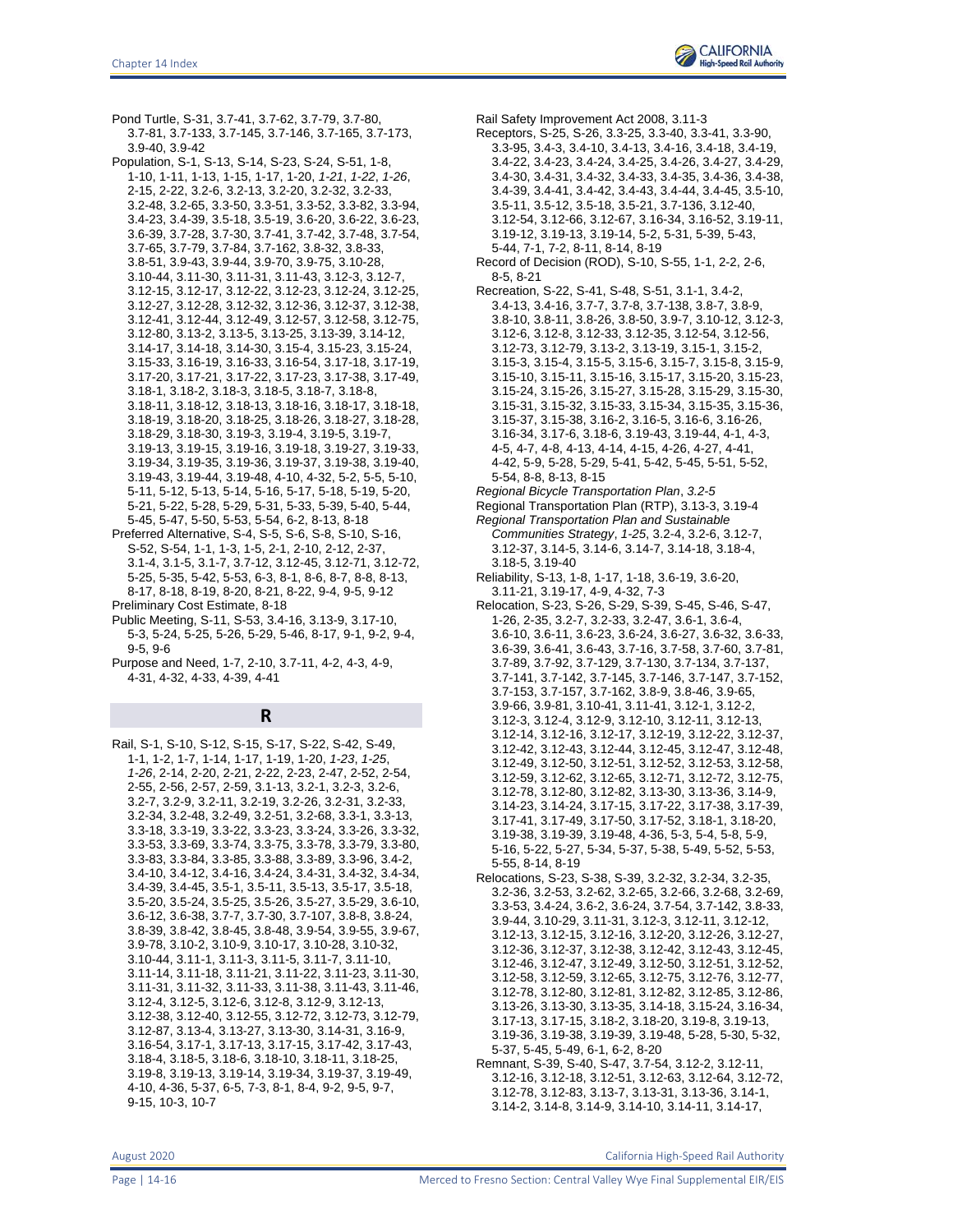

Pond Turtle, S-31, 3.7-41, 3.7-62, 3.7-79, 3.7-80, 3.7-81, 3.7-133, 3.7-145, 3.7-146, 3.7-165, 3.7-173, 3.9-40, 3.9-42

- Population, S-1, S-13, S-14, S-23, S-24, S-51, 1-8, 1-10, 1-11, 1-13, 1-15, 1-17, 1-20, *1-21*, *1-22*, *1-26*, 2-15, 2-22, 3.2-6, 3.2-13, 3.2-20, 3.2-32, 3.2-33, 3.2-48, 3.2-65, 3.3-50, 3.3-51, 3.3-52, 3.3-82, 3.3-94, 3.4-23, 3.4-39, 3.5-18, 3.5-19, 3.6-20, 3.6-22, 3.6-23, 3.6-39, 3.7-28, 3.7-30, 3.7-41, 3.7-42, 3.7-48, 3.7-54, 3.7-65, 3.7-79, 3.7-84, 3.7-162, 3.8-32, 3.8-33, 3.8-51, 3.9-43, 3.9-44, 3.9-70, 3.9-75, 3.10-28, 3.10-44, 3.11-30, 3.11-31, 3.11-43, 3.12-3, 3.12-7, 3.12-15, 3.12-17, 3.12-22, 3.12-23, 3.12-24, 3.12-25, 3.12-27, 3.12-28, 3.12-32, 3.12-36, 3.12-37, 3.12-38, 3.12-41, 3.12-44, 3.12-49, 3.12-57, 3.12-58, 3.12-75, 3.12-80, 3.13-2, 3.13-5, 3.13-25, 3.13-39, 3.14-12, 3.14-17, 3.14-18, 3.14-30, 3.15-4, 3.15-23, 3.15-24, 3.15-33, 3.16-19, 3.16-33, 3.16-54, 3.17-18, 3.17-19, 3.17-20, 3.17-21, 3.17-22, 3.17-23, 3.17-38, 3.17-49, 3.18-1, 3.18-2, 3.18-3, 3.18-5, 3.18-7, 3.18-8, 3.18-11, 3.18-12, 3.18-13, 3.18-16, 3.18-17, 3.18-18, 3.18-19, 3.18-20, 3.18-25, 3.18-26, 3.18-27, 3.18-28, 3.18-29, 3.18-30, 3.19-3, 3.19-4, 3.19-5, 3.19-7, 3.19-13, 3.19-15, 3.19-16, 3.19-18, 3.19-27, 3.19-33, 3.19-34, 3.19-35, 3.19-36, 3.19-37, 3.19-38, 3.19-40, 3.19-43, 3.19-44, 3.19-48, 4-10, 4-32, 5-2, 5-5, 5-10, 5-11, 5-12, 5-13, 5-14, 5-16, 5-17, 5-18, 5-19, 5-20, 5-21, 5-22, 5-28, 5-29, 5-31, 5-33, 5-39, 5-40, 5-44, 5-45, 5-47, 5-50, 5-53, 5-54, 6-2, 8-13, 8-18
- Preferred Alternative, S-4, S-5, S-6, S-8, S-10, S-16, S-52, S-54, 1-1, 1-3, 1-5, 2-1, 2-10, 2-12, 2-37, 3.1-4, 3.1-5, 3.1-7, 3.7-12, 3.12-45, 3.12-71, 3.12-72, 5-25, 5-35, 5-42, 5-53, 6-3, 8-1, 8-6, 8-7, 8-8, 8-13, 8-17, 8-18, 8-19, 8-20, 8-21, 8-22, 9-4, 9-5, 9-12 Preliminary Cost Estimate, 8-18
- Public Meeting, S-11, S-53, 3.4-16, 3.13-9, 3.17-10, 5-3, 5-24, 5-25, 5-26, 5-29, 5-46, 8-17, 9-1, 9-2, 9-4, 9-5, 9-6
- Purpose and Need, 1-7, 2-10, 3.7-11, 4-2, 4-3, 4-9, 4-31, 4-32, 4-33, 4-39, 4-41

## **R**

Rail, S-1, S-10, S-12, S-15, S-17, S-22, S-42, S-49, 1-1, 1-2, 1-7, 1-14, 1-17, 1-19, 1-20, *1-23*, *1-25*, *1-26*, 2-14, 2-20, 2-21, 2-22, 2-23, 2-47, 2-52, 2-54, 2-55, 2-56, 2-57, 2-59, 3.1-13, 3.2-1, 3.2-3, 3.2-6, 3.2-7, 3.2-9, 3.2-11, 3.2-19, 3.2-26, 3.2-31, 3.2-33, 3.2-34, 3.2-48, 3.2-49, 3.2-51, 3.2-68, 3.3-1, 3.3-13, 3.3-18, 3.3-19, 3.3-22, 3.3-23, 3.3-24, 3.3-26, 3.3-32, 3.3-53, 3.3-69, 3.3-74, 3.3-75, 3.3-78, 3.3-79, 3.3-80, 3.3-83, 3.3-84, 3.3-85, 3.3-88, 3.3-89, 3.3-96, 3.4-2, 3.4-10, 3.4-12, 3.4-16, 3.4-24, 3.4-31, 3.4-32, 3.4-34, 3.4-39, 3.4-45, 3.5-1, 3.5-11, 3.5-13, 3.5-17, 3.5-18, 3.5-20, 3.5-24, 3.5-25, 3.5-26, 3.5-27, 3.5-29, 3.6-10, 3.6-12, 3.6-38, 3.7-7, 3.7-30, 3.7-107, 3.8-8, 3.8-24, 3.8-39, 3.8-42, 3.8-45, 3.8-48, 3.9-54, 3.9-55, 3.9-67, 3.9-78, 3.10-2, 3.10-9, 3.10-17, 3.10-28, 3.10-32, 3.10-44, 3.11-1, 3.11-3, 3.11-5, 3.11-7, 3.11-10, 3.11-14, 3.11-18, 3.11-21, 3.11-22, 3.11-23, 3.11-30, 3.11-31, 3.11-32, 3.11-33, 3.11-38, 3.11-43, 3.11-46, 3.12-4, 3.12-5, 3.12-6, 3.12-8, 3.12-9, 3.12-13, 3.12-38, 3.12-40, 3.12-55, 3.12-72, 3.12-73, 3.12-79, 3.12-87, 3.13-4, 3.13-27, 3.13-30, 3.14-31, 3.16-9, 3.16-54, 3.17-1, 3.17-13, 3.17-15, 3.17-42, 3.17-43, 3.18-4, 3.18-5, 3.18-6, 3.18-10, 3.18-11, 3.18-25, 3.19-8, 3.19-13, 3.19-14, 3.19-34, 3.19-37, 3.19-49, 4-10, 4-36, 5-37, 6-5, 7-3, 8-1, 8-4, 9-2, 9-5, 9-7, 9-15, 10-3, 10-7

Rail Safety Improvement Act 2008, 3.11-3

- Receptors, S-25, S-26, 3.3-25, 3.3-40, 3.3-41, 3.3-90, 3.3-95, 3.4-3, 3.4-10, 3.4-13, 3.4-16, 3.4-18, 3.4-19, 3.4-22, 3.4-23, 3.4-24, 3.4-25, 3.4-26, 3.4-27, 3.4-29, 3.4-30, 3.4-31, 3.4-32, 3.4-33, 3.4-35, 3.4-36, 3.4-38, 3.4-39, 3.4-41, 3.4-42, 3.4-43, 3.4-44, 3.4-45, 3.5-10, 3.5-11, 3.5-12, 3.5-18, 3.5-21, 3.7-136, 3.12-40, 3.12-54, 3.12-66, 3.12-67, 3.16-34, 3.16-52, 3.19-11, 3.19-12, 3.19-13, 3.19-14, 5-2, 5-31, 5-39, 5-43, 5-44, 7-1, 7-2, 8-11, 8-14, 8-19
- Record of Decision (ROD), S-10, S-55, 1-1, 2-2, 2-6, 8-5, 8-21
- Recreation, S-22, S-41, S-48, S-51, 3.1-1, 3.4-2, 3.4-13, 3.4-16, 3.7-7, 3.7-8, 3.7-138, 3.8-7, 3.8-9, 3.8-10, 3.8-11, 3.8-26, 3.8-50, 3.9-7, 3.10-12, 3.12-3, 3.12-6, 3.12-8, 3.12-33, 3.12-35, 3.12-54, 3.12-56, 3.12-73, 3.12-79, 3.13-2, 3.13-19, 3.15-1, 3.15-2, 3.15-3, 3.15-4, 3.15-5, 3.15-6, 3.15-7, 3.15-8, 3.15-9, 3.15-10, 3.15-11, 3.15-16, 3.15-17, 3.15-20, 3.15-23, 3.15-24, 3.15-26, 3.15-27, 3.15-28, 3.15-29, 3.15-30, 3.15-31, 3.15-32, 3.15-33, 3.15-34, 3.15-35, 3.15-36, 3.15-37, 3.15-38, 3.16-2, 3.16-5, 3.16-6, 3.16-26, 3.16-34, 3.17-6, 3.18-6, 3.19-43, 3.19-44, 4-1, 4-3, 4-5, 4-7, 4-8, 4-13, 4-14, 4-15, 4-26, 4-27, 4-41, 4-42, 5-9, 5-28, 5-29, 5-41, 5-42, 5-45, 5-51, 5-52, 5-54, 8-8, 8-13, 8-15
- *Regional Bicycle Transportation Plan*, *3.2-5*
- Regional Transportation Plan (RTP), 3.13-3, 3.19-4 *Regional Transportation Plan and Sustainable Communities Strategy*, *1-25*, 3.2-4, 3.2-6, 3.12-7,
- 3.12-37, 3.14-5, 3.14-6, 3.14-7, 3.14-18, 3.18-4, 3.18-5, 3.19-40
- Reliability, S-13, 1-8, 1-17, 1-18, 3.6-19, 3.6-20, 3.11-21, 3.19-17, 4-9, 4-32, 7-3
- Relocation, S-23, S-26, S-29, S-39, S-45, S-46, S-47, 1-26, 2-35, 3.2-7, 3.2-33, 3.2-47, 3.6-1, 3.6-4, 3.6-10, 3.6-11, 3.6-23, 3.6-24, 3.6-27, 3.6-32, 3.6-33, 3.6-39, 3.6-41, 3.6-43, 3.7-16, 3.7-58, 3.7-60, 3.7-81, 3.7-89, 3.7-92, 3.7-129, 3.7-130, 3.7-134, 3.7-137, 3.7-141, 3.7-142, 3.7-145, 3.7-146, 3.7-147, 3.7-152, 3.7-153, 3.7-157, 3.7-162, 3.8-9, 3.8-46, 3.9-65, 3.9-66, 3.9-81, 3.10-41, 3.11-41, 3.12-1, 3.12-2, 3.12-3, 3.12-4, 3.12-9, 3.12-10, 3.12-11, 3.12-13, 3.12-14, 3.12-16, 3.12-17, 3.12-19, 3.12-22, 3.12-37, 3.12-42, 3.12-43, 3.12-44, 3.12-45, 3.12-47, 3.12-48, 3.12-49, 3.12-50, 3.12-51, 3.12-52, 3.12-53, 3.12-58, 3.12-59, 3.12-62, 3.12-65, 3.12-71, 3.12-72, 3.12-75, 3.12-78, 3.12-80, 3.12-82, 3.13-30, 3.13-36, 3.14-9, 3.14-23, 3.14-24, 3.17-15, 3.17-22, 3.17-38, 3.17-39, 3.17-41, 3.17-49, 3.17-50, 3.17-52, 3.18-1, 3.18-20, 3.19-38, 3.19-39, 3.19-48, 4-36, 5-3, 5-4, 5-8, 5-9, 5-16, 5-22, 5-27, 5-34, 5-37, 5-38, 5-49, 5-52, 5-53, 5-55, 8-14, 8-19
- Relocations, S-23, S-38, S-39, 3.2-32, 3.2-34, 3.2-35, 3.2-36, 3.2-53, 3.2-62, 3.2-65, 3.2-66, 3.2-68, 3.2-69, 3.3-53, 3.4-24, 3.6-2, 3.6-24, 3.7-54, 3.7-142, 3.8-33, 3.9-44, 3.10-29, 3.11-31, 3.12-3, 3.12-11, 3.12-12, 3.12-13, 3.12-15, 3.12-16, 3.12-20, 3.12-26, 3.12-27, 3.12-36, 3.12-37, 3.12-38, 3.12-42, 3.12-43, 3.12-45, 3.12-46, 3.12-47, 3.12-49, 3.12-50, 3.12-51, 3.12-52, 3.12-58, 3.12-59, 3.12-65, 3.12-75, 3.12-76, 3.12-77, 3.12-78, 3.12-80, 3.12-81, 3.12-82, 3.12-85, 3.12-86, 3.13-26, 3.13-30, 3.13-35, 3.14-18, 3.15-24, 3.16-34, 3.17-13, 3.17-15, 3.18-2, 3.18-20, 3.19-8, 3.19-13, 3.19-36, 3.19-38, 3.19-39, 3.19-48, 5-28, 5-30, 5-32, 5-37, 5-45, 5-49, 6-1, 6-2, 8-20
- Remnant, S-39, S-40, S-47, 3.7-54, 3.12-2, 3.12-11, 3.12-16, 3.12-18, 3.12-51, 3.12-63, 3.12-64, 3.12-72, 3.12-78, 3.12-83, 3.13-7, 3.13-31, 3.13-36, 3.14-1, 3.14-2, 3.14-8, 3.14-9, 3.14-10, 3.14-11, 3.14-17,

August 2020 California High-Speed Rail Authority

Page | 14-16 **Merced to Fresno Section: Central Valley Wye Final Supplemental EIR/EIS**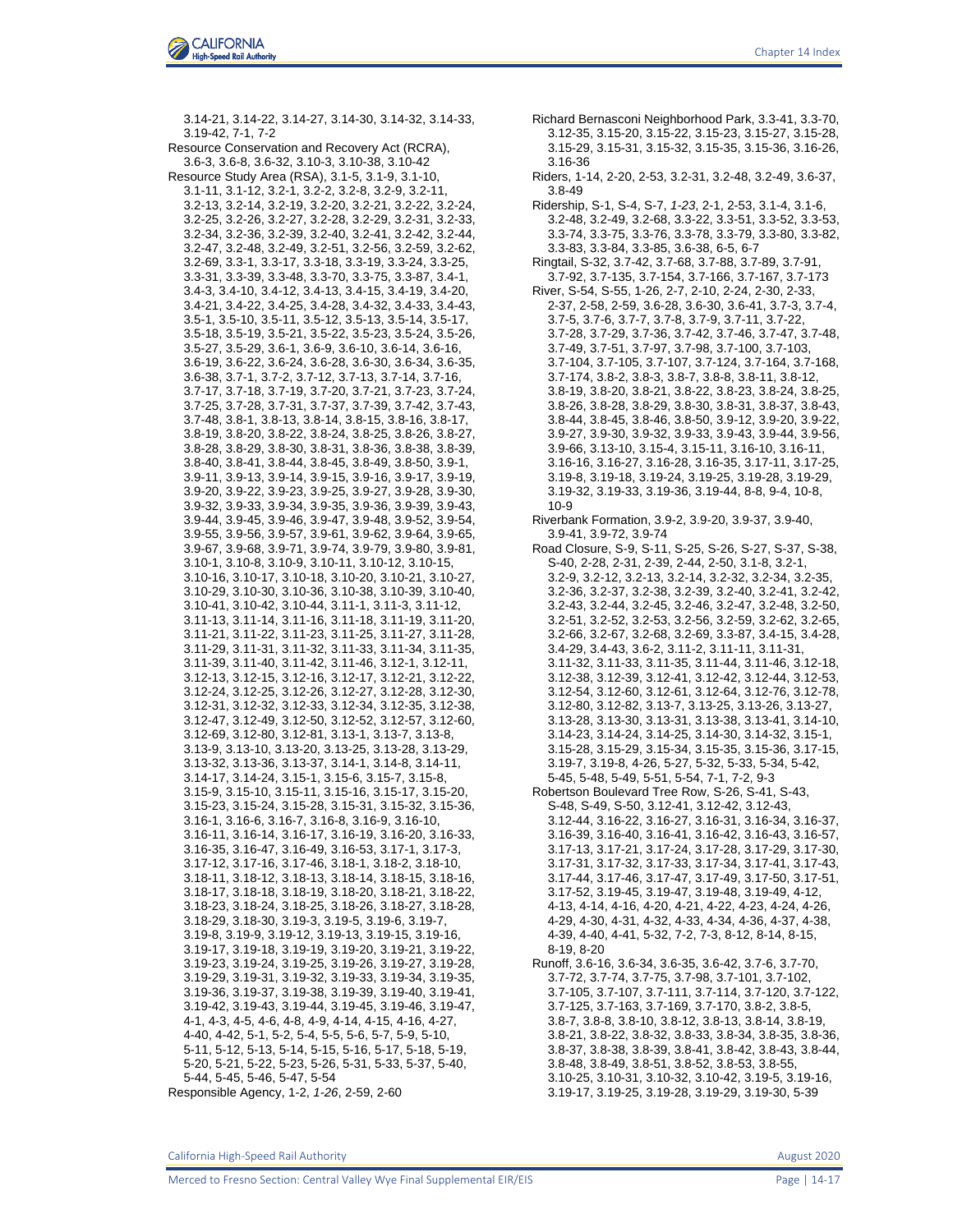

Chapter 14 Index

3.14-21, 3.14-22, 3.14-27, 3.14-30, 3.14-32, 3.14-33, 3.19-42, 7-1, 7-2 Resource Conservation and Recovery Act (RCRA), 3.6-3, 3.6-8, 3.6-32, 3.10-3, 3.10-38, 3.10-42 Resource Study Area (RSA), 3.1-5, 3.1-9, 3.1-10, 3.1-11, 3.1-12, 3.2-1, 3.2-2, 3.2-8, 3.2-9, 3.2-11, 3.2-13, 3.2-14, 3.2-19, 3.2-20, 3.2-21, 3.2-22, 3.2-24, 3.2-25, 3.2-26, 3.2-27, 3.2-28, 3.2-29, 3.2-31, 3.2-33, 3.2-34, 3.2-36, 3.2-39, 3.2-40, 3.2-41, 3.2-42, 3.2-44, 3.2-47, 3.2-48, 3.2-49, 3.2-51, 3.2-56, 3.2-59, 3.2-62, 3.2-69, 3.3-1, 3.3-17, 3.3-18, 3.3-19, 3.3-24, 3.3-25, 3.3-31, 3.3-39, 3.3-48, 3.3-70, 3.3-75, 3.3-87, 3.4-1, 3.4-3, 3.4-10, 3.4-12, 3.4-13, 3.4-15, 3.4-19, 3.4-20, 3.4-21, 3.4-22, 3.4-25, 3.4-28, 3.4-32, 3.4-33, 3.4-43, 3.5-1, 3.5-10, 3.5-11, 3.5-12, 3.5-13, 3.5-14, 3.5-17, 3.5-18, 3.5-19, 3.5-21, 3.5-22, 3.5-23, 3.5-24, 3.5-26, 3.5-27, 3.5-29, 3.6-1, 3.6-9, 3.6-10, 3.6-14, 3.6-16, 3.6-19, 3.6-22, 3.6-24, 3.6-28, 3.6-30, 3.6-34, 3.6-35, 3.6-38, 3.7-1, 3.7-2, 3.7-12, 3.7-13, 3.7-14, 3.7-16, 3.7-17, 3.7-18, 3.7-19, 3.7-20, 3.7-21, 3.7-23, 3.7-24, 3.7-25, 3.7-28, 3.7-31, 3.7-37, 3.7-39, 3.7-42, 3.7-43, 3.7-48, 3.8-1, 3.8-13, 3.8-14, 3.8-15, 3.8-16, 3.8-17, 3.8-19, 3.8-20, 3.8-22, 3.8-24, 3.8-25, 3.8-26, 3.8-27, 3.8-28, 3.8-29, 3.8-30, 3.8-31, 3.8-36, 3.8-38, 3.8-39, 3.8-40, 3.8-41, 3.8-44, 3.8-45, 3.8-49, 3.8-50, 3.9-1, 3.9-11, 3.9-13, 3.9-14, 3.9-15, 3.9-16, 3.9-17, 3.9-19, 3.9-20, 3.9-22, 3.9-23, 3.9-25, 3.9-27, 3.9-28, 3.9-30, 3.9-32, 3.9-33, 3.9-34, 3.9-35, 3.9-36, 3.9-39, 3.9-43, 3.9-44, 3.9-45, 3.9-46, 3.9-47, 3.9-48, 3.9-52, 3.9-54, 3.9-55, 3.9-56, 3.9-57, 3.9-61, 3.9-62, 3.9-64, 3.9-65, 3.9-67, 3.9-68, 3.9-71, 3.9-74, 3.9-79, 3.9-80, 3.9-81, 3.10-1, 3.10-8, 3.10-9, 3.10-11, 3.10-12, 3.10-15, 3.10-16, 3.10-17, 3.10-18, 3.10-20, 3.10-21, 3.10-27, 3.10-29, 3.10-30, 3.10-36, 3.10-38, 3.10-39, 3.10-40, 3.10-41, 3.10-42, 3.10-44, 3.11-1, 3.11-3, 3.11-12, 3.11-13, 3.11-14, 3.11-16, 3.11-18, 3.11-19, 3.11-20, 3.11-21, 3.11-22, 3.11-23, 3.11-25, 3.11-27, 3.11-28, 3.11-29, 3.11-31, 3.11-32, 3.11-33, 3.11-34, 3.11-35, 3.11-39, 3.11-40, 3.11-42, 3.11-46, 3.12-1, 3.12-11, 3.12-13, 3.12-15, 3.12-16, 3.12-17, 3.12-21, 3.12-22, 3.12-24, 3.12-25, 3.12-26, 3.12-27, 3.12-28, 3.12-30, 3.12-31, 3.12-32, 3.12-33, 3.12-34, 3.12-35, 3.12-38, 3.12-47, 3.12-49, 3.12-50, 3.12-52, 3.12-57, 3.12-60, 3.12-69, 3.12-80, 3.12-81, 3.13-1, 3.13-7, 3.13-8, 3.13-9, 3.13-10, 3.13-20, 3.13-25, 3.13-28, 3.13-29, 3.13-32, 3.13-36, 3.13-37, 3.14-1, 3.14-8, 3.14-11, 3.14-17, 3.14-24, 3.15-1, 3.15-6, 3.15-7, 3.15-8, 3.15-9, 3.15-10, 3.15-11, 3.15-16, 3.15-17, 3.15-20, 3.15-23, 3.15-24, 3.15-28, 3.15-31, 3.15-32, 3.15-36, 3.16-1, 3.16-6, 3.16-7, 3.16-8, 3.16-9, 3.16-10, 3.16-11, 3.16-14, 3.16-17, 3.16-19, 3.16-20, 3.16-33, 3.16-35, 3.16-47, 3.16-49, 3.16-53, 3.17-1, 3.17-3, 3.17-12, 3.17-16, 3.17-46, 3.18-1, 3.18-2, 3.18-10, 3.18-11, 3.18-12, 3.18-13, 3.18-14, 3.18-15, 3.18-16, 3.18-17, 3.18-18, 3.18-19, 3.18-20, 3.18-21, 3.18-22, 3.18-23, 3.18-24, 3.18-25, 3.18-26, 3.18-27, 3.18-28, 3.18-29, 3.18-30, 3.19-3, 3.19-5, 3.19-6, 3.19-7, 3.19-8, 3.19-9, 3.19-12, 3.19-13, 3.19-15, 3.19-16, 3.19-17, 3.19-18, 3.19-19, 3.19-20, 3.19-21, 3.19-22, 3.19-23, 3.19-24, 3.19-25, 3.19-26, 3.19-27, 3.19-28, 3.19-29, 3.19-31, 3.19-32, 3.19-33, 3.19-34, 3.19-35, 3.19-36, 3.19-37, 3.19-38, 3.19-39, 3.19-40, 3.19-41, 3.19-42, 3.19-43, 3.19-44, 3.19-45, 3.19-46, 3.19-47, 4-1, 4-3, 4-5, 4-6, 4-8, 4-9, 4-14, 4-15, 4-16, 4-27, 4-40, 4-42, 5-1, 5-2, 5-4, 5-5, 5-6, 5-7, 5-9, 5-10, 5-11, 5-12, 5-13, 5-14, 5-15, 5-16, 5-17, 5-18, 5-19, 5-20, 5-21, 5-22, 5-23, 5-26, 5-31, 5-33, 5-37, 5-40, 5-44, 5-45, 5-46, 5-47, 5-54 Responsible Agency, 1-2, *1-26*, 2-59, 2-60

- Richard Bernasconi Neighborhood Park, 3.3-41, 3.3-70, 3.12-35, 3.15-20, 3.15-22, 3.15-23, 3.15-27, 3.15-28, 3.15-29, 3.15-31, 3.15-32, 3.15-35, 3.15-36, 3.16-26, 3.16-36
- Riders, 1-14, 2-20, 2-53, 3.2-31, 3.2-48, 3.2-49, 3.6-37, 3.8-49
- Ridership, S-1, S-4, S-7, *1-23*, 2-1, 2-53, 3.1-4, 3.1-6, 3.2-48, 3.2-49, 3.2-68, 3.3-22, 3.3-51, 3.3-52, 3.3-53, 3.3-74, 3.3-75, 3.3-76, 3.3-78, 3.3-79, 3.3-80, 3.3-82, 3.3-83, 3.3-84, 3.3-85, 3.6-38, 6-5, 6-7
- Ringtail, S-32, 3.7-42, 3.7-68, 3.7-88, 3.7-89, 3.7-91, 3.7-92, 3.7-135, 3.7-154, 3.7-166, 3.7-167, 3.7-173
- River, S-54, S-55, 1-26, 2-7, 2-10, 2-24, 2-30, 2-33, 2-37, 2-58, 2-59, 3.6-28, 3.6-30, 3.6-41, 3.7-3, 3.7-4, 3.7-5, 3.7-6, 3.7-7, 3.7-8, 3.7-9, 3.7-11, 3.7-22, 3.7-28, 3.7-29, 3.7-36, 3.7-42, 3.7-46, 3.7-47, 3.7-48, 3.7-49, 3.7-51, 3.7-97, 3.7-98, 3.7-100, 3.7-103, 3.7-104, 3.7-105, 3.7-107, 3.7-124, 3.7-164, 3.7-168, 3.7-174, 3.8-2, 3.8-3, 3.8-7, 3.8-8, 3.8-11, 3.8-12, 3.8-19, 3.8-20, 3.8-21, 3.8-22, 3.8-23, 3.8-24, 3.8-25, 3.8-26, 3.8-28, 3.8-29, 3.8-30, 3.8-31, 3.8-37, 3.8-43, 3.8-44, 3.8-45, 3.8-46, 3.8-50, 3.9-12, 3.9-20, 3.9-22, 3.9-27, 3.9-30, 3.9-32, 3.9-33, 3.9-43, 3.9-44, 3.9-56, 3.9-66, 3.13-10, 3.15-4, 3.15-11, 3.16-10, 3.16-11, 3.16-16, 3.16-27, 3.16-28, 3.16-35, 3.17-11, 3.17-25, 3.19-8, 3.19-18, 3.19-24, 3.19-25, 3.19-28, 3.19-29, 3.19-32, 3.19-33, 3.19-36, 3.19-44, 8-8, 9-4, 10-8, 10-9
- Riverbank Formation, 3.9-2, 3.9-20, 3.9-37, 3.9-40, 3.9-41, 3.9-72, 3.9-74
- Road Closure, S-9, S-11, S-25, S-26, S-27, S-37, S-38, S-40, 2-28, 2-31, 2-39, 2-44, 2-50, 3.1-8, 3.2-1, 3.2-9, 3.2-12, 3.2-13, 3.2-14, 3.2-32, 3.2-34, 3.2-35, 3.2-36, 3.2-37, 3.2-38, 3.2-39, 3.2-40, 3.2-41, 3.2-42, 3.2-43, 3.2-44, 3.2-45, 3.2-46, 3.2-47, 3.2-48, 3.2-50, 3.2-51, 3.2-52, 3.2-53, 3.2-56, 3.2-59, 3.2-62, 3.2-65, 3.2-66, 3.2-67, 3.2-68, 3.2-69, 3.3-87, 3.4-15, 3.4-28, 3.4-29, 3.4-43, 3.6-2, 3.11-2, 3.11-11, 3.11-31, 3.11-32, 3.11-33, 3.11-35, 3.11-44, 3.11-46, 3.12-18, 3.12-38, 3.12-39, 3.12-41, 3.12-42, 3.12-44, 3.12-53, 3.12-54, 3.12-60, 3.12-61, 3.12-64, 3.12-76, 3.12-78, 3.12-80, 3.12-82, 3.13-7, 3.13-25, 3.13-26, 3.13-27, 3.13-28, 3.13-30, 3.13-31, 3.13-38, 3.13-41, 3.14-10, 3.14-23, 3.14-24, 3.14-25, 3.14-30, 3.14-32, 3.15-1, 3.15-28, 3.15-29, 3.15-34, 3.15-35, 3.15-36, 3.17-15, 3.19-7, 3.19-8, 4-26, 5-27, 5-32, 5-33, 5-34, 5-42, 5-45, 5-48, 5-49, 5-51, 5-54, 7-1, 7-2, 9-3
- Robertson Boulevard Tree Row, S-26, S-41, S-43, S-48, S-49, S-50, 3.12-41, 3.12-42, 3.12-43, 3.12-44, 3.16-22, 3.16-27, 3.16-31, 3.16-34, 3.16-37, 3.16-39, 3.16-40, 3.16-41, 3.16-42, 3.16-43, 3.16-57, 3.17-13, 3.17-21, 3.17-24, 3.17-28, 3.17-29, 3.17-30, 3.17-31, 3.17-32, 3.17-33, 3.17-34, 3.17-41, 3.17-43, 3.17-44, 3.17-46, 3.17-47, 3.17-49, 3.17-50, 3.17-51, 3.17-52, 3.19-45, 3.19-47, 3.19-48, 3.19-49, 4-12, 4-13, 4-14, 4-16, 4-20, 4-21, 4-22, 4-23, 4-24, 4-26, 4-29, 4-30, 4-31, 4-32, 4-33, 4-34, 4-36, 4-37, 4-38, 4-39, 4-40, 4-41, 5-32, 7-2, 7-3, 8-12, 8-14, 8-15, 8-19, 8-20
- Runoff, 3.6-16, 3.6-34, 3.6-35, 3.6-42, 3.7-6, 3.7-70, 3.7-72, 3.7-74, 3.7-75, 3.7-98, 3.7-101, 3.7-102, 3.7-105, 3.7-107, 3.7-111, 3.7-114, 3.7-120, 3.7-122, 3.7-125, 3.7-163, 3.7-169, 3.7-170, 3.8-2, 3.8-5, 3.8-7, 3.8-8, 3.8-10, 3.8-12, 3.8-13, 3.8-14, 3.8-19, 3.8-21, 3.8-22, 3.8-32, 3.8-33, 3.8-34, 3.8-35, 3.8-36, 3.8-37, 3.8-38, 3.8-39, 3.8-41, 3.8-42, 3.8-43, 3.8-44, 3.8-48, 3.8-49, 3.8-51, 3.8-52, 3.8-53, 3.8-55, 3.10-25, 3.10-31, 3.10-32, 3.10-42, 3.19-5, 3.19-16, 3.19-17, 3.19-25, 3.19-28, 3.19-29, 3.19-30, 5-39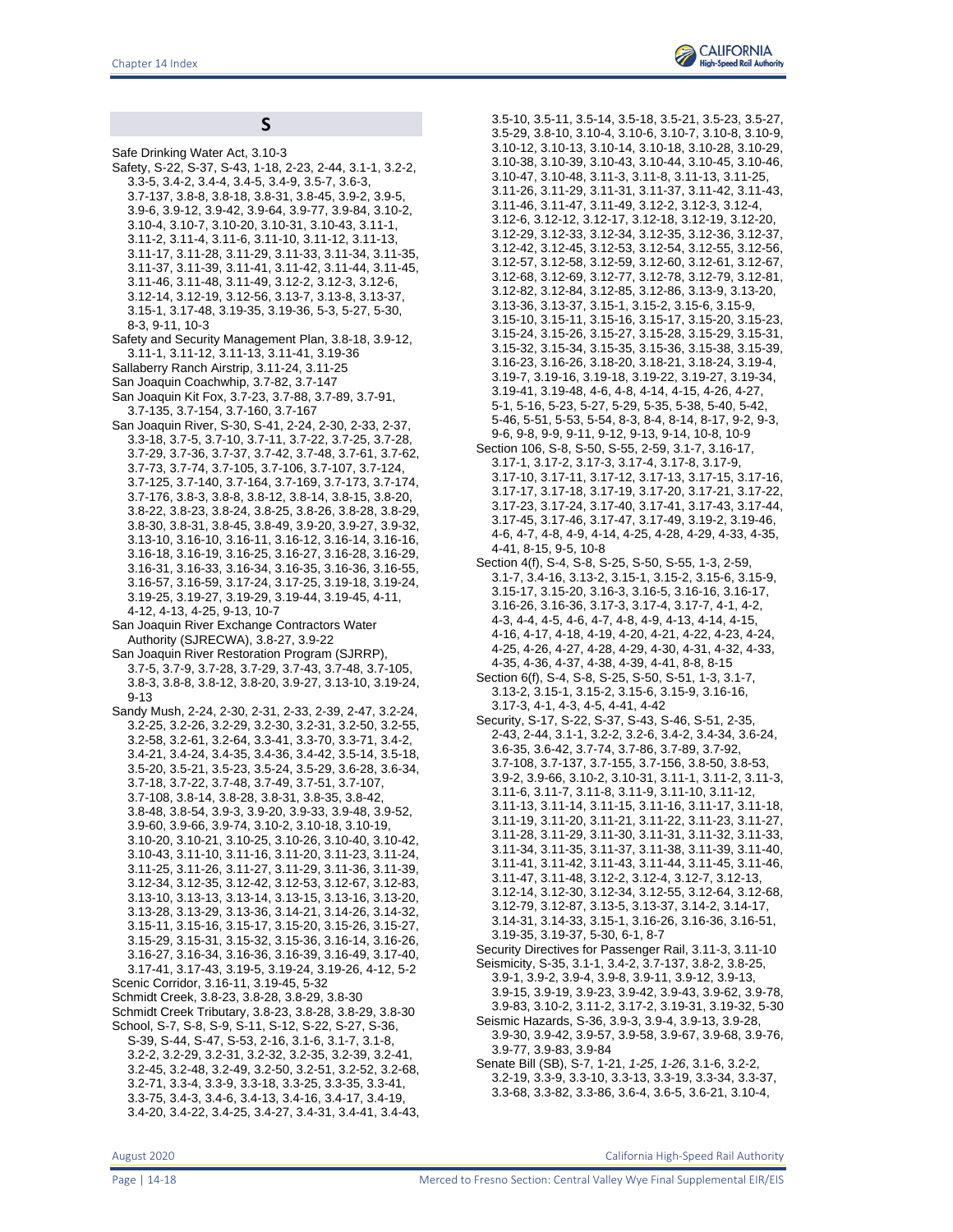# **S**

Safe Drinking Water Act, 3.10-3 Safety, S-22, S-37, S-43, 1-18, 2-23, 2-44, 3.1-1, 3.2-2, 3.3-5, 3.4-2, 3.4-4, 3.4-5, 3.4-9, 3.5-7, 3.6-3, 3.7-137, 3.8-8, 3.8-18, 3.8-31, 3.8-45, 3.9-2, 3.9-5, 3.9-6, 3.9-12, 3.9-42, 3.9-64, 3.9-77, 3.9-84, 3.10-2, 3.10-4, 3.10-7, 3.10-20, 3.10-31, 3.10-43, 3.11-1, 3.11-2, 3.11-4, 3.11-6, 3.11-10, 3.11-12, 3.11-13, 3.11-17, 3.11-28, 3.11-29, 3.11-33, 3.11-34, 3.11-35, 3.11-37, 3.11-39, 3.11-41, 3.11-42, 3.11-44, 3.11-45, 3.11-46, 3.11-48, 3.11-49, 3.12-2, 3.12-3, 3.12-6, 3.12-14, 3.12-19, 3.12-56, 3.13-7, 3.13-8, 3.13-37, 3.15-1, 3.17-48, 3.19-35, 3.19-36, 5-3, 5-27, 5-30, 8-3, 9-11, 10-3 Safety and Security Management Plan, 3.8-18, 3.9-12, 3.11-1, 3.11-12, 3.11-13, 3.11-41, 3.19-36 Sallaberry Ranch Airstrip, 3.11-24, 3.11-25 San Joaquin Coachwhip, 3.7-82, 3.7-147 San Joaquin Kit Fox, 3.7-23, 3.7-88, 3.7-89, 3.7-91, 3.7-135, 3.7-154, 3.7-160, 3.7-167 San Joaquin River, S-30, S-41, 2-24, 2-30, 2-33, 2-37, 3.3-18, 3.7-5, 3.7-10, 3.7-11, 3.7-22, 3.7-25, 3.7-28, 3.7-29, 3.7-36, 3.7-37, 3.7-42, 3.7-48, 3.7-61, 3.7-62, 3.7-73, 3.7-74, 3.7-105, 3.7-106, 3.7-107, 3.7-124, 3.7-125, 3.7-140, 3.7-164, 3.7-169, 3.7-173, 3.7-174, 3.7-176, 3.8-3, 3.8-8, 3.8-12, 3.8-14, 3.8-15, 3.8-20, 3.8-22, 3.8-23, 3.8-24, 3.8-25, 3.8-26, 3.8-28, 3.8-29, 3.8-30, 3.8-31, 3.8-45, 3.8-49, 3.9-20, 3.9-27, 3.9-32, 3.13-10, 3.16-10, 3.16-11, 3.16-12, 3.16-14, 3.16-16, 3.16-18, 3.16-19, 3.16-25, 3.16-27, 3.16-28, 3.16-29, 3.16-31, 3.16-33, 3.16-34, 3.16-35, 3.16-36, 3.16-55, 3.16-57, 3.16-59, 3.17-24, 3.17-25, 3.19-18, 3.19-24, 3.19-25, 3.19-27, 3.19-29, 3.19-44, 3.19-45, 4-11, 4-12, 4-13, 4-25, 9-13, 10-7 San Joaquin River Exchange Contractors Water Authority (SJRECWA), 3.8-27, 3.9-22 San Joaquin River Restoration Program (SJRRP), 3.7-5, 3.7-9, 3.7-28, 3.7-29, 3.7-43, 3.7-48, 3.7-105, 3.8-3, 3.8-8, 3.8-12, 3.8-20, 3.9-27, 3.13-10, 3.19-24, 9-13 Sandy Mush, 2-24, 2-30, 2-31, 2-33, 2-39, 2-47, 3.2-24, 3.2-25, 3.2-26, 3.2-29, 3.2-30, 3.2-31, 3.2-50, 3.2-55, 3.2-58, 3.2-61, 3.2-64, 3.3-41, 3.3-70, 3.3-71, 3.4-2, 3.4-21, 3.4-24, 3.4-35, 3.4-36, 3.4-42, 3.5-14, 3.5-18, 3.5-20, 3.5-21, 3.5-23, 3.5-24, 3.5-29, 3.6-28, 3.6-34, 3.7-18, 3.7-22, 3.7-48, 3.7-49, 3.7-51, 3.7-107, 3.7-108, 3.8-14, 3.8-28, 3.8-31, 3.8-35, 3.8-42, 3.8-48, 3.8-54, 3.9-3, 3.9-20, 3.9-33, 3.9-48, 3.9-52, 3.9-60, 3.9-66, 3.9-74, 3.10-2, 3.10-18, 3.10-19, 3.10-20, 3.10-21, 3.10-25, 3.10-26, 3.10-40, 3.10-42, 3.10-43, 3.11-10, 3.11-16, 3.11-20, 3.11-23, 3.11-24, 3.11-25, 3.11-26, 3.11-27, 3.11-29, 3.11-36, 3.11-39, 3.12-34, 3.12-35, 3.12-42, 3.12-53, 3.12-67, 3.12-83, 3.13-10, 3.13-13, 3.13-14, 3.13-15, 3.13-16, 3.13-20, 3.13-28, 3.13-29, 3.13-36, 3.14-21, 3.14-26, 3.14-32, 3.15-11, 3.15-16, 3.15-17, 3.15-20, 3.15-26, 3.15-27, 3.15-29, 3.15-31, 3.15-32, 3.15-36, 3.16-14, 3.16-26, 3.16-27, 3.16-34, 3.16-36, 3.16-39, 3.16-49, 3.17-40, 3.17-41, 3.17-43, 3.19-5, 3.19-24, 3.19-26, 4-12, 5-2 Scenic Corridor, 3.16-11, 3.19-45, 5-32 Schmidt Creek, 3.8-23, 3.8-28, 3.8-29, 3.8-30 Schmidt Creek Tributary, 3.8-23, 3.8-28, 3.8-29, 3.8-30 School, S-7, S-8, S-9, S-11, S-12, S-22, S-27, S-36, S-39, S-44, S-47, S-53, 2-16, 3.1-6, 3.1-7, 3.1-8, 3.2-2, 3.2-29, 3.2-31, 3.2-32, 3.2-35, 3.2-39, 3.2-41, 3.2-45, 3.2-48, 3.2-49, 3.2-50, 3.2-51, 3.2-52, 3.2-68, 3.2-71, 3.3-4, 3.3-9, 3.3-18, 3.3-25, 3.3-35, 3.3-41, 3.3-75, 3.4-3, 3.4-6, 3.4-13, 3.4-16, 3.4-17, 3.4-19, 3.4-20, 3.4-22, 3.4-25, 3.4-27, 3.4-31, 3.4-41, 3.4-43,

3.5-10, 3.5-11, 3.5-14, 3.5-18, 3.5-21, 3.5-23, 3.5-27, 3.5-29, 3.8-10, 3.10-4, 3.10-6, 3.10-7, 3.10-8, 3.10-9, 3.10-12, 3.10-13, 3.10-14, 3.10-18, 3.10-28, 3.10-29, 3.10-38, 3.10-39, 3.10-43, 3.10-44, 3.10-45, 3.10-46, 3.10-47, 3.10-48, 3.11-3, 3.11-8, 3.11-13, 3.11-25, 3.11-26, 3.11-29, 3.11-31, 3.11-37, 3.11-42, 3.11-43, 3.11-46, 3.11-47, 3.11-49, 3.12-2, 3.12-3, 3.12-4, 3.12-6, 3.12-12, 3.12-17, 3.12-18, 3.12-19, 3.12-20, 3.12-29, 3.12-33, 3.12-34, 3.12-35, 3.12-36, 3.12-37, 3.12-42, 3.12-45, 3.12-53, 3.12-54, 3.12-55, 3.12-56, 3.12-57, 3.12-58, 3.12-59, 3.12-60, 3.12-61, 3.12-67, 3.12-68, 3.12-69, 3.12-77, 3.12-78, 3.12-79, 3.12-81, 3.12-82, 3.12-84, 3.12-85, 3.12-86, 3.13-9, 3.13-20, 3.13-36, 3.13-37, 3.15-1, 3.15-2, 3.15-6, 3.15-9, 3.15-10, 3.15-11, 3.15-16, 3.15-17, 3.15-20, 3.15-23, 3.15-24, 3.15-26, 3.15-27, 3.15-28, 3.15-29, 3.15-31, 3.15-32, 3.15-34, 3.15-35, 3.15-36, 3.15-38, 3.15-39, 3.16-23, 3.16-26, 3.18-20, 3.18-21, 3.18-24, 3.19-4, 3.19-7, 3.19-16, 3.19-18, 3.19-22, 3.19-27, 3.19-34, 3.19-41, 3.19-48, 4-6, 4-8, 4-14, 4-15, 4-26, 4-27, 5-1, 5-16, 5-23, 5-27, 5-29, 5-35, 5-38, 5-40, 5-42, 5-46, 5-51, 5-53, 5-54, 8-3, 8-4, 8-14, 8-17, 9-2, 9-3, 9-6, 9-8, 9-9, 9-11, 9-12, 9-13, 9-14, 10-8, 10-9 Section 106, S-8, S-50, S-55, 2-59, 3.1-7, 3.16-17, 3.17-1, 3.17-2, 3.17-3, 3.17-4, 3.17-8, 3.17-9, 3.17-10, 3.17-11, 3.17-12, 3.17-13, 3.17-15, 3.17-16, 3.17-17, 3.17-18, 3.17-19, 3.17-20, 3.17-21, 3.17-22, 3.17-23, 3.17-24, 3.17-40, 3.17-41, 3.17-43, 3.17-44, 3.17-45, 3.17-46, 3.17-47, 3.17-49, 3.19-2, 3.19-46, 4-6, 4-7, 4-8, 4-9, 4-14, 4-25, 4-28, 4-29, 4-33, 4-35, 4-41, 8-15, 9-5, 10-8 Section 4(f), S-4, S-8, S-25, S-50, S-55, 1-3, 2-59, 3.1-7, 3.4-16, 3.13-2, 3.15-1, 3.15-2, 3.15-6, 3.15-9, 3.15-17, 3.15-20, 3.16-3, 3.16-5, 3.16-16, 3.16-17, 3.16-26, 3.16-36, 3.17-3, 3.17-4, 3.17-7, 4-1, 4-2, 4-3, 4-4, 4-5, 4-6, 4-7, 4-8, 4-9, 4-13, 4-14, 4-15, 4-16, 4-17, 4-18, 4-19, 4-20, 4-21, 4-22, 4-23, 4-24, 4-25, 4-26, 4-27, 4-28, 4-29, 4-30, 4-31, 4-32, 4-33, 4-35, 4-36, 4-37, 4-38, 4-39, 4-41, 8-8, 8-15

- Section 6(f), S-4, S-8, S-25, S-50, S-51, 1-3, 3.1-7, 3.13-2, 3.15-1, 3.15-2, 3.15-6, 3.15-9, 3.16-16, 3.17-3, 4-1, 4-3, 4-5, 4-41, 4-42
- Security, S-17, S-22, S-37, S-43, S-46, S-51, 2-35, 2-43, 2-44, 3.1-1, 3.2-2, 3.2-6, 3.4-2, 3.4-34, 3.6-24, 3.6-35, 3.6-42, 3.7-74, 3.7-86, 3.7-89, 3.7-92, 3.7-108, 3.7-137, 3.7-155, 3.7-156, 3.8-50, 3.8-53, 3.9-2, 3.9-66, 3.10-2, 3.10-31, 3.11-1, 3.11-2, 3.11-3, 3.11-6, 3.11-7, 3.11-8, 3.11-9, 3.11-10, 3.11-12, 3.11-13, 3.11-14, 3.11-15, 3.11-16, 3.11-17, 3.11-18, 3.11-19, 3.11-20, 3.11-21, 3.11-22, 3.11-23, 3.11-27, 3.11-28, 3.11-29, 3.11-30, 3.11-31, 3.11-32, 3.11-33, 3.11-34, 3.11-35, 3.11-37, 3.11-38, 3.11-39, 3.11-40, 3.11-41, 3.11-42, 3.11-43, 3.11-44, 3.11-45, 3.11-46, 3.11-47, 3.11-48, 3.12-2, 3.12-4, 3.12-7, 3.12-13, 3.12-14, 3.12-30, 3.12-34, 3.12-55, 3.12-64, 3.12-68, 3.12-79, 3.12-87, 3.13-5, 3.13-37, 3.14-2, 3.14-17, 3.14-31, 3.14-33, 3.15-1, 3.16-26, 3.16-36, 3.16-51, 3.19-35, 3.19-37, 5-30, 6-1, 8-7
- Security Directives for Passenger Rail, 3.11-3, 3.11-10 Seismicity, S-35, 3.1-1, 3.4-2, 3.7-137, 3.8-2, 3.8-25, 3.9-1, 3.9-2, 3.9-4, 3.9-8, 3.9-11, 3.9-12, 3.9-13, 3.9-15, 3.9-19, 3.9-23, 3.9-42, 3.9-43, 3.9-62, 3.9-78, 3.9-83, 3.10-2, 3.11-2, 3.17-2, 3.19-31, 3.19-32, 5-30 Seismic Hazards, S-36, 3.9-3, 3.9-4, 3.9-13, 3.9-28,
- 3.9-30, 3.9-42, 3.9-57, 3.9-58, 3.9-67, 3.9-68, 3.9-76, 3.9-77, 3.9-83, 3.9-84
- Senate Bill (SB), S-7, 1-21, *1-25*, *1-26*, 3.1-6, 3.2-2, 3.2-19, 3.3-9, 3.3-10, 3.3-13, 3.3-19, 3.3-34, 3.3-37, 3.3-68, 3.3-82, 3.3-86, 3.6-4, 3.6-5, 3.6-21, 3.10-4,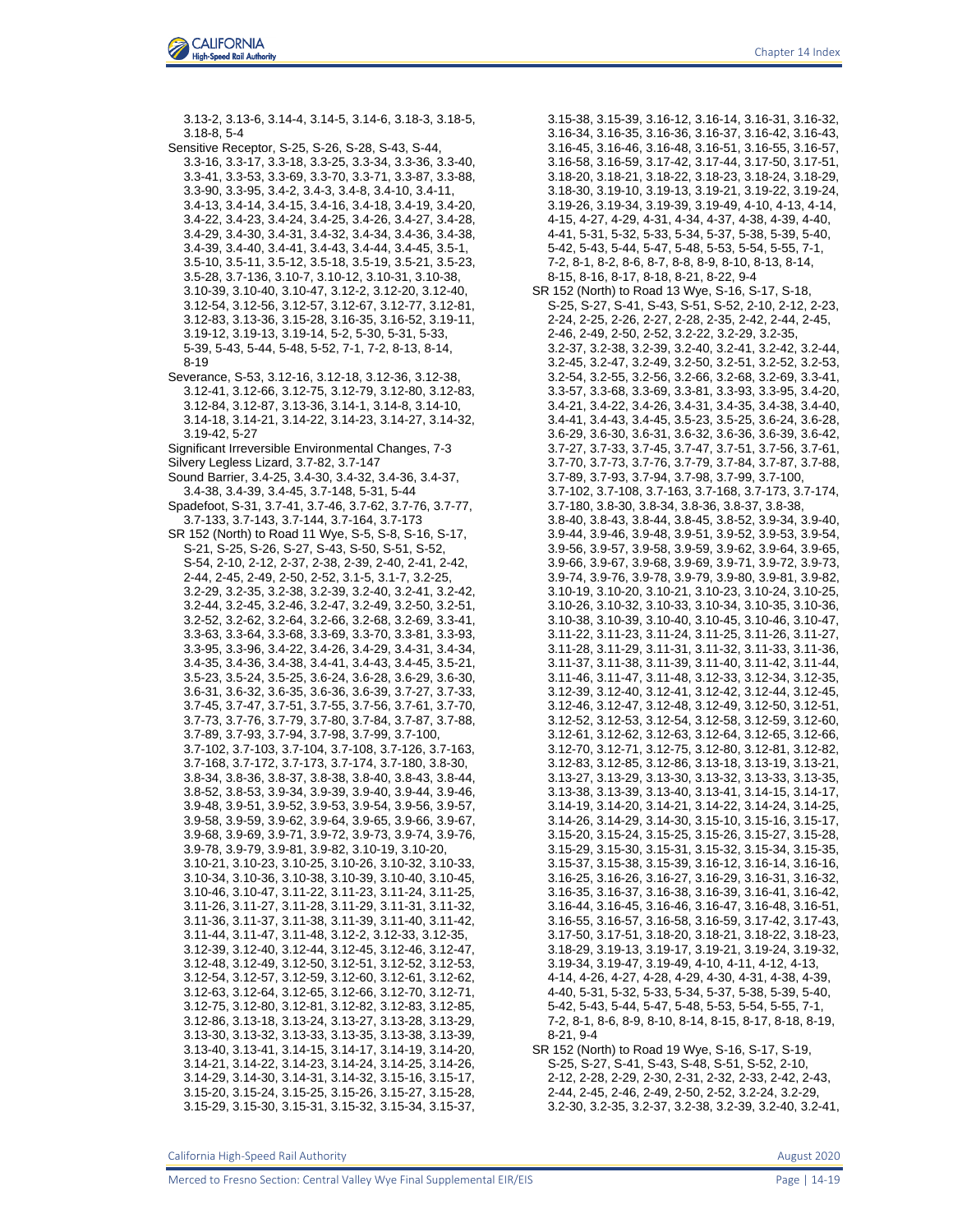

3.13-2, 3.13-6, 3.14-4, 3.14-5, 3.14-6, 3.18-3, 3.18-5, 3.18-8, 5-4 Sensitive Receptor, S-25, S-26, S-28, S-43, S-44, 3.3-16, 3.3-17, 3.3-18, 3.3-25, 3.3-34, 3.3-36, 3.3-40, 3.3-41, 3.3-53, 3.3-69, 3.3-70, 3.3-71, 3.3-87, 3.3-88, 3.3-90, 3.3-95, 3.4-2, 3.4-3, 3.4-8, 3.4-10, 3.4-11, 3.4-13, 3.4-14, 3.4-15, 3.4-16, 3.4-18, 3.4-19, 3.4-20, 3.4-22, 3.4-23, 3.4-24, 3.4-25, 3.4-26, 3.4-27, 3.4-28, 3.4-29, 3.4-30, 3.4-31, 3.4-32, 3.4-34, 3.4-36, 3.4-38, 3.4-39, 3.4-40, 3.4-41, 3.4-43, 3.4-44, 3.4-45, 3.5-1, 3.5-10, 3.5-11, 3.5-12, 3.5-18, 3.5-19, 3.5-21, 3.5-23, 3.5-28, 3.7-136, 3.10-7, 3.10-12, 3.10-31, 3.10-38, 3.10-39, 3.10-40, 3.10-47, 3.12-2, 3.12-20, 3.12-40, 3.12-54, 3.12-56, 3.12-57, 3.12-67, 3.12-77, 3.12-81, 3.12-83, 3.13-36, 3.15-28, 3.16-35, 3.16-52, 3.19-11, 3.19-12, 3.19-13, 3.19-14, 5-2, 5-30, 5-31, 5-33, 5-39, 5-43, 5-44, 5-48, 5-52, 7-1, 7-2, 8-13, 8-14, 8-19 Severance, S-53, 3.12-16, 3.12-18, 3.12-36, 3.12-38, 3.12-41, 3.12-66, 3.12-75, 3.12-79, 3.12-80, 3.12-83, 3.12-84, 3.12-87, 3.13-36, 3.14-1, 3.14-8, 3.14-10, 3.14-18, 3.14-21, 3.14-22, 3.14-23, 3.14-27, 3.14-32, 3.19-42, 5-27 Significant Irreversible Environmental Changes, 7-3 Silvery Legless Lizard, 3.7-82, 3.7-147 Sound Barrier, 3.4-25, 3.4-30, 3.4-32, 3.4-36, 3.4-37, 3.4-38, 3.4-39, 3.4-45, 3.7-148, 5-31, 5-44 Spadefoot, S-31, 3.7-41, 3.7-46, 3.7-62, 3.7-76, 3.7-77, 3.7-133, 3.7-143, 3.7-144, 3.7-164, 3.7-173 SR 152 (North) to Road 11 Wye, S-5, S-8, S-16, S-17, S-21, S-25, S-26, S-27, S-43, S-50, S-51, S-52, S-54, 2-10, 2-12, 2-37, 2-38, 2-39, 2-40, 2-41, 2-42, 2-44, 2-45, 2-49, 2-50, 2-52, 3.1-5, 3.1-7, 3.2-25, 3.2-29, 3.2-35, 3.2-38, 3.2-39, 3.2-40, 3.2-41, 3.2-42, 3.2-44, 3.2-45, 3.2-46, 3.2-47, 3.2-49, 3.2-50, 3.2-51, 3.2-52, 3.2-62, 3.2-64, 3.2-66, 3.2-68, 3.2-69, 3.3-41, 3.3-63, 3.3-64, 3.3-68, 3.3-69, 3.3-70, 3.3-81, 3.3-93, 3.3-95, 3.3-96, 3.4-22, 3.4-26, 3.4-29, 3.4-31, 3.4-34, 3.4-35, 3.4-36, 3.4-38, 3.4-41, 3.4-43, 3.4-45, 3.5-21, 3.5-23, 3.5-24, 3.5-25, 3.6-24, 3.6-28, 3.6-29, 3.6-30, 3.6-31, 3.6-32, 3.6-35, 3.6-36, 3.6-39, 3.7-27, 3.7-33, 3.7-45, 3.7-47, 3.7-51, 3.7-55, 3.7-56, 3.7-61, 3.7-70, 3.7-73, 3.7-76, 3.7-79, 3.7-80, 3.7-84, 3.7-87, 3.7-88, 3.7-89, 3.7-93, 3.7-94, 3.7-98, 3.7-99, 3.7-100, 3.7-102, 3.7-103, 3.7-104, 3.7-108, 3.7-126, 3.7-163, 3.7-168, 3.7-172, 3.7-173, 3.7-174, 3.7-180, 3.8-30, 3.8-34, 3.8-36, 3.8-37, 3.8-38, 3.8-40, 3.8-43, 3.8-44, 3.8-52, 3.8-53, 3.9-34, 3.9-39, 3.9-40, 3.9-44, 3.9-46, 3.9-48, 3.9-51, 3.9-52, 3.9-53, 3.9-54, 3.9-56, 3.9-57, 3.9-58, 3.9-59, 3.9-62, 3.9-64, 3.9-65, 3.9-66, 3.9-67, 3.9-68, 3.9-69, 3.9-71, 3.9-72, 3.9-73, 3.9-74, 3.9-76, 3.9-78, 3.9-79, 3.9-81, 3.9-82, 3.10-19, 3.10-20, 3.10-21, 3.10-23, 3.10-25, 3.10-26, 3.10-32, 3.10-33, 3.10-34, 3.10-36, 3.10-38, 3.10-39, 3.10-40, 3.10-45, 3.10-46, 3.10-47, 3.11-22, 3.11-23, 3.11-24, 3.11-25, 3.11-26, 3.11-27, 3.11-28, 3.11-29, 3.11-31, 3.11-32, 3.11-36, 3.11-37, 3.11-38, 3.11-39, 3.11-40, 3.11-42, 3.11-44, 3.11-47, 3.11-48, 3.12-2, 3.12-33, 3.12-35, 3.12-39, 3.12-40, 3.12-44, 3.12-45, 3.12-46, 3.12-47, 3.12-48, 3.12-49, 3.12-50, 3.12-51, 3.12-52, 3.12-53, 3.12-54, 3.12-57, 3.12-59, 3.12-60, 3.12-61, 3.12-62, 3.12-63, 3.12-64, 3.12-65, 3.12-66, 3.12-70, 3.12-71, 3.12-75, 3.12-80, 3.12-81, 3.12-82, 3.12-83, 3.12-85, 3.12-86, 3.13-18, 3.13-24, 3.13-27, 3.13-28, 3.13-29, 3.13-30, 3.13-32, 3.13-33, 3.13-35, 3.13-38, 3.13-39, 3.13-40, 3.13-41, 3.14-15, 3.14-17, 3.14-19, 3.14-20, 3.14-21, 3.14-22, 3.14-23, 3.14-24, 3.14-25, 3.14-26, 3.14-29, 3.14-30, 3.14-31, 3.14-32, 3.15-16, 3.15-17, 3.15-20, 3.15-24, 3.15-25, 3.15-26, 3.15-27, 3.15-28, 3.15-29, 3.15-30, 3.15-31, 3.15-32, 3.15-34, 3.15-37,

3.15-38, 3.15-39, 3.16-12, 3.16-14, 3.16-31, 3.16-32, 3.16-34, 3.16-35, 3.16-36, 3.16-37, 3.16-42, 3.16-43, 3.16-45, 3.16-46, 3.16-48, 3.16-51, 3.16-55, 3.16-57, 3.16-58, 3.16-59, 3.17-42, 3.17-44, 3.17-50, 3.17-51, 3.18-20, 3.18-21, 3.18-22, 3.18-23, 3.18-24, 3.18-29, 3.18-30, 3.19-10, 3.19-13, 3.19-21, 3.19-22, 3.19-24, 3.19-26, 3.19-34, 3.19-39, 3.19-49, 4-10, 4-13, 4-14, 4-15, 4-27, 4-29, 4-31, 4-34, 4-37, 4-38, 4-39, 4-40, 4-41, 5-31, 5-32, 5-33, 5-34, 5-37, 5-38, 5-39, 5-40, 5-42, 5-43, 5-44, 5-47, 5-48, 5-53, 5-54, 5-55, 7-1, 7-2, 8-1, 8-2, 8-6, 8-7, 8-8, 8-9, 8-10, 8-13, 8-14, 8-15, 8-16, 8-17, 8-18, 8-21, 8-22, 9-4 SR 152 (North) to Road 13 Wye, S-16, S-17, S-18, S-25, S-27, S-41, S-43, S-51, S-52, 2-10, 2-12, 2-23, 2-24, 2-25, 2-26, 2-27, 2-28, 2-35, 2-42, 2-44, 2-45, 2-46, 2-49, 2-50, 2-52, 3.2-22, 3.2-29, 3.2-35, 3.2-37, 3.2-38, 3.2-39, 3.2-40, 3.2-41, 3.2-42, 3.2-44, 3.2-45, 3.2-47, 3.2-49, 3.2-50, 3.2-51, 3.2-52, 3.2-53, 3.2-54, 3.2-55, 3.2-56, 3.2-66, 3.2-68, 3.2-69, 3.3-41, 3.3-57, 3.3-68, 3.3-69, 3.3-81, 3.3-93, 3.3-95, 3.4-20, 3.4-21, 3.4-22, 3.4-26, 3.4-31, 3.4-35, 3.4-38, 3.4-40, 3.4-41, 3.4-43, 3.4-45, 3.5-23, 3.5-25, 3.6-24, 3.6-28, 3.6-29, 3.6-30, 3.6-31, 3.6-32, 3.6-36, 3.6-39, 3.6-42, 3.7-27, 3.7-33, 3.7-45, 3.7-47, 3.7-51, 3.7-56, 3.7-61, 3.7-70, 3.7-73, 3.7-76, 3.7-79, 3.7-84, 3.7-87, 3.7-88, 3.7-89, 3.7-93, 3.7-94, 3.7-98, 3.7-99, 3.7-100, 3.7-102, 3.7-108, 3.7-163, 3.7-168, 3.7-173, 3.7-174, 3.7-180, 3.8-30, 3.8-34, 3.8-36, 3.8-37, 3.8-38, 3.8-40, 3.8-43, 3.8-44, 3.8-45, 3.8-52, 3.9-34, 3.9-40, 3.9-44, 3.9-46, 3.9-48, 3.9-51, 3.9-52, 3.9-53, 3.9-54, 3.9-56, 3.9-57, 3.9-58, 3.9-59, 3.9-62, 3.9-64, 3.9-65, 3.9-66, 3.9-67, 3.9-68, 3.9-69, 3.9-71, 3.9-72, 3.9-73, 3.9-74, 3.9-76, 3.9-78, 3.9-79, 3.9-80, 3.9-81, 3.9-82, 3.10-19, 3.10-20, 3.10-21, 3.10-23, 3.10-24, 3.10-25, 3.10-26, 3.10-32, 3.10-33, 3.10-34, 3.10-35, 3.10-36, 3.10-38, 3.10-39, 3.10-40, 3.10-45, 3.10-46, 3.10-47, 3.11-22, 3.11-23, 3.11-24, 3.11-25, 3.11-26, 3.11-27, 3.11-28, 3.11-29, 3.11-31, 3.11-32, 3.11-33, 3.11-36, 3.11-37, 3.11-38, 3.11-39, 3.11-40, 3.11-42, 3.11-44, 3.11-46, 3.11-47, 3.11-48, 3.12-33, 3.12-34, 3.12-35, 3.12-39, 3.12-40, 3.12-41, 3.12-42, 3.12-44, 3.12-45, 3.12-46, 3.12-47, 3.12-48, 3.12-49, 3.12-50, 3.12-51, 3.12-52, 3.12-53, 3.12-54, 3.12-58, 3.12-59, 3.12-60, 3.12-61, 3.12-62, 3.12-63, 3.12-64, 3.12-65, 3.12-66, 3.12-70, 3.12-71, 3.12-75, 3.12-80, 3.12-81, 3.12-82, 3.12-83, 3.12-85, 3.12-86, 3.13-18, 3.13-19, 3.13-21, 3.13-27, 3.13-29, 3.13-30, 3.13-32, 3.13-33, 3.13-35, 3.13-38, 3.13-39, 3.13-40, 3.13-41, 3.14-15, 3.14-17, 3.14-19, 3.14-20, 3.14-21, 3.14-22, 3.14-24, 3.14-25, 3.14-26, 3.14-29, 3.14-30, 3.15-10, 3.15-16, 3.15-17, 3.15-20, 3.15-24, 3.15-25, 3.15-26, 3.15-27, 3.15-28, 3.15-29, 3.15-30, 3.15-31, 3.15-32, 3.15-34, 3.15-35, 3.15-37, 3.15-38, 3.15-39, 3.16-12, 3.16-14, 3.16-16, 3.16-25, 3.16-26, 3.16-27, 3.16-29, 3.16-31, 3.16-32, 3.16-35, 3.16-37, 3.16-38, 3.16-39, 3.16-41, 3.16-42, 3.16-44, 3.16-45, 3.16-46, 3.16-47, 3.16-48, 3.16-51, 3.16-55, 3.16-57, 3.16-58, 3.16-59, 3.17-42, 3.17-43, 3.17-50, 3.17-51, 3.18-20, 3.18-21, 3.18-22, 3.18-23, 3.18-29, 3.19-13, 3.19-17, 3.19-21, 3.19-24, 3.19-32, 3.19-34, 3.19-47, 3.19-49, 4-10, 4-11, 4-12, 4-13, 4-14, 4-26, 4-27, 4-28, 4-29, 4-30, 4-31, 4-38, 4-39, 4-40, 5-31, 5-32, 5-33, 5-34, 5-37, 5-38, 5-39, 5-40, 5-42, 5-43, 5-44, 5-47, 5-48, 5-53, 5-54, 5-55, 7-1, 7-2, 8-1, 8-6, 8-9, 8-10, 8-14, 8-15, 8-17, 8-18, 8-19, 8-21, 9-4 SR 152 (North) to Road 19 Wye, S-16, S-17, S-19, S-25, S-27, S-41, S-43, S-48, S-51, S-52, 2-10,

2-12, 2-28, 2-29, 2-30, 2-31, 2-32, 2-33, 2-42, 2-43, 2-44, 2-45, 2-46, 2-49, 2-50, 2-52, 3.2-24, 3.2-29, 3.2-30, 3.2-35, 3.2-37, 3.2-38, 3.2-39, 3.2-40, 3.2-41,

California High-Speed Rail Authority August 2020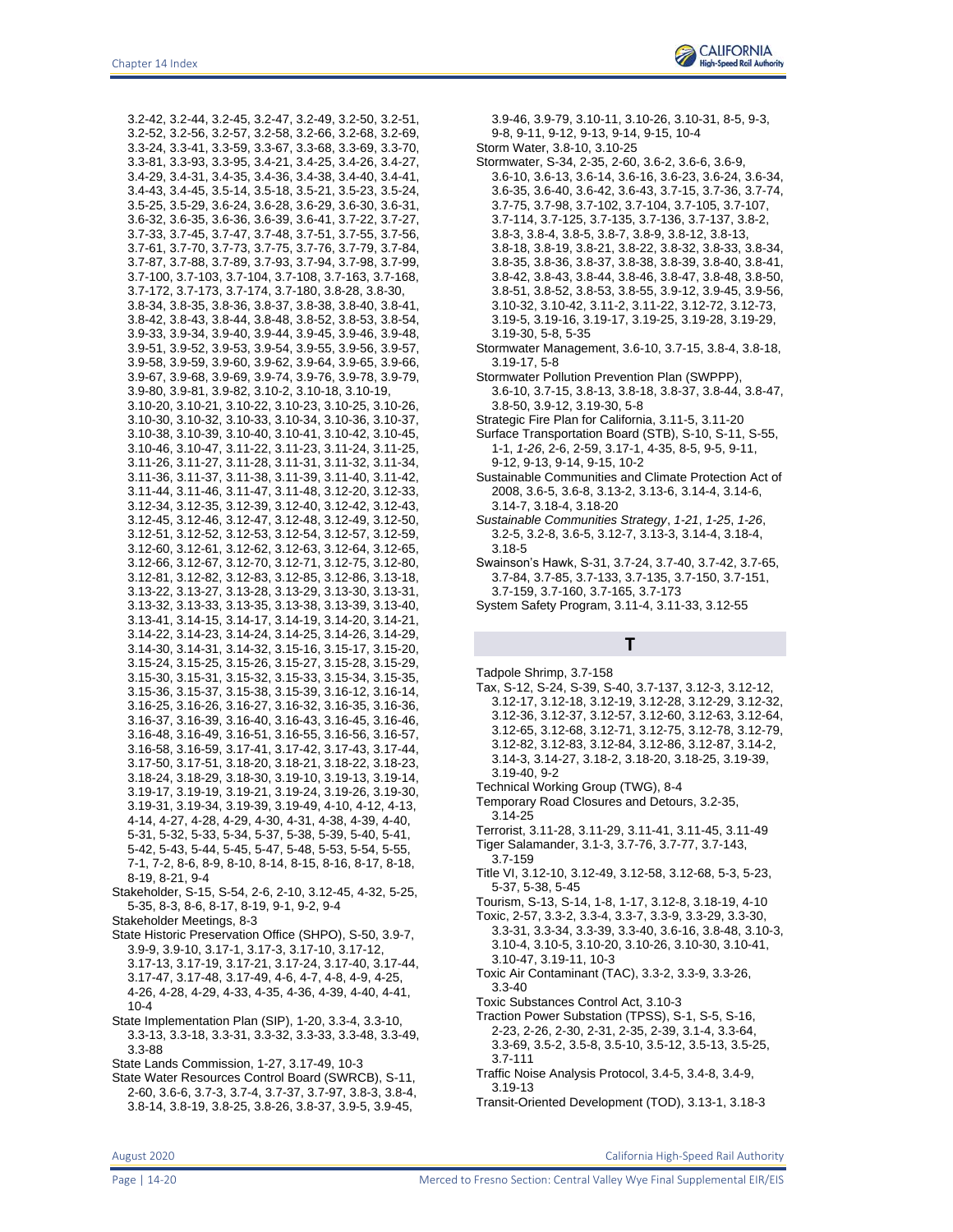

3.2-42, 3.2-44, 3.2-45, 3.2-47, 3.2-49, 3.2-50, 3.2-51, 3.2-52, 3.2-56, 3.2-57, 3.2-58, 3.2-66, 3.2-68, 3.2-69, 3.3-24, 3.3-41, 3.3-59, 3.3-67, 3.3-68, 3.3-69, 3.3-70, 3.3-81, 3.3-93, 3.3-95, 3.4-21, 3.4-25, 3.4-26, 3.4-27, 3.4-29, 3.4-31, 3.4-35, 3.4-36, 3.4-38, 3.4-40, 3.4-41, 3.4-43, 3.4-45, 3.5-14, 3.5-18, 3.5-21, 3.5-23, 3.5-24, 3.5-25, 3.5-29, 3.6-24, 3.6-28, 3.6-29, 3.6-30, 3.6-31, 3.6-32, 3.6-35, 3.6-36, 3.6-39, 3.6-41, 3.7-22, 3.7-27, 3.7-33, 3.7-45, 3.7-47, 3.7-48, 3.7-51, 3.7-55, 3.7-56, 3.7-61, 3.7-70, 3.7-73, 3.7-75, 3.7-76, 3.7-79, 3.7-84, 3.7-87, 3.7-88, 3.7-89, 3.7-93, 3.7-94, 3.7-98, 3.7-99, 3.7-100, 3.7-103, 3.7-104, 3.7-108, 3.7-163, 3.7-168, 3.7-172, 3.7-173, 3.7-174, 3.7-180, 3.8-28, 3.8-30, 3.8-34, 3.8-35, 3.8-36, 3.8-37, 3.8-38, 3.8-40, 3.8-41, 3.8-42, 3.8-43, 3.8-44, 3.8-48, 3.8-52, 3.8-53, 3.8-54, 3.9-33, 3.9-34, 3.9-40, 3.9-44, 3.9-45, 3.9-46, 3.9-48, 3.9-51, 3.9-52, 3.9-53, 3.9-54, 3.9-55, 3.9-56, 3.9-57, 3.9-58, 3.9-59, 3.9-60, 3.9-62, 3.9-64, 3.9-65, 3.9-66, 3.9-67, 3.9-68, 3.9-69, 3.9-74, 3.9-76, 3.9-78, 3.9-79, 3.9-80, 3.9-81, 3.9-82, 3.10-2, 3.10-18, 3.10-19, 3.10-20, 3.10-21, 3.10-22, 3.10-23, 3.10-25, 3.10-26, 3.10-30, 3.10-32, 3.10-33, 3.10-34, 3.10-36, 3.10-37, 3.10-38, 3.10-39, 3.10-40, 3.10-41, 3.10-42, 3.10-45, 3.10-46, 3.10-47, 3.11-22, 3.11-23, 3.11-24, 3.11-25, 3.11-26, 3.11-27, 3.11-28, 3.11-31, 3.11-32, 3.11-34, 3.11-36, 3.11-37, 3.11-38, 3.11-39, 3.11-40, 3.11-42, 3.11-44, 3.11-46, 3.11-47, 3.11-48, 3.12-20, 3.12-33, 3.12-34, 3.12-35, 3.12-39, 3.12-40, 3.12-42, 3.12-43, 3.12-45, 3.12-46, 3.12-47, 3.12-48, 3.12-49, 3.12-50, 3.12-51, 3.12-52, 3.12-53, 3.12-54, 3.12-57, 3.12-59, 3.12-60, 3.12-61, 3.12-62, 3.12-63, 3.12-64, 3.12-65, 3.12-66, 3.12-67, 3.12-70, 3.12-71, 3.12-75, 3.12-80, 3.12-81, 3.12-82, 3.12-83, 3.12-85, 3.12-86, 3.13-18, 3.13-22, 3.13-27, 3.13-28, 3.13-29, 3.13-30, 3.13-31, 3.13-32, 3.13-33, 3.13-35, 3.13-38, 3.13-39, 3.13-40, 3.13-41, 3.14-15, 3.14-17, 3.14-19, 3.14-20, 3.14-21, 3.14-22, 3.14-23, 3.14-24, 3.14-25, 3.14-26, 3.14-29, 3.14-30, 3.14-31, 3.14-32, 3.15-16, 3.15-17, 3.15-20, 3.15-24, 3.15-25, 3.15-26, 3.15-27, 3.15-28, 3.15-29, 3.15-30, 3.15-31, 3.15-32, 3.15-33, 3.15-34, 3.15-35, 3.15-36, 3.15-37, 3.15-38, 3.15-39, 3.16-12, 3.16-14, 3.16-25, 3.16-26, 3.16-27, 3.16-32, 3.16-35, 3.16-36, 3.16-37, 3.16-39, 3.16-40, 3.16-43, 3.16-45, 3.16-46, 3.16-48, 3.16-49, 3.16-51, 3.16-55, 3.16-56, 3.16-57, 3.16-58, 3.16-59, 3.17-41, 3.17-42, 3.17-43, 3.17-44, 3.17-50, 3.17-51, 3.18-20, 3.18-21, 3.18-22, 3.18-23, 3.18-24, 3.18-29, 3.18-30, 3.19-10, 3.19-13, 3.19-14, 3.19-17, 3.19-19, 3.19-21, 3.19-24, 3.19-26, 3.19-30, 3.19-31, 3.19-34, 3.19-39, 3.19-49, 4-10, 4-12, 4-13, 4-14, 4-27, 4-28, 4-29, 4-30, 4-31, 4-38, 4-39, 4-40, 5-31, 5-32, 5-33, 5-34, 5-37, 5-38, 5-39, 5-40, 5-41, 5-42, 5-43, 5-44, 5-45, 5-47, 5-48, 5-53, 5-54, 5-55, 7-1, 7-2, 8-6, 8-9, 8-10, 8-14, 8-15, 8-16, 8-17, 8-18, 8-19, 8-21, 9-4

- Stakeholder, S-15, S-54, 2-6, 2-10, 3.12-45, 4-32, 5-25, 5-35, 8-3, 8-6, 8-17, 8-19, 9-1, 9-2, 9-4
- Stakeholder Meetings, 8-3
- State Historic Preservation Office (SHPO), S-50, 3.9-7, 3.9-9, 3.9-10, 3.17-1, 3.17-3, 3.17-10, 3.17-12, 3.17-13, 3.17-19, 3.17-21, 3.17-24, 3.17-40, 3.17-44,
	- 3.17-47, 3.17-48, 3.17-49, 4-6, 4-7, 4-8, 4-9, 4-25, 4-26, 4-28, 4-29, 4-33, 4-35, 4-36, 4-39, 4-40, 4-41, 10-4
- State Implementation Plan (SIP), 1-20, 3.3-4, 3.3-10, 3.3-13, 3.3-18, 3.3-31, 3.3-32, 3.3-33, 3.3-48, 3.3-49, 3.3-88
- State Lands Commission, 1-27, 3.17-49, 10-3
- State Water Resources Control Board (SWRCB), S-11, 2-60, 3.6-6, 3.7-3, 3.7-4, 3.7-37, 3.7-97, 3.8-3, 3.8-4, 3.8-14, 3.8-19, 3.8-25, 3.8-26, 3.8-37, 3.9-5, 3.9-45,

9-8, 9-11, 9-12, 9-13, 9-14, 9-15, 10-4 Storm Water, 3.8-10, 3.10-25 Stormwater, S-34, 2-35, 2-60, 3.6-2, 3.6-6, 3.6-9, 3.6-10, 3.6-13, 3.6-14, 3.6-16, 3.6-23, 3.6-24, 3.6-34, 3.6-35, 3.6-40, 3.6-42, 3.6-43, 3.7-15, 3.7-36, 3.7-74, 3.7-75, 3.7-98, 3.7-102, 3.7-104, 3.7-105, 3.7-107, 3.7-114, 3.7-125, 3.7-135, 3.7-136, 3.7-137, 3.8-2, 3.8-3, 3.8-4, 3.8-5, 3.8-7, 3.8-9, 3.8-12, 3.8-13, 3.8-18, 3.8-19, 3.8-21, 3.8-22, 3.8-32, 3.8-33, 3.8-34, 3.8-35, 3.8-36, 3.8-37, 3.8-38, 3.8-39, 3.8-40, 3.8-41, 3.8-42, 3.8-43, 3.8-44, 3.8-46, 3.8-47, 3.8-48, 3.8-50, 3.8-51, 3.8-52, 3.8-53, 3.8-55, 3.9-12, 3.9-45, 3.9-56, 3.10-32, 3.10-42, 3.11-2, 3.11-22, 3.12-72, 3.12-73, 3.19-5, 3.19-16, 3.19-17, 3.19-25, 3.19-28, 3.19-29, 3.19-30, 5-8, 5-35

3.9-46, 3.9-79, 3.10-11, 3.10-26, 3.10-31, 8-5, 9-3,

- Stormwater Management, 3.6-10, 3.7-15, 3.8-4, 3.8-18, 3.19-17, 5-8
- Stormwater Pollution Prevention Plan (SWPPP),
	- 3.6-10, 3.7-15, 3.8-13, 3.8-18, 3.8-37, 3.8-44, 3.8-47, 3.8-50, 3.9-12, 3.19-30, 5-8
- Strategic Fire Plan for California, 3.11-5, 3.11-20
- Surface Transportation Board (STB), S-10, S-11, S-55, 1-1, *1-26*, 2-6, 2-59, 3.17-1, 4-35, 8-5, 9-5, 9-11, 9-12, 9-13, 9-14, 9-15, 10-2
- Sustainable Communities and Climate Protection Act of 2008, 3.6-5, 3.6-8, 3.13-2, 3.13-6, 3.14-4, 3.14-6, 3.14-7, 3.18-4, 3.18-20
- *Sustainable Communities Strategy*, *1-21*, *1-25*, *1-26*, 3.2-5, 3.2-8, 3.6-5, 3.12-7, 3.13-3, 3.14-4, 3.18-4, 3.18-5
- Swainson's Hawk, S-31, 3.7-24, 3.7-40, 3.7-42, 3.7-65, 3.7-84, 3.7-85, 3.7-133, 3.7-135, 3.7-150, 3.7-151, 3.7-159, 3.7-160, 3.7-165, 3.7-173
- System Safety Program, 3.11-4, 3.11-33, 3.12-55

#### **T**

- Tadpole Shrimp, 3.7-158
- Tax, S-12, S-24, S-39, S-40, 3.7-137, 3.12-3, 3.12-12, 3.12-17, 3.12-18, 3.12-19, 3.12-28, 3.12-29, 3.12-32, 3.12-36, 3.12-37, 3.12-57, 3.12-60, 3.12-63, 3.12-64, 3.12-65, 3.12-68, 3.12-71, 3.12-75, 3.12-78, 3.12-79, 3.12-82, 3.12-83, 3.12-84, 3.12-86, 3.12-87, 3.14-2, 3.14-3, 3.14-27, 3.18-2, 3.18-20, 3.18-25, 3.19-39, 3.19-40, 9-2
- Technical Working Group (TWG), 8-4
- Temporary Road Closures and Detours, 3.2-35, 3.14-25
- Terrorist, 3.11-28, 3.11-29, 3.11-41, 3.11-45, 3.11-49 Tiger Salamander, 3.1-3, 3.7-76, 3.7-77, 3.7-143, 3.7-159
- Title VI, 3.12-10, 3.12-49, 3.12-58, 3.12-68, 5-3, 5-23, 5-37, 5-38, 5-45
- Tourism, S-13, S-14, 1-8, 1-17, 3.12-8, 3.18-19, 4-10
- Toxic, 2-57, 3.3-2, 3.3-4, 3.3-7, 3.3-9, 3.3-29, 3.3-30, 3.3-31, 3.3-34, 3.3-39, 3.3-40, 3.6-16, 3.8-48, 3.10-3, 3.10-4, 3.10-5, 3.10-20, 3.10-26, 3.10-30, 3.10-41, 3.10-47, 3.19-11, 10-3
- Toxic Air Contaminant (TAC), 3.3-2, 3.3-9, 3.3-26, 3.3-40
- Toxic Substances Control Act, 3.10-3
- Traction Power Substation (TPSS), S-1, S-5, S-16, 2-23, 2-26, 2-30, 2-31, 2-35, 2-39, 3.1-4, 3.3-64, 3.3-69, 3.5-2, 3.5-8, 3.5-10, 3.5-12, 3.5-13, 3.5-25,
- 3.7-111 Traffic Noise Analysis Protocol, 3.4-5, 3.4-8, 3.4-9, 3.19-13
- Transit-Oriented Development (TOD), 3.13-1, 3.18-3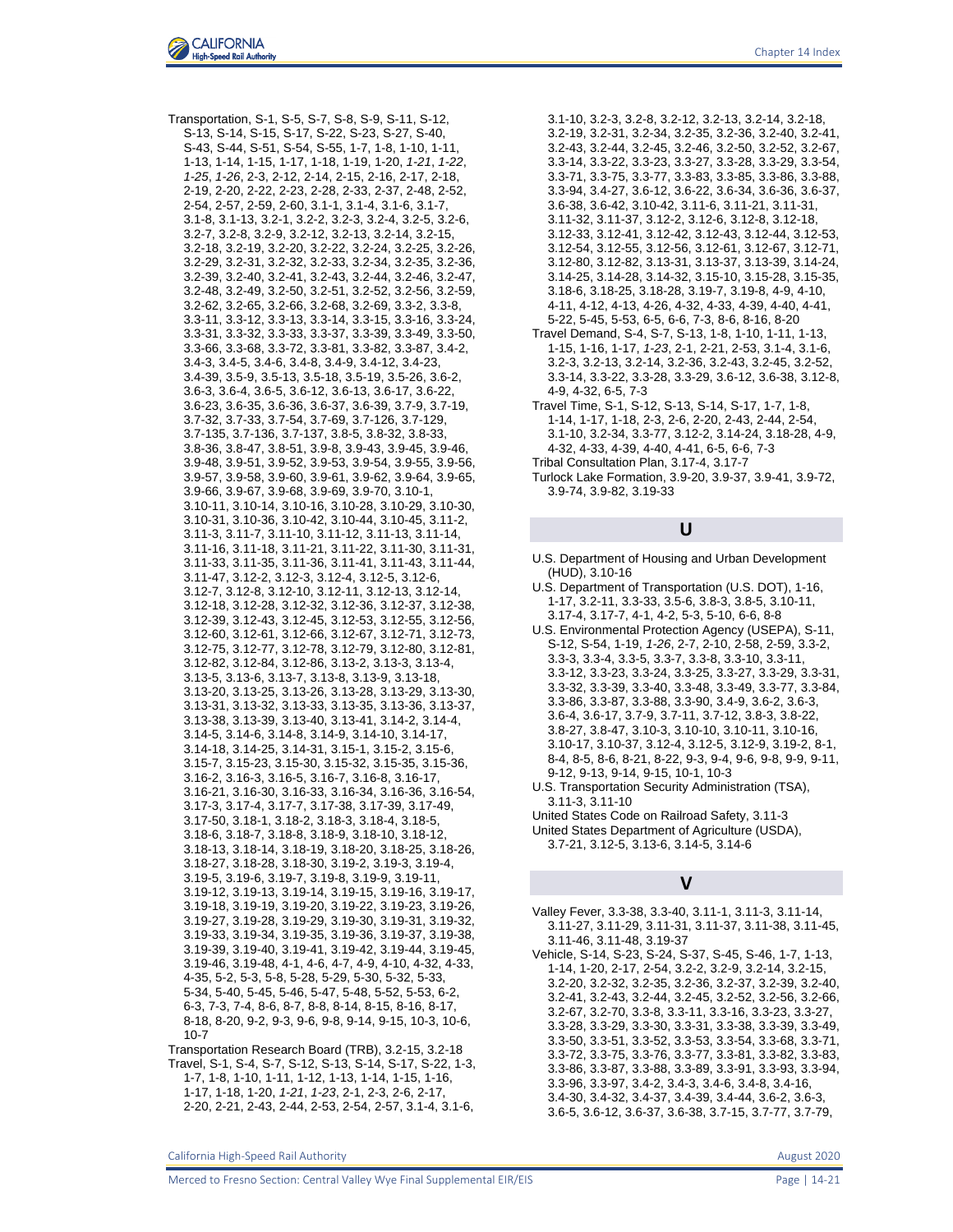Transportation, S-1, S-5, S-7, S-8, S-9, S-11, S-12, S-13, S-14, S-15, S-17, S-22, S-23, S-27, S-40, S-43, S-44, S-51, S-54, S-55, 1-7, 1-8, 1-10, 1-11, 1-13, 1-14, 1-15, 1-17, 1-18, 1-19, 1-20, *1-21*, *1-22*, *1-25*, *1-26*, 2-3, 2-12, 2-14, 2-15, 2-16, 2-17, 2-18, 2-19, 2-20, 2-22, 2-23, 2-28, 2-33, 2-37, 2-48, 2-52, 2-54, 2-57, 2-59, 2-60, 3.1-1, 3.1-4, 3.1-6, 3.1-7, 3.1-8, 3.1-13, 3.2-1, 3.2-2, 3.2-3, 3.2-4, 3.2-5, 3.2-6, 3.2-7, 3.2-8, 3.2-9, 3.2-12, 3.2-13, 3.2-14, 3.2-15, 3.2-18, 3.2-19, 3.2-20, 3.2-22, 3.2-24, 3.2-25, 3.2-26, 3.2-29, 3.2-31, 3.2-32, 3.2-33, 3.2-34, 3.2-35, 3.2-36, 3.2-39, 3.2-40, 3.2-41, 3.2-43, 3.2-44, 3.2-46, 3.2-47, 3.2-48, 3.2-49, 3.2-50, 3.2-51, 3.2-52, 3.2-56, 3.2-59, 3.2-62, 3.2-65, 3.2-66, 3.2-68, 3.2-69, 3.3-2, 3.3-8, 3.3-11, 3.3-12, 3.3-13, 3.3-14, 3.3-15, 3.3-16, 3.3-24, 3.3-31, 3.3-32, 3.3-33, 3.3-37, 3.3-39, 3.3-49, 3.3-50, 3.3-66, 3.3-68, 3.3-72, 3.3-81, 3.3-82, 3.3-87, 3.4-2, 3.4-3, 3.4-5, 3.4-6, 3.4-8, 3.4-9, 3.4-12, 3.4-23, 3.4-39, 3.5-9, 3.5-13, 3.5-18, 3.5-19, 3.5-26, 3.6-2, 3.6-3, 3.6-4, 3.6-5, 3.6-12, 3.6-13, 3.6-17, 3.6-22, 3.6-23, 3.6-35, 3.6-36, 3.6-37, 3.6-39, 3.7-9, 3.7-19, 3.7-32, 3.7-33, 3.7-54, 3.7-69, 3.7-126, 3.7-129, 3.7-135, 3.7-136, 3.7-137, 3.8-5, 3.8-32, 3.8-33, 3.8-36, 3.8-47, 3.8-51, 3.9-8, 3.9-43, 3.9-45, 3.9-46, 3.9-48, 3.9-51, 3.9-52, 3.9-53, 3.9-54, 3.9-55, 3.9-56, 3.9-57, 3.9-58, 3.9-60, 3.9-61, 3.9-62, 3.9-64, 3.9-65, 3.9-66, 3.9-67, 3.9-68, 3.9-69, 3.9-70, 3.10-1, 3.10-11, 3.10-14, 3.10-16, 3.10-28, 3.10-29, 3.10-30, 3.10-31, 3.10-36, 3.10-42, 3.10-44, 3.10-45, 3.11-2, 3.11-3, 3.11-7, 3.11-10, 3.11-12, 3.11-13, 3.11-14, 3.11-16, 3.11-18, 3.11-21, 3.11-22, 3.11-30, 3.11-31, 3.11-33, 3.11-35, 3.11-36, 3.11-41, 3.11-43, 3.11-44, 3.11-47, 3.12-2, 3.12-3, 3.12-4, 3.12-5, 3.12-6, 3.12-7, 3.12-8, 3.12-10, 3.12-11, 3.12-13, 3.12-14, 3.12-18, 3.12-28, 3.12-32, 3.12-36, 3.12-37, 3.12-38, 3.12-39, 3.12-43, 3.12-45, 3.12-53, 3.12-55, 3.12-56, 3.12-60, 3.12-61, 3.12-66, 3.12-67, 3.12-71, 3.12-73, 3.12-75, 3.12-77, 3.12-78, 3.12-79, 3.12-80, 3.12-81, 3.12-82, 3.12-84, 3.12-86, 3.13-2, 3.13-3, 3.13-4, 3.13-5, 3.13-6, 3.13-7, 3.13-8, 3.13-9, 3.13-18, 3.13-20, 3.13-25, 3.13-26, 3.13-28, 3.13-29, 3.13-30, 3.13-31, 3.13-32, 3.13-33, 3.13-35, 3.13-36, 3.13-37, 3.13-38, 3.13-39, 3.13-40, 3.13-41, 3.14-2, 3.14-4, 3.14-5, 3.14-6, 3.14-8, 3.14-9, 3.14-10, 3.14-17, 3.14-18, 3.14-25, 3.14-31, 3.15-1, 3.15-2, 3.15-6, 3.15-7, 3.15-23, 3.15-30, 3.15-32, 3.15-35, 3.15-36, 3.16-2, 3.16-3, 3.16-5, 3.16-7, 3.16-8, 3.16-17, 3.16-21, 3.16-30, 3.16-33, 3.16-34, 3.16-36, 3.16-54, 3.17-3, 3.17-4, 3.17-7, 3.17-38, 3.17-39, 3.17-49, 3.17-50, 3.18-1, 3.18-2, 3.18-3, 3.18-4, 3.18-5, 3.18-6, 3.18-7, 3.18-8, 3.18-9, 3.18-10, 3.18-12, 3.18-13, 3.18-14, 3.18-19, 3.18-20, 3.18-25, 3.18-26, 3.18-27, 3.18-28, 3.18-30, 3.19-2, 3.19-3, 3.19-4, 3.19-5, 3.19-6, 3.19-7, 3.19-8, 3.19-9, 3.19-11, 3.19-12, 3.19-13, 3.19-14, 3.19-15, 3.19-16, 3.19-17, 3.19-18, 3.19-19, 3.19-20, 3.19-22, 3.19-23, 3.19-26, 3.19-27, 3.19-28, 3.19-29, 3.19-30, 3.19-31, 3.19-32, 3.19-33, 3.19-34, 3.19-35, 3.19-36, 3.19-37, 3.19-38, 3.19-39, 3.19-40, 3.19-41, 3.19-42, 3.19-44, 3.19-45, 3.19-46, 3.19-48, 4-1, 4-6, 4-7, 4-9, 4-10, 4-32, 4-33, 4-35, 5-2, 5-3, 5-8, 5-28, 5-29, 5-30, 5-32, 5-33, 5-34, 5-40, 5-45, 5-46, 5-47, 5-48, 5-52, 5-53, 6-2, 6-3, 7-3, 7-4, 8-6, 8-7, 8-8, 8-14, 8-15, 8-16, 8-17, 8-18, 8-20, 9-2, 9-3, 9-6, 9-8, 9-14, 9-15, 10-3, 10-6, 10-7

Transportation Research Board (TRB), 3.2-15, 3.2-18 Travel, S-1, S-4, S-7, S-12, S-13, S-14, S-17, S-22, 1-3, 1-7, 1-8, 1-10, 1-11, 1-12, 1-13, 1-14, 1-15, 1-16, 1-17, 1-18, 1-20, *1-21*, *1-23*, 2-1, 2-3, 2-6, 2-17, 2-20, 2-21, 2-43, 2-44, 2-53, 2-54, 2-57, 3.1-4, 3.1-6,

3.1-10, 3.2-3, 3.2-8, 3.2-12, 3.2-13, 3.2-14, 3.2-18, 3.2-19, 3.2-31, 3.2-34, 3.2-35, 3.2-36, 3.2-40, 3.2-41, 3.2-43, 3.2-44, 3.2-45, 3.2-46, 3.2-50, 3.2-52, 3.2-67, 3.3-14, 3.3-22, 3.3-23, 3.3-27, 3.3-28, 3.3-29, 3.3-54, 3.3-71, 3.3-75, 3.3-77, 3.3-83, 3.3-85, 3.3-86, 3.3-88, 3.3-94, 3.4-27, 3.6-12, 3.6-22, 3.6-34, 3.6-36, 3.6-37, 3.6-38, 3.6-42, 3.10-42, 3.11-6, 3.11-21, 3.11-31, 3.11-32, 3.11-37, 3.12-2, 3.12-6, 3.12-8, 3.12-18, 3.12-33, 3.12-41, 3.12-42, 3.12-43, 3.12-44, 3.12-53, 3.12-54, 3.12-55, 3.12-56, 3.12-61, 3.12-67, 3.12-71, 3.12-80, 3.12-82, 3.13-31, 3.13-37, 3.13-39, 3.14-24, 3.14-25, 3.14-28, 3.14-32, 3.15-10, 3.15-28, 3.15-35, 3.18-6, 3.18-25, 3.18-28, 3.19-7, 3.19-8, 4-9, 4-10, 4-11, 4-12, 4-13, 4-26, 4-32, 4-33, 4-39, 4-40, 4-41, 5-22, 5-45, 5-53, 6-5, 6-6, 7-3, 8-6, 8-16, 8-20 Travel Demand, S-4, S-7, S-13, 1-8, 1-10, 1-11, 1-13, 1-15, 1-16, 1-17, *1-23*, 2-1, 2-21, 2-53, 3.1-4, 3.1-6, 3.2-3, 3.2-13, 3.2-14, 3.2-36, 3.2-43, 3.2-45, 3.2-52, 3.3-14, 3.3-22, 3.3-28, 3.3-29, 3.6-12, 3.6-38, 3.12-8, 4-9, 4-32, 6-5, 7-3 Travel Time, S-1, S-12, S-13, S-14, S-17, 1-7, 1-8,

- 1-14, 1-17, 1-18, 2-3, 2-6, 2-20, 2-43, 2-44, 2-54, 3.1-10, 3.2-34, 3.3-77, 3.12-2, 3.14-24, 3.18-28, 4-9, 4-32, 4-33, 4-39, 4-40, 4-41, 6-5, 6-6, 7-3
- Tribal Consultation Plan, 3.17-4, 3.17-7
- Turlock Lake Formation, 3.9-20, 3.9-37, 3.9-41, 3.9-72, 3.9-74, 3.9-82, 3.19-33

### **U**

- U.S. Department of Housing and Urban Development (HUD), 3.10-16
- U.S. Department of Transportation (U.S. DOT), 1-16, 1-17, 3.2-11, 3.3-33, 3.5-6, 3.8-3, 3.8-5, 3.10-11, 3.17-4, 3.17-7, 4-1, 4-2, 5-3, 5-10, 6-6, 8-8
- U.S. Environmental Protection Agency (USEPA), S-11, S-12, S-54, 1-19, *1-26*, 2-7, 2-10, 2-58, 2-59, 3.3-2, 3.3-3, 3.3-4, 3.3-5, 3.3-7, 3.3-8, 3.3-10, 3.3-11, 3.3-12, 3.3-23, 3.3-24, 3.3-25, 3.3-27, 3.3-29, 3.3-31, 3.3-32, 3.3-39, 3.3-40, 3.3-48, 3.3-49, 3.3-77, 3.3-84, 3.3-86, 3.3-87, 3.3-88, 3.3-90, 3.4-9, 3.6-2, 3.6-3, 3.6-4, 3.6-17, 3.7-9, 3.7-11, 3.7-12, 3.8-3, 3.8-22, 3.8-27, 3.8-47, 3.10-3, 3.10-10, 3.10-11, 3.10-16, 3.10-17, 3.10-37, 3.12-4, 3.12-5, 3.12-9, 3.19-2, 8-1, 8-4, 8-5, 8-6, 8-21, 8-22, 9-3, 9-4, 9-6, 9-8, 9-9, 9-11, 9-12, 9-13, 9-14, 9-15, 10-1, 10-3
- U.S. Transportation Security Administration (TSA), 3.11-3, 3.11-10
- United States Code on Railroad Safety, 3.11-3 United States Department of Agriculture (USDA), 3.7-21, 3.12-5, 3.13-6, 3.14-5, 3.14-6

#### **V**

Valley Fever, 3.3-38, 3.3-40, 3.11-1, 3.11-3, 3.11-14, 3.11-27, 3.11-29, 3.11-31, 3.11-37, 3.11-38, 3.11-45, 3.11-46, 3.11-48, 3.19-37

Vehicle, S-14, S-23, S-24, S-37, S-45, S-46, 1-7, 1-13, 1-14, 1-20, 2-17, 2-54, 3.2-2, 3.2-9, 3.2-14, 3.2-15, 3.2-20, 3.2-32, 3.2-35, 3.2-36, 3.2-37, 3.2-39, 3.2-40, 3.2-41, 3.2-43, 3.2-44, 3.2-45, 3.2-52, 3.2-56, 3.2-66, 3.2-67, 3.2-70, 3.3-8, 3.3-11, 3.3-16, 3.3-23, 3.3-27, 3.3-28, 3.3-29, 3.3-30, 3.3-31, 3.3-38, 3.3-39, 3.3-49, 3.3-50, 3.3-51, 3.3-52, 3.3-53, 3.3-54, 3.3-68, 3.3-71, 3.3-72, 3.3-75, 3.3-76, 3.3-77, 3.3-81, 3.3-82, 3.3-83, 3.3-86, 3.3-87, 3.3-88, 3.3-89, 3.3-91, 3.3-93, 3.3-94, 3.3-96, 3.3-97, 3.4-2, 3.4-3, 3.4-6, 3.4-8, 3.4-16, 3.4-30, 3.4-32, 3.4-37, 3.4-39, 3.4-44, 3.6-2, 3.6-3, 3.6-5, 3.6-12, 3.6-37, 3.6-38, 3.7-15, 3.7-77, 3.7-79,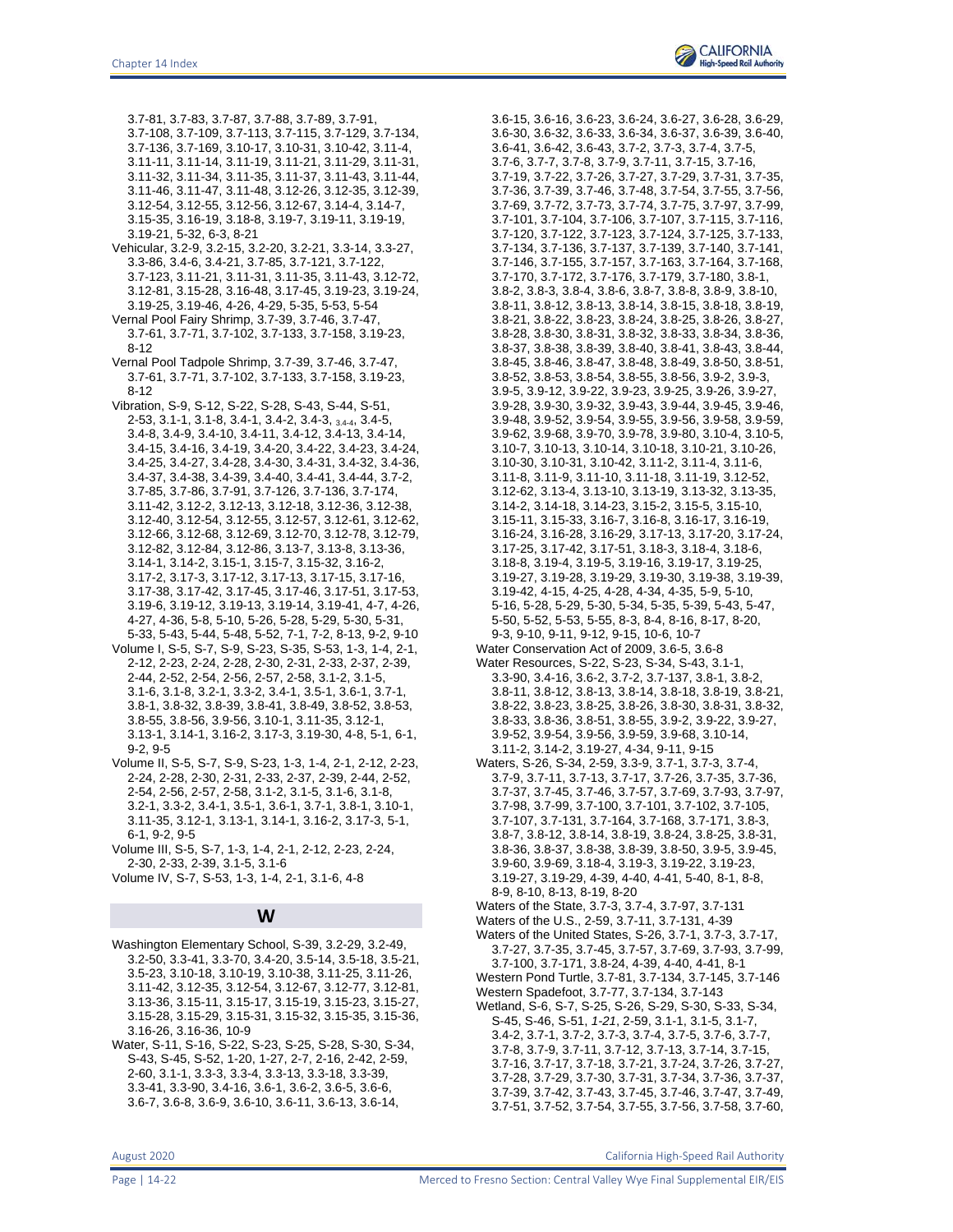3.7-81, 3.7-83, 3.7-87, 3.7-88, 3.7-89, 3.7-91, 3.7-108, 3.7-109, 3.7-113, 3.7-115, 3.7-129, 3.7-134, 3.7-136, 3.7-169, 3.10-17, 3.10-31, 3.10-42, 3.11-4, 3.11-11, 3.11-14, 3.11-19, 3.11-21, 3.11-29, 3.11-31, 3.11-32, 3.11-34, 3.11-35, 3.11-37, 3.11-43, 3.11-44, 3.11-46, 3.11-47, 3.11-48, 3.12-26, 3.12-35, 3.12-39, 3.12-54, 3.12-55, 3.12-56, 3.12-67, 3.14-4, 3.14-7, 3.15-35, 3.16-19, 3.18-8, 3.19-7, 3.19-11, 3.19-19, 3.19-21, 5-32, 6-3, 8-21

- Vehicular, 3.2-9, 3.2-15, 3.2-20, 3.2-21, 3.3-14, 3.3-27, 3.3-86, 3.4-6, 3.4-21, 3.7-85, 3.7-121, 3.7-122, 3.7-123, 3.11-21, 3.11-31, 3.11-35, 3.11-43, 3.12-72, 3.12-81, 3.15-28, 3.16-48, 3.17-45, 3.19-23, 3.19-24, 3.19-25, 3.19-46, 4-26, 4-29, 5-35, 5-53, 5-54
- Vernal Pool Fairy Shrimp, 3.7-39, 3.7-46, 3.7-47, 3.7-61, 3.7-71, 3.7-102, 3.7-133, 3.7-158, 3.19-23, 8-12
- Vernal Pool Tadpole Shrimp, 3.7-39, 3.7-46, 3.7-47, 3.7-61, 3.7-71, 3.7-102, 3.7-133, 3.7-158, 3.19-23, 8-12
- Vibration, S-9, S-12, S-22, S-28, S-43, S-44, S-51, 2-53, 3.1-1, 3.1-8, 3.4-1, 3.4-2, 3.4-3, 3.4-4, 3.4-5, 3.4-8, 3.4-9, 3.4-10, 3.4-11, 3.4-12, 3.4-13, 3.4-14, 3.4-15, 3.4-16, 3.4-19, 3.4-20, 3.4-22, 3.4-23, 3.4-24, 3.4-25, 3.4-27, 3.4-28, 3.4-30, 3.4-31, 3.4-32, 3.4-36, 3.4-37, 3.4-38, 3.4-39, 3.4-40, 3.4-41, 3.4-44, 3.7-2, 3.7-85, 3.7-86, 3.7-91, 3.7-126, 3.7-136, 3.7-174, 3.11-42, 3.12-2, 3.12-13, 3.12-18, 3.12-36, 3.12-38, 3.12-40, 3.12-54, 3.12-55, 3.12-57, 3.12-61, 3.12-62, 3.12-66, 3.12-68, 3.12-69, 3.12-70, 3.12-78, 3.12-79, 3.12-82, 3.12-84, 3.12-86, 3.13-7, 3.13-8, 3.13-36, 3.14-1, 3.14-2, 3.15-1, 3.15-7, 3.15-32, 3.16-2, 3.17-2, 3.17-3, 3.17-12, 3.17-13, 3.17-15, 3.17-16, 3.17-38, 3.17-42, 3.17-45, 3.17-46, 3.17-51, 3.17-53, 3.19-6, 3.19-12, 3.19-13, 3.19-14, 3.19-41, 4-7, 4-26, 4-27, 4-36, 5-8, 5-10, 5-26, 5-28, 5-29, 5-30, 5-31, 5-33, 5-43, 5-44, 5-48, 5-52, 7-1, 7-2, 8-13, 9-2, 9-10
- Volume I, S-5, S-7, S-9, S-23, S-35, S-53, 1-3, 1-4, 2-1, 2-12, 2-23, 2-24, 2-28, 2-30, 2-31, 2-33, 2-37, 2-39, 2-44, 2-52, 2-54, 2-56, 2-57, 2-58, 3.1-2, 3.1-5, 3.1-6, 3.1-8, 3.2-1, 3.3-2, 3.4-1, 3.5-1, 3.6-1, 3.7-1, 3.8-1, 3.8-32, 3.8-39, 3.8-41, 3.8-49, 3.8-52, 3.8-53, 3.8-55, 3.8-56, 3.9-56, 3.10-1, 3.11-35, 3.12-1, 3.13-1, 3.14-1, 3.16-2, 3.17-3, 3.19-30, 4-8, 5-1, 6-1, 9-2, 9-5
- Volume II, S-5, S-7, S-9, S-23, 1-3, 1-4, 2-1, 2-12, 2-23, 2-24, 2-28, 2-30, 2-31, 2-33, 2-37, 2-39, 2-44, 2-52, 2-54, 2-56, 2-57, 2-58, 3.1-2, 3.1-5, 3.1-6, 3.1-8, 3.2-1, 3.3-2, 3.4-1, 3.5-1, 3.6-1, 3.7-1, 3.8-1, 3.10-1, 3.11-35, 3.12-1, 3.13-1, 3.14-1, 3.16-2, 3.17-3, 5-1, 6-1, 9-2, 9-5
- Volume III, S-5, S-7, 1-3, 1-4, 2-1, 2-12, 2-23, 2-24, 2-30, 2-33, 2-39, 3.1-5, 3.1-6
- Volume IV, S-7, S-53, 1-3, 1-4, 2-1, 3.1-6, 4-8

#### **W**

- Washington Elementary School, S-39, 3.2-29, 3.2-49, 3.2-50, 3.3-41, 3.3-70, 3.4-20, 3.5-14, 3.5-18, 3.5-21, 3.5-23, 3.10-18, 3.10-19, 3.10-38, 3.11-25, 3.11-26, 3.11-42, 3.12-35, 3.12-54, 3.12-67, 3.12-77, 3.12-81, 3.13-36, 3.15-11, 3.15-17, 3.15-19, 3.15-23, 3.15-27, 3.15-28, 3.15-29, 3.15-31, 3.15-32, 3.15-35, 3.15-36, 3.16-26, 3.16-36, 10-9
- Water, S-11, S-16, S-22, S-23, S-25, S-28, S-30, S-34, S-43, S-45, S-52, 1-20, 1-27, 2-7, 2-16, 2-42, 2-59, 2-60, 3.1-1, 3.3-3, 3.3-4, 3.3-13, 3.3-18, 3.3-39, 3.3-41, 3.3-90, 3.4-16, 3.6-1, 3.6-2, 3.6-5, 3.6-6, 3.6-7, 3.6-8, 3.6-9, 3.6-10, 3.6-11, 3.6-13, 3.6-14,

3.6-15, 3.6-16, 3.6-23, 3.6-24, 3.6-27, 3.6-28, 3.6-29, 3.6-30, 3.6-32, 3.6-33, 3.6-34, 3.6-37, 3.6-39, 3.6-40, 3.6-41, 3.6-42, 3.6-43, 3.7-2, 3.7-3, 3.7-4, 3.7-5, 3.7-6, 3.7-7, 3.7-8, 3.7-9, 3.7-11, 3.7-15, 3.7-16, 3.7-19, 3.7-22, 3.7-26, 3.7-27, 3.7-29, 3.7-31, 3.7-35, 3.7-36, 3.7-39, 3.7-46, 3.7-48, 3.7-54, 3.7-55, 3.7-56, 3.7-69, 3.7-72, 3.7-73, 3.7-74, 3.7-75, 3.7-97, 3.7-99, 3.7-101, 3.7-104, 3.7-106, 3.7-107, 3.7-115, 3.7-116, 3.7-120, 3.7-122, 3.7-123, 3.7-124, 3.7-125, 3.7-133, 3.7-134, 3.7-136, 3.7-137, 3.7-139, 3.7-140, 3.7-141, 3.7-146, 3.7-155, 3.7-157, 3.7-163, 3.7-164, 3.7-168, 3.7-170, 3.7-172, 3.7-176, 3.7-179, 3.7-180, 3.8-1, 3.8-2, 3.8-3, 3.8-4, 3.8-6, 3.8-7, 3.8-8, 3.8-9, 3.8-10, 3.8-11, 3.8-12, 3.8-13, 3.8-14, 3.8-15, 3.8-18, 3.8-19, 3.8-21, 3.8-22, 3.8-23, 3.8-24, 3.8-25, 3.8-26, 3.8-27, 3.8-28, 3.8-30, 3.8-31, 3.8-32, 3.8-33, 3.8-34, 3.8-36, 3.8-37, 3.8-38, 3.8-39, 3.8-40, 3.8-41, 3.8-43, 3.8-44, 3.8-45, 3.8-46, 3.8-47, 3.8-48, 3.8-49, 3.8-50, 3.8-51, 3.8-52, 3.8-53, 3.8-54, 3.8-55, 3.8-56, 3.9-2, 3.9-3, 3.9-5, 3.9-12, 3.9-22, 3.9-23, 3.9-25, 3.9-26, 3.9-27, 3.9-28, 3.9-30, 3.9-32, 3.9-43, 3.9-44, 3.9-45, 3.9-46, 3.9-48, 3.9-52, 3.9-54, 3.9-55, 3.9-56, 3.9-58, 3.9-59, 3.9-62, 3.9-68, 3.9-70, 3.9-78, 3.9-80, 3.10-4, 3.10-5, 3.10-7, 3.10-13, 3.10-14, 3.10-18, 3.10-21, 3.10-26, 3.10-30, 3.10-31, 3.10-42, 3.11-2, 3.11-4, 3.11-6, 3.11-8, 3.11-9, 3.11-10, 3.11-18, 3.11-19, 3.12-52, 3.12-62, 3.13-4, 3.13-10, 3.13-19, 3.13-32, 3.13-35, 3.14-2, 3.14-18, 3.14-23, 3.15-2, 3.15-5, 3.15-10, 3.15-11, 3.15-33, 3.16-7, 3.16-8, 3.16-17, 3.16-19, 3.16-24, 3.16-28, 3.16-29, 3.17-13, 3.17-20, 3.17-24, 3.17-25, 3.17-42, 3.17-51, 3.18-3, 3.18-4, 3.18-6, 3.18-8, 3.19-4, 3.19-5, 3.19-16, 3.19-17, 3.19-25, 3.19-27, 3.19-28, 3.19-29, 3.19-30, 3.19-38, 3.19-39, 3.19-42, 4-15, 4-25, 4-28, 4-34, 4-35, 5-9, 5-10, 5-16, 5-28, 5-29, 5-30, 5-34, 5-35, 5-39, 5-43, 5-47, 5-50, 5-52, 5-53, 5-55, 8-3, 8-4, 8-16, 8-17, 8-20, 9-3, 9-10, 9-11, 9-12, 9-15, 10-6, 10-7 Water Conservation Act of 2009, 3.6-5, 3.6-8

- Water Resources, S-22, S-23, S-34, S-43, 3.1-1, 3.3-90, 3.4-16, 3.6-2, 3.7-2, 3.7-137, 3.8-1, 3.8-2, 3.8-11, 3.8-12, 3.8-13, 3.8-14, 3.8-18, 3.8-19, 3.8-21, 3.8-22, 3.8-23, 3.8-25, 3.8-26, 3.8-30, 3.8-31, 3.8-32, 3.8-33, 3.8-36, 3.8-51, 3.8-55, 3.9-2, 3.9-22, 3.9-27, 3.9-52, 3.9-54, 3.9-56, 3.9-59, 3.9-68, 3.10-14,
- 3.11-2, 3.14-2, 3.19-27, 4-34, 9-11, 9-15
- Waters, S-26, S-34, 2-59, 3.3-9, 3.7-1, 3.7-3, 3.7-4, 3.7-9, 3.7-11, 3.7-13, 3.7-17, 3.7-26, 3.7-35, 3.7-36, 3.7-37, 3.7-45, 3.7-46, 3.7-57, 3.7-69, 3.7-93, 3.7-97, 3.7-98, 3.7-99, 3.7-100, 3.7-101, 3.7-102, 3.7-105, 3.7-107, 3.7-131, 3.7-164, 3.7-168, 3.7-171, 3.8-3, 3.8-7, 3.8-12, 3.8-14, 3.8-19, 3.8-24, 3.8-25, 3.8-31, 3.8-36, 3.8-37, 3.8-38, 3.8-39, 3.8-50, 3.9-5, 3.9-45, 3.9-60, 3.9-69, 3.18-4, 3.19-3, 3.19-22, 3.19-23, 3.19-27, 3.19-29, 4-39, 4-40, 4-41, 5-40, 8-1, 8-8, 8-9, 8-10, 8-13, 8-19, 8-20

Waters of the State, 3.7-3, 3.7-4, 3.7-97, 3.7-131 Waters of the U.S., 2-59, 3.7-11, 3.7-131, 4-39

- Waters of the United States, S-26, 3.7-1, 3.7-3, 3.7-17, 3.7-27, 3.7-35, 3.7-45, 3.7-57, 3.7-69, 3.7-93, 3.7-99, 3.7-100, 3.7-171, 3.8-24, 4-39, 4-40, 4-41, 8-1
- Western Pond Turtle, 3.7-81, 3.7-134, 3.7-145, 3.7-146

Western Spadefoot, 3.7-77, 3.7-134, 3.7-143

Wetland, S-6, S-7, S-25, S-26, S-29, S-30, S-33, S-34, S-45, S-46, S-51, *1-21*, 2-59, 3.1-1, 3.1-5, 3.1-7, 3.4-2, 3.7-1, 3.7-2, 3.7-3, 3.7-4, 3.7-5, 3.7-6, 3.7-7, 3.7-8, 3.7-9, 3.7-11, 3.7-12, 3.7-13, 3.7-14, 3.7-15, 3.7-16, 3.7-17, 3.7-18, 3.7-21, 3.7-24, 3.7-26, 3.7-27, 3.7-28, 3.7-29, 3.7-30, 3.7-31, 3.7-34, 3.7-36, 3.7-37, 3.7-39, 3.7-42, 3.7-43, 3.7-45, 3.7-46, 3.7-47, 3.7-49, 3.7-51, 3.7-52, 3.7-54, 3.7-55, 3.7-56, 3.7-58, 3.7-60,